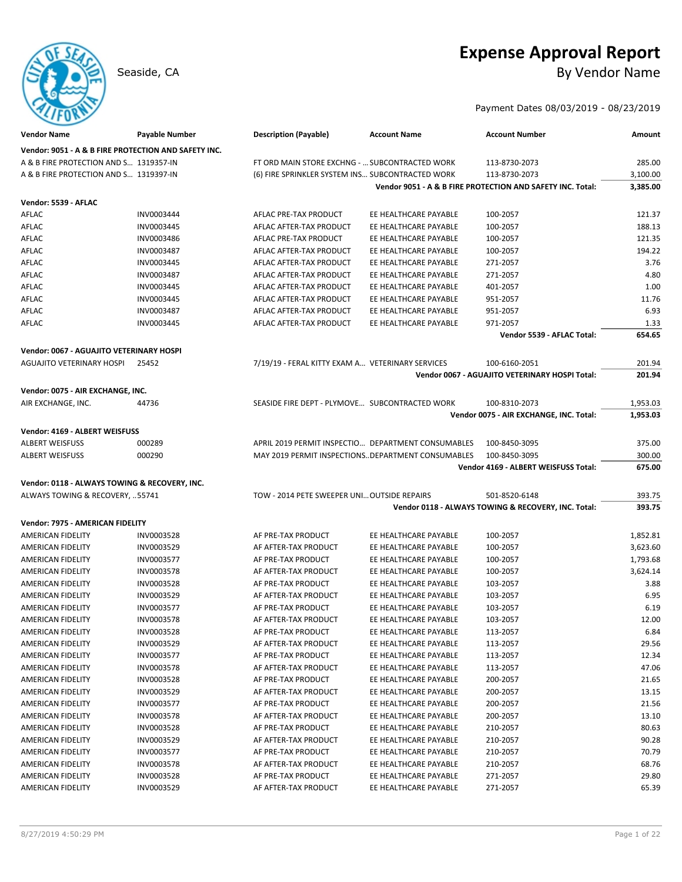# **Expense Approval Report** Seaside, CA By Vendor Name

Payment Dates 08/03/2019 - 08/23/2019

| <b>Vendor Name</b>                                   | <b>Payable Number</b> | <b>Description (Payable)</b>                        | <b>Account Name</b>                                | <b>Account Number</b>                                      | Amount   |
|------------------------------------------------------|-----------------------|-----------------------------------------------------|----------------------------------------------------|------------------------------------------------------------|----------|
| Vendor: 9051 - A & B FIRE PROTECTION AND SAFETY INC. |                       |                                                     |                                                    |                                                            |          |
| A & B FIRE PROTECTION AND S 1319357-IN               |                       | FT ORD MAIN STORE EXCHNG -  SUBCONTRACTED WORK      |                                                    | 113-8730-2073                                              | 285.00   |
| A & B FIRE PROTECTION AND S 1319397-IN               |                       | (6) FIRE SPRINKLER SYSTEM INS SUBCONTRACTED WORK    |                                                    | 113-8730-2073                                              | 3,100.00 |
|                                                      |                       |                                                     |                                                    | Vendor 9051 - A & B FIRE PROTECTION AND SAFETY INC. Total: | 3,385.00 |
| Vendor: 5539 - AFLAC                                 |                       |                                                     |                                                    |                                                            |          |
| AFLAC                                                | INV0003444            | AFLAC PRE-TAX PRODUCT                               | EE HEALTHCARE PAYABLE                              | 100-2057                                                   | 121.37   |
| AFLAC                                                | INV0003445            | AFLAC AFTER-TAX PRODUCT                             | EE HEALTHCARE PAYABLE                              | 100-2057                                                   | 188.13   |
| AFLAC                                                | INV0003486            | AFLAC PRE-TAX PRODUCT                               | EE HEALTHCARE PAYABLE                              | 100-2057                                                   | 121.35   |
| AFLAC                                                | INV0003487            | AFLAC AFTER-TAX PRODUCT                             | EE HEALTHCARE PAYABLE                              | 100-2057                                                   | 194.22   |
| AFLAC                                                | INV0003445            | AFLAC AFTER-TAX PRODUCT                             | EE HEALTHCARE PAYABLE                              | 271-2057                                                   | 3.76     |
| AFLAC                                                | INV0003487            | AFLAC AFTER-TAX PRODUCT                             | EE HEALTHCARE PAYABLE                              | 271-2057                                                   | 4.80     |
| AFLAC                                                | INV0003445            | AFLAC AFTER-TAX PRODUCT                             | EE HEALTHCARE PAYABLE                              | 401-2057                                                   | 1.00     |
| AFLAC                                                | INV0003445            | AFLAC AFTER-TAX PRODUCT                             | EE HEALTHCARE PAYABLE                              | 951-2057                                                   | 11.76    |
| AFLAC                                                | INV0003487            | AFLAC AFTER-TAX PRODUCT                             | EE HEALTHCARE PAYABLE                              | 951-2057                                                   | 6.93     |
| AFLAC                                                | INV0003445            | AFLAC AFTER-TAX PRODUCT                             | EE HEALTHCARE PAYABLE                              | 971-2057                                                   | 1.33     |
|                                                      |                       |                                                     |                                                    | Vendor 5539 - AFLAC Total:                                 | 654.65   |
| Vendor: 0067 - AGUAJITO VETERINARY HOSPI             |                       |                                                     |                                                    |                                                            |          |
| <b>AGUAJITO VETERINARY HOSPI</b>                     | 25452                 | 7/19/19 - FERAL KITTY EXAM A VETERINARY SERVICES    |                                                    | 100-6160-2051                                              | 201.94   |
|                                                      |                       |                                                     |                                                    | Vendor 0067 - AGUAJITO VETERINARY HOSPI Total:             | 201.94   |
|                                                      |                       |                                                     |                                                    |                                                            |          |
| Vendor: 0075 - AIR EXCHANGE, INC.                    |                       |                                                     |                                                    |                                                            |          |
| AIR EXCHANGE, INC.                                   | 44736                 | SEASIDE FIRE DEPT - PLYMOVE SUBCONTRACTED WORK      |                                                    | 100-8310-2073                                              | 1,953.03 |
|                                                      |                       |                                                     |                                                    | Vendor 0075 - AIR EXCHANGE, INC. Total:                    | 1,953.03 |
| Vendor: 4169 - ALBERT WEISFUSS                       |                       |                                                     |                                                    |                                                            |          |
| <b>ALBERT WEISFUSS</b>                               | 000289                |                                                     | APRIL 2019 PERMIT INSPECTIO DEPARTMENT CONSUMABLES | 100-8450-3095                                              | 375.00   |
| <b>ALBERT WEISFUSS</b>                               | 000290                | MAY 2019 PERMIT INSPECTIONS. DEPARTMENT CONSUMABLES |                                                    | 100-8450-3095                                              | 300.00   |
|                                                      |                       |                                                     |                                                    |                                                            |          |
|                                                      |                       |                                                     |                                                    | Vendor 4169 - ALBERT WEISFUSS Total:                       | 675.00   |
| Vendor: 0118 - ALWAYS TOWING & RECOVERY, INC.        |                       |                                                     |                                                    |                                                            |          |
| ALWAYS TOWING & RECOVERY, 55741                      |                       | TOW - 2014 PETE SWEEPER UNI OUTSIDE REPAIRS         |                                                    | 501-8520-6148                                              | 393.75   |
|                                                      |                       |                                                     |                                                    | Vendor 0118 - ALWAYS TOWING & RECOVERY, INC. Total:        | 393.75   |
| Vendor: 7975 - AMERICAN FIDELITY                     |                       |                                                     |                                                    |                                                            |          |
| <b>AMERICAN FIDELITY</b>                             | INV0003528            | AF PRE-TAX PRODUCT                                  | EE HEALTHCARE PAYABLE                              | 100-2057                                                   | 1,852.81 |
| AMERICAN FIDELITY                                    | INV0003529            | AF AFTER-TAX PRODUCT                                | EE HEALTHCARE PAYABLE                              | 100-2057                                                   | 3,623.60 |
| AMERICAN FIDELITY                                    | INV0003577            | AF PRE-TAX PRODUCT                                  | EE HEALTHCARE PAYABLE                              | 100-2057                                                   | 1,793.68 |
| AMERICAN FIDELITY                                    | INV0003578            | AF AFTER-TAX PRODUCT                                | EE HEALTHCARE PAYABLE                              | 100-2057                                                   | 3,624.14 |
| AMERICAN FIDELITY                                    | INV0003528            | AF PRE-TAX PRODUCT                                  | EE HEALTHCARE PAYABLE                              | 103-2057                                                   | 3.88     |
| AMERICAN FIDELITY                                    | INV0003529            | AF AFTER-TAX PRODUCT                                | EE HEALTHCARE PAYABLE                              | 103-2057                                                   | 6.95     |
| AMERICAN FIDELITY                                    | INV0003577            | AF PRE-TAX PRODUCT                                  | EE HEALTHCARE PAYABLE                              | 103-2057                                                   | 6.19     |
| <b>AMERICAN FIDELITY</b>                             | INV0003578            | AF AFTER-TAX PRODUCT                                | EE HEALTHCARE PAYABLE                              | 103-2057                                                   | 12.00    |
| <b>AMERICAN FIDELITY</b>                             | INV0003528            | AF PRE-TAX PRODUCT                                  | EE HEALTHCARE PAYABLE                              | 113-2057                                                   | 6.84     |
| AMERICAN FIDELITY                                    | INV0003529            | AF AFTER-TAX PRODUCT                                | EE HEALTHCARE PAYABLE                              | 113-2057                                                   | 29.56    |
| <b>AMERICAN FIDELITY</b>                             | INV0003577            | AF PRE-TAX PRODUCT                                  | EE HEALTHCARE PAYABLE                              | 113-2057                                                   | 12.34    |
| AMERICAN FIDELITY                                    | INV0003578            | AF AFTER-TAX PRODUCT                                | EE HEALTHCARE PAYABLE                              | 113-2057                                                   | 47.06    |
| AMERICAN FIDELITY                                    | INV0003528            | AF PRE-TAX PRODUCT                                  | EE HEALTHCARE PAYABLE                              | 200-2057                                                   | 21.65    |
| AMERICAN FIDELITY                                    | INV0003529            | AF AFTER-TAX PRODUCT                                | EE HEALTHCARE PAYABLE                              | 200-2057                                                   | 13.15    |
| AMERICAN FIDELITY                                    | INV0003577            | AF PRE-TAX PRODUCT                                  | EE HEALTHCARE PAYABLE                              | 200-2057                                                   | 21.56    |
| AMERICAN FIDELITY                                    | INV0003578            | AF AFTER-TAX PRODUCT                                | EE HEALTHCARE PAYABLE                              | 200-2057                                                   | 13.10    |
| AMERICAN FIDELITY                                    | INV0003528            | AF PRE-TAX PRODUCT                                  | EE HEALTHCARE PAYABLE                              | 210-2057                                                   | 80.63    |
| AMERICAN FIDELITY                                    | INV0003529            | AF AFTER-TAX PRODUCT                                | EE HEALTHCARE PAYABLE                              | 210-2057                                                   | 90.28    |
| AMERICAN FIDELITY                                    | INV0003577            | AF PRE-TAX PRODUCT                                  | EE HEALTHCARE PAYABLE                              | 210-2057                                                   | 70.79    |
| AMERICAN FIDELITY                                    | INV0003578            | AF AFTER-TAX PRODUCT                                | EE HEALTHCARE PAYABLE                              | 210-2057                                                   | 68.76    |
| AMERICAN FIDELITY                                    | INV0003528            | AF PRE-TAX PRODUCT                                  | EE HEALTHCARE PAYABLE                              | 271-2057                                                   | 29.80    |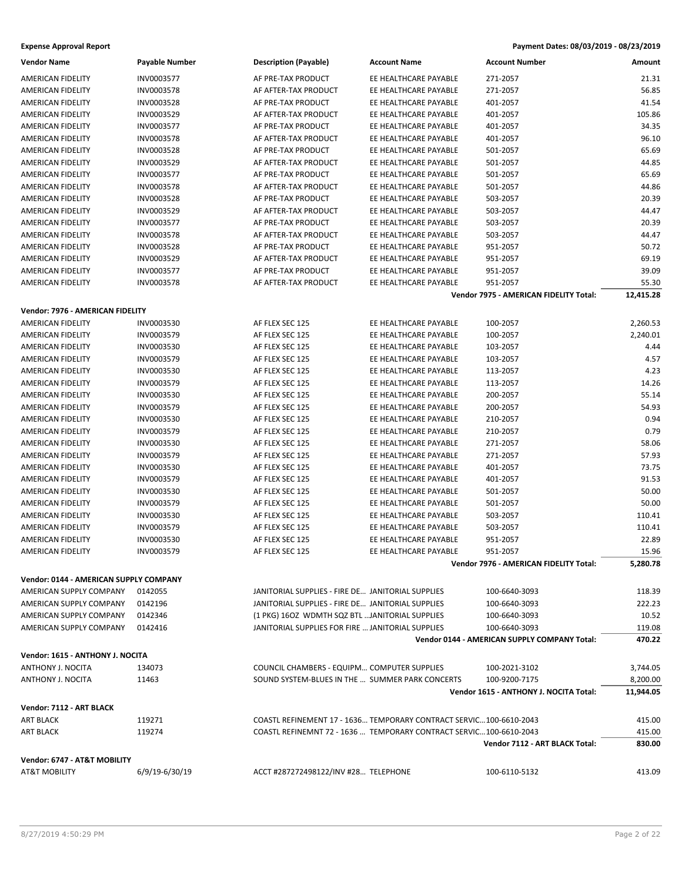| <b>Expense Approval Report</b> | Payment Dates: 08/03/2019 - 08/23/2019 |
|--------------------------------|----------------------------------------|
|--------------------------------|----------------------------------------|

| <b>Vendor Name</b>                     | <b>Payable Number</b> | <b>Description (Payable)</b>                      | <b>Account Name</b>                                                 | <b>Account Number</b>                        | Amount           |
|----------------------------------------|-----------------------|---------------------------------------------------|---------------------------------------------------------------------|----------------------------------------------|------------------|
| AMERICAN FIDELITY                      | INV0003577            | AF PRE-TAX PRODUCT                                | EE HEALTHCARE PAYABLE                                               | 271-2057                                     | 21.31            |
| AMERICAN FIDELITY                      | INV0003578            | AF AFTER-TAX PRODUCT                              | EE HEALTHCARE PAYABLE                                               | 271-2057                                     | 56.85            |
| AMERICAN FIDELITY                      | INV0003528            | AF PRE-TAX PRODUCT                                | EE HEALTHCARE PAYABLE                                               | 401-2057                                     | 41.54            |
| AMERICAN FIDELITY                      | INV0003529            | AF AFTER-TAX PRODUCT                              | EE HEALTHCARE PAYABLE                                               | 401-2057                                     | 105.86           |
| <b>AMERICAN FIDELITY</b>               | INV0003577            | AF PRE-TAX PRODUCT                                | EE HEALTHCARE PAYABLE                                               | 401-2057                                     | 34.35            |
| AMERICAN FIDELITY                      | INV0003578            | AF AFTER-TAX PRODUCT                              | EE HEALTHCARE PAYABLE                                               | 401-2057                                     | 96.10            |
| AMERICAN FIDELITY                      | INV0003528            | AF PRE-TAX PRODUCT                                | EE HEALTHCARE PAYABLE                                               | 501-2057                                     | 65.69            |
| AMERICAN FIDELITY                      | INV0003529            | AF AFTER-TAX PRODUCT                              | EE HEALTHCARE PAYABLE                                               | 501-2057                                     | 44.85            |
| AMERICAN FIDELITY                      | INV0003577            | AF PRE-TAX PRODUCT                                | EE HEALTHCARE PAYABLE                                               | 501-2057                                     | 65.69            |
| AMERICAN FIDELITY                      | INV0003578            | AF AFTER-TAX PRODUCT                              | EE HEALTHCARE PAYABLE                                               | 501-2057                                     | 44.86            |
| AMERICAN FIDELITY                      | INV0003528            | AF PRE-TAX PRODUCT                                | EE HEALTHCARE PAYABLE                                               | 503-2057                                     | 20.39            |
| AMERICAN FIDELITY                      | INV0003529            | AF AFTER-TAX PRODUCT                              | EE HEALTHCARE PAYABLE                                               | 503-2057                                     | 44.47            |
| AMERICAN FIDELITY                      | INV0003577            | AF PRE-TAX PRODUCT                                | EE HEALTHCARE PAYABLE                                               | 503-2057                                     | 20.39            |
| AMERICAN FIDELITY                      | INV0003578            | AF AFTER-TAX PRODUCT                              | EE HEALTHCARE PAYABLE                                               | 503-2057                                     | 44.47            |
| AMERICAN FIDELITY                      | INV0003528            | AF PRE-TAX PRODUCT                                | EE HEALTHCARE PAYABLE                                               | 951-2057                                     | 50.72            |
| AMERICAN FIDELITY                      | INV0003529            | AF AFTER-TAX PRODUCT                              | EE HEALTHCARE PAYABLE                                               | 951-2057                                     | 69.19            |
| AMERICAN FIDELITY                      | INV0003577            | AF PRE-TAX PRODUCT                                | EE HEALTHCARE PAYABLE                                               | 951-2057                                     | 39.09            |
|                                        |                       | AF AFTER-TAX PRODUCT                              | EE HEALTHCARE PAYABLE                                               |                                              |                  |
| AMERICAN FIDELITY                      | INV0003578            |                                                   |                                                                     | 951-2057                                     | 55.30            |
|                                        |                       |                                                   |                                                                     | Vendor 7975 - AMERICAN FIDELITY Total:       | 12,415.28        |
| Vendor: 7976 - AMERICAN FIDELITY       |                       |                                                   |                                                                     |                                              |                  |
| AMERICAN FIDELITY                      | INV0003530            | AF FLEX SEC 125                                   | EE HEALTHCARE PAYABLE                                               | 100-2057                                     | 2,260.53         |
| <b>AMERICAN FIDELITY</b>               | INV0003579            | AF FLEX SEC 125                                   | EE HEALTHCARE PAYABLE                                               | 100-2057                                     | 2,240.01         |
| AMERICAN FIDELITY                      | INV0003530            | AF FLEX SEC 125                                   | EE HEALTHCARE PAYABLE                                               | 103-2057                                     | 4.44             |
| AMERICAN FIDELITY                      | INV0003579            | AF FLEX SEC 125                                   | EE HEALTHCARE PAYABLE                                               | 103-2057                                     | 4.57             |
| AMERICAN FIDELITY                      | INV0003530            | AF FLEX SEC 125                                   | EE HEALTHCARE PAYABLE                                               | 113-2057                                     | 4.23             |
| AMERICAN FIDELITY                      | INV0003579            | AF FLEX SEC 125                                   | EE HEALTHCARE PAYABLE                                               | 113-2057                                     | 14.26            |
| AMERICAN FIDELITY                      | INV0003530            | AF FLEX SEC 125                                   | EE HEALTHCARE PAYABLE                                               | 200-2057                                     | 55.14            |
| AMERICAN FIDELITY                      | INV0003579            | AF FLEX SEC 125                                   | EE HEALTHCARE PAYABLE                                               | 200-2057                                     | 54.93            |
| AMERICAN FIDELITY                      | INV0003530            | AF FLEX SEC 125                                   | EE HEALTHCARE PAYABLE                                               | 210-2057                                     | 0.94             |
| AMERICAN FIDELITY                      | INV0003579            | AF FLEX SEC 125                                   | EE HEALTHCARE PAYABLE                                               | 210-2057                                     | 0.79             |
| AMERICAN FIDELITY                      | INV0003530            | AF FLEX SEC 125                                   | EE HEALTHCARE PAYABLE                                               | 271-2057                                     | 58.06            |
| AMERICAN FIDELITY                      | INV0003579            | AF FLEX SEC 125                                   | EE HEALTHCARE PAYABLE                                               | 271-2057                                     | 57.93            |
| AMERICAN FIDELITY                      | INV0003530            | AF FLEX SEC 125                                   | EE HEALTHCARE PAYABLE                                               | 401-2057                                     | 73.75            |
| AMERICAN FIDELITY                      | INV0003579            | AF FLEX SEC 125                                   | EE HEALTHCARE PAYABLE                                               | 401-2057                                     | 91.53            |
| AMERICAN FIDELITY                      | INV0003530            | AF FLEX SEC 125                                   | EE HEALTHCARE PAYABLE                                               | 501-2057                                     | 50.00            |
| AMERICAN FIDELITY                      | INV0003579            | AF FLEX SEC 125                                   | EE HEALTHCARE PAYABLE                                               | 501-2057                                     | 50.00            |
| AMERICAN FIDELITY                      | INV0003530            | AF FLEX SEC 125                                   | EE HEALTHCARE PAYABLE                                               | 503-2057                                     | 110.41           |
| AMERICAN FIDELITY                      | INV0003579            | AF FLEX SEC 125                                   | EE HEALTHCARE PAYABLE                                               | 503-2057                                     | 110.41           |
| AMERICAN FIDELITY                      | INV0003530            | AF FLEX SEC 125                                   | EE HEALTHCARE PAYABLE                                               | 951-2057                                     | 22.89            |
| AMERICAN FIDELITY                      | INV0003579            | AF FLEX SEC 125                                   | EE HEALTHCARE PAYABLE                                               | 951-2057                                     | 15.96            |
|                                        |                       |                                                   |                                                                     | Vendor 7976 - AMERICAN FIDELITY Total:       | 5,280.78         |
| Vendor: 0144 - AMERICAN SUPPLY COMPANY |                       |                                                   |                                                                     |                                              |                  |
| AMERICAN SUPPLY COMPANY                | 0142055               | JANITORIAL SUPPLIES - FIRE DE JANITORIAL SUPPLIES |                                                                     | 100-6640-3093                                | 118.39           |
| AMERICAN SUPPLY COMPANY                | 0142196               | JANITORIAL SUPPLIES - FIRE DE JANITORIAL SUPPLIES |                                                                     | 100-6640-3093                                | 222.23           |
|                                        | 0142346               |                                                   |                                                                     |                                              | 10.52            |
| AMERICAN SUPPLY COMPANY                |                       | (1 PKG) 16OZ WDMTH SQZ BTL  JANITORIAL SUPPLIES   |                                                                     | 100-6640-3093                                |                  |
| AMERICAN SUPPLY COMPANY                | 0142416               | JANITORIAL SUPPLIES FOR FIRE  JANITORIAL SUPPLIES |                                                                     | 100-6640-3093                                | 119.08<br>470.22 |
|                                        |                       |                                                   |                                                                     | Vendor 0144 - AMERICAN SUPPLY COMPANY Total: |                  |
| Vendor: 1615 - ANTHONY J. NOCITA       |                       |                                                   |                                                                     |                                              |                  |
| ANTHONY J. NOCITA                      | 134073                | COUNCIL CHAMBERS - EQUIPM COMPUTER SUPPLIES       |                                                                     | 100-2021-3102                                | 3,744.05         |
| ANTHONY J. NOCITA                      | 11463                 | SOUND SYSTEM-BLUES IN THE  SUMMER PARK CONCERTS   |                                                                     | 100-9200-7175                                | 8,200.00         |
|                                        |                       |                                                   |                                                                     | Vendor 1615 - ANTHONY J. NOCITA Total:       | 11,944.05        |
| Vendor: 7112 - ART BLACK               |                       |                                                   |                                                                     |                                              |                  |
| <b>ART BLACK</b>                       | 119271                |                                                   | COASTL REFINEMENT 17 - 1636 TEMPORARY CONTRACT SERVIC100-6610-2043  |                                              | 415.00           |
| <b>ART BLACK</b>                       | 119274                |                                                   | COASTL REFINEMNT 72 - 1636  TEMPORARY CONTRACT SERVIC 100-6610-2043 |                                              | 415.00           |
|                                        |                       |                                                   |                                                                     | Vendor 7112 - ART BLACK Total:               | 830.00           |
| Vendor: 6747 - AT&T MOBILITY           |                       |                                                   |                                                                     |                                              |                  |
| AT&T MOBILITY                          | 6/9/19-6/30/19        | ACCT #287272498122/INV #28 TELEPHONE              |                                                                     | 100-6110-5132                                | 413.09           |
|                                        |                       |                                                   |                                                                     |                                              |                  |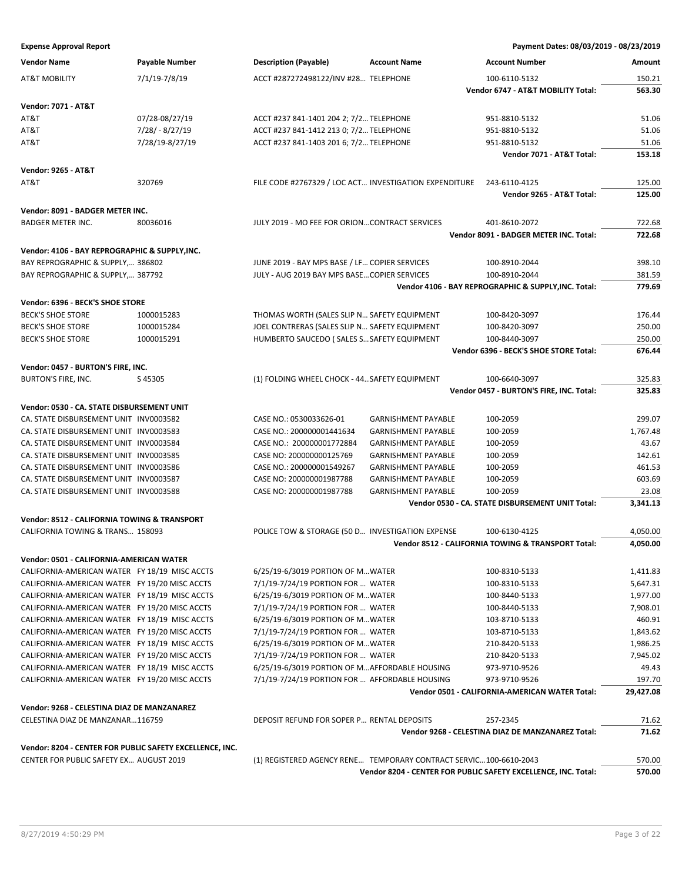| <b>Vendor Name</b>                                       | <b>Payable Number</b> | <b>Description (Payable)</b>                                      | <b>Account Name</b>        | <b>Account Number</b>                                          | Amount    |
|----------------------------------------------------------|-----------------------|-------------------------------------------------------------------|----------------------------|----------------------------------------------------------------|-----------|
| <b>AT&amp;T MOBILITY</b>                                 | 7/1/19-7/8/19         | ACCT #287272498122/INV #28 TELEPHONE                              |                            | 100-6110-5132                                                  | 150.21    |
|                                                          |                       |                                                                   |                            | Vendor 6747 - AT&T MOBILITY Total:                             | 563.30    |
| <b>Vendor: 7071 - AT&amp;T</b>                           |                       |                                                                   |                            |                                                                |           |
| AT&T                                                     | 07/28-08/27/19        | ACCT #237 841-1401 204 2; 7/2 TELEPHONE                           |                            | 951-8810-5132                                                  | 51.06     |
| AT&T                                                     | 7/28/ - 8/27/19       | ACCT #237 841-1412 213 0; 7/2 TELEPHONE                           |                            | 951-8810-5132                                                  | 51.06     |
| AT&T                                                     | 7/28/19-8/27/19       | ACCT #237 841-1403 201 6; 7/2 TELEPHONE                           |                            | 951-8810-5132                                                  | 51.06     |
|                                                          |                       |                                                                   |                            | Vendor 7071 - AT&T Total:                                      | 153.18    |
|                                                          |                       |                                                                   |                            |                                                                |           |
| <b>Vendor: 9265 - AT&amp;T</b>                           |                       |                                                                   |                            |                                                                |           |
| AT&T                                                     | 320769                | FILE CODE #2767329 / LOC ACT INVESTIGATION EXPENDITURE            |                            | 243-6110-4125                                                  | 125.00    |
|                                                          |                       |                                                                   |                            | Vendor 9265 - AT&T Total:                                      | 125.00    |
| Vendor: 8091 - BADGER METER INC.                         |                       |                                                                   |                            |                                                                |           |
| <b>BADGER METER INC.</b>                                 | 80036016              | JULY 2019 - MO FEE FOR ORIONCONTRACT SERVICES                     |                            | 401-8610-2072                                                  | 722.68    |
|                                                          |                       |                                                                   |                            | Vendor 8091 - BADGER METER INC. Total:                         | 722.68    |
| Vendor: 4106 - BAY REPROGRAPHIC & SUPPLY, INC.           |                       |                                                                   |                            |                                                                |           |
| BAY REPROGRAPHIC & SUPPLY, 386802                        |                       | JUNE 2019 - BAY MPS BASE / LF COPIER SERVICES                     |                            | 100-8910-2044                                                  | 398.10    |
| BAY REPROGRAPHIC & SUPPLY, 387792                        |                       | JULY - AUG 2019 BAY MPS BASE COPIER SERVICES                      |                            | 100-8910-2044                                                  | 381.59    |
|                                                          |                       |                                                                   |                            | Vendor 4106 - BAY REPROGRAPHIC & SUPPLY, INC. Total:           | 779.69    |
| Vendor: 6396 - BECK'S SHOE STORE                         |                       |                                                                   |                            |                                                                |           |
| <b>BECK'S SHOE STORE</b>                                 | 1000015283            | THOMAS WORTH (SALES SLIP N SAFETY EQUIPMENT                       |                            | 100-8420-3097                                                  | 176.44    |
| <b>BECK'S SHOE STORE</b>                                 | 1000015284            | JOEL CONTRERAS (SALES SLIP N SAFETY EQUIPMENT                     |                            | 100-8420-3097                                                  | 250.00    |
| <b>BECK'S SHOE STORE</b>                                 | 1000015291            | HUMBERTO SAUCEDO (SALES S SAFETY EQUIPMENT                        |                            | 100-8440-3097                                                  | 250.00    |
|                                                          |                       |                                                                   |                            | Vendor 6396 - BECK'S SHOE STORE Total:                         | 676.44    |
|                                                          |                       |                                                                   |                            |                                                                |           |
| Vendor: 0457 - BURTON'S FIRE, INC.                       |                       |                                                                   |                            |                                                                |           |
| BURTON'S FIRE, INC.                                      | S45305                | (1) FOLDING WHEEL CHOCK - 44 SAFETY EQUIPMENT                     |                            | 100-6640-3097                                                  | 325.83    |
|                                                          |                       |                                                                   |                            | Vendor 0457 - BURTON'S FIRE, INC. Total:                       | 325.83    |
| Vendor: 0530 - CA. STATE DISBURSEMENT UNIT               |                       |                                                                   |                            |                                                                |           |
| CA. STATE DISBURSEMENT UNIT INV0003582                   |                       | CASE NO.: 0530033626-01                                           | <b>GARNISHMENT PAYABLE</b> | 100-2059                                                       | 299.07    |
| CA. STATE DISBURSEMENT UNIT INV0003583                   |                       | CASE NO.: 200000001441634                                         | <b>GARNISHMENT PAYABLE</b> | 100-2059                                                       | 1,767.48  |
| CA. STATE DISBURSEMENT UNIT INV0003584                   |                       | CASE NO.: 200000001772884                                         | <b>GARNISHMENT PAYABLE</b> | 100-2059                                                       | 43.67     |
| CA. STATE DISBURSEMENT UNIT INV0003585                   |                       | CASE NO: 200000000125769                                          | <b>GARNISHMENT PAYABLE</b> | 100-2059                                                       | 142.61    |
| CA. STATE DISBURSEMENT UNIT INV0003586                   |                       | CASE NO.: 200000001549267                                         | <b>GARNISHMENT PAYABLE</b> | 100-2059                                                       | 461.53    |
| CA. STATE DISBURSEMENT UNIT INV0003587                   |                       | CASE NO: 200000001987788                                          | <b>GARNISHMENT PAYABLE</b> | 100-2059                                                       | 603.69    |
| CA. STATE DISBURSEMENT UNIT INV0003588                   |                       | CASE NO: 200000001987788                                          | <b>GARNISHMENT PAYABLE</b> | 100-2059                                                       | 23.08     |
|                                                          |                       |                                                                   |                            | Vendor 0530 - CA. STATE DISBURSEMENT UNIT Total:               | 3,341.13  |
| <b>Vendor: 8512 - CALIFORNIA TOWING &amp; TRANSPORT</b>  |                       |                                                                   |                            |                                                                |           |
| CALIFORNIA TOWING & TRANS 158093                         |                       | POLICE TOW & STORAGE (50 D INVESTIGATION EXPENSE                  |                            | 100-6130-4125                                                  | 4,050.00  |
|                                                          |                       |                                                                   |                            | Vendor 8512 - CALIFORNIA TOWING & TRANSPORT Total:             | 4,050.00  |
| Vendor: 0501 - CALIFORNIA-AMERICAN WATER                 |                       |                                                                   |                            |                                                                |           |
| CALIFORNIA-AMERICAN WATER FY 18/19 MISC ACCTS            |                       | 6/25/19-6/3019 PORTION OF MWATER                                  |                            | 100-8310-5133                                                  | 1,411.83  |
| CALIFORNIA-AMERICAN WATER FY 19/20 MISC ACCTS            |                       | 7/1/19-7/24/19 PORTION FOR  WATER                                 |                            | 100-8310-5133                                                  | 5,647.31  |
| CALIFORNIA-AMERICAN WATER FY 18/19 MISC ACCTS            |                       | 6/25/19-6/3019 PORTION OF MWATER                                  |                            | 100-8440-5133                                                  | 1,977.00  |
| CALIFORNIA-AMERICAN WATER FY 19/20 MISC ACCTS            |                       | 7/1/19-7/24/19 PORTION FOR  WATER                                 |                            | 100-8440-5133                                                  | 7,908.01  |
| CALIFORNIA-AMERICAN WATER FY 18/19 MISC ACCTS            |                       | 6/25/19-6/3019 PORTION OF MWATER                                  |                            | 103-8710-5133                                                  | 460.91    |
| CALIFORNIA-AMERICAN WATER FY 19/20 MISC ACCTS            |                       | 7/1/19-7/24/19 PORTION FOR  WATER                                 |                            | 103-8710-5133                                                  | 1,843.62  |
| CALIFORNIA-AMERICAN WATER FY 18/19 MISC ACCTS            |                       | 6/25/19-6/3019 PORTION OF MWATER                                  |                            | 210-8420-5133                                                  | 1,986.25  |
| CALIFORNIA-AMERICAN WATER FY 19/20 MISC ACCTS            |                       | 7/1/19-7/24/19 PORTION FOR  WATER                                 |                            | 210-8420-5133                                                  | 7,945.02  |
| CALIFORNIA-AMERICAN WATER FY 18/19 MISC ACCTS            |                       | 6/25/19-6/3019 PORTION OF MAFFORDABLE HOUSING                     |                            | 973-9710-9526                                                  | 49.43     |
| CALIFORNIA-AMERICAN WATER FY 19/20 MISC ACCTS            |                       | 7/1/19-7/24/19 PORTION FOR  AFFORDABLE HOUSING                    |                            | 973-9710-9526                                                  | 197.70    |
|                                                          |                       |                                                                   |                            | Vendor 0501 - CALIFORNIA-AMERICAN WATER Total:                 | 29,427.08 |
|                                                          |                       |                                                                   |                            |                                                                |           |
| Vendor: 9268 - CELESTINA DIAZ DE MANZANAREZ              |                       |                                                                   |                            |                                                                |           |
| CELESTINA DIAZ DE MANZANAR116759                         |                       | DEPOSIT REFUND FOR SOPER P RENTAL DEPOSITS                        |                            | 257-2345                                                       | 71.62     |
|                                                          |                       |                                                                   |                            | Vendor 9268 - CELESTINA DIAZ DE MANZANAREZ Total:              | 71.62     |
| Vendor: 8204 - CENTER FOR PUBLIC SAFETY EXCELLENCE, INC. |                       |                                                                   |                            |                                                                |           |
| <b>CENTER FOR PUBLIC SAFETY EX AUGUST 2019</b>           |                       | (1) REGISTERED AGENCY RENE TEMPORARY CONTRACT SERVIC100-6610-2043 |                            |                                                                | 570.00    |
|                                                          |                       |                                                                   |                            | Vendor 8204 - CENTER FOR PUBLIC SAFETY EXCELLENCE, INC. Total: | 570.00    |
|                                                          |                       |                                                                   |                            |                                                                |           |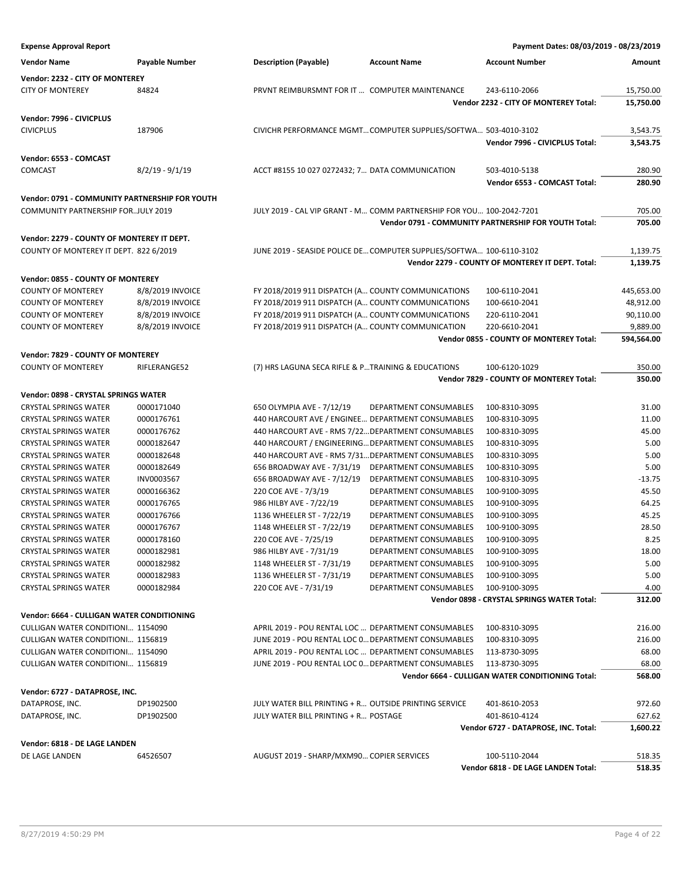| <b>Expense Approval Report</b>                                                       |                   |                                                       |                                                                      | Payment Dates: 08/03/2019 - 08/23/2019               |            |
|--------------------------------------------------------------------------------------|-------------------|-------------------------------------------------------|----------------------------------------------------------------------|------------------------------------------------------|------------|
| <b>Vendor Name</b>                                                                   | Payable Number    | <b>Description (Payable)</b>                          | <b>Account Name</b>                                                  | <b>Account Number</b>                                | Amount     |
| Vendor: 2232 - CITY OF MONTEREY                                                      |                   |                                                       |                                                                      |                                                      |            |
| <b>CITY OF MONTEREY</b>                                                              | 84824             | PRVNT REIMBURSMNT FOR IT  COMPUTER MAINTENANCE        |                                                                      | 243-6110-2066                                        | 15,750.00  |
|                                                                                      |                   |                                                       |                                                                      | Vendor 2232 - CITY OF MONTEREY Total:                | 15,750.00  |
| Vendor: 7996 - CIVICPLUS                                                             |                   |                                                       |                                                                      |                                                      |            |
| <b>CIVICPLUS</b>                                                                     | 187906            |                                                       | CIVICHR PERFORMANCE MGMTCOMPUTER SUPPLIES/SOFTWA 503-4010-3102       |                                                      | 3,543.75   |
|                                                                                      |                   |                                                       |                                                                      | Vendor 7996 - CIVICPLUS Total:                       | 3,543.75   |
| Vendor: 6553 - COMCAST                                                               |                   |                                                       |                                                                      |                                                      |            |
| COMCAST                                                                              | $8/2/19 - 9/1/19$ | ACCT #8155 10 027 0272432; 7 DATA COMMUNICATION       |                                                                      | 503-4010-5138                                        | 280.90     |
|                                                                                      |                   |                                                       |                                                                      | Vendor 6553 - COMCAST Total:                         | 280.90     |
|                                                                                      |                   |                                                       |                                                                      |                                                      |            |
| Vendor: 0791 - COMMUNITY PARTNERSHIP FOR YOUTH<br>COMMUNITY PARTNERSHIP FORJULY 2019 |                   |                                                       | JULY 2019 - CAL VIP GRANT - M COMM PARTNERSHIP FOR YOU 100-2042-7201 |                                                      | 705.00     |
|                                                                                      |                   |                                                       |                                                                      | Vendor 0791 - COMMUNITY PARTNERSHIP FOR YOUTH Total: | 705.00     |
|                                                                                      |                   |                                                       |                                                                      |                                                      |            |
| Vendor: 2279 - COUNTY OF MONTEREY IT DEPT.                                           |                   |                                                       |                                                                      |                                                      |            |
| COUNTY OF MONTEREY IT DEPT. 822 6/2019                                               |                   |                                                       | JUNE 2019 - SEASIDE POLICE DE COMPUTER SUPPLIES/SOFTWA 100-6110-3102 |                                                      | 1,139.75   |
|                                                                                      |                   |                                                       |                                                                      | Vendor 2279 - COUNTY OF MONTEREY IT DEPT. Total:     | 1,139.75   |
| Vendor: 0855 - COUNTY OF MONTEREY                                                    |                   |                                                       |                                                                      |                                                      |            |
| <b>COUNTY OF MONTEREY</b>                                                            | 8/8/2019 INVOICE  | FY 2018/2019 911 DISPATCH (A COUNTY COMMUNICATIONS    |                                                                      | 100-6110-2041                                        | 445,653.00 |
| <b>COUNTY OF MONTEREY</b>                                                            | 8/8/2019 INVOICE  | FY 2018/2019 911 DISPATCH (A COUNTY COMMUNICATIONS    |                                                                      | 100-6610-2041                                        | 48,912.00  |
| <b>COUNTY OF MONTEREY</b>                                                            | 8/8/2019 INVOICE  | FY 2018/2019 911 DISPATCH (A COUNTY COMMUNICATIONS    |                                                                      | 220-6110-2041                                        | 90,110.00  |
| <b>COUNTY OF MONTEREY</b>                                                            | 8/8/2019 INVOICE  | FY 2018/2019 911 DISPATCH (A COUNTY COMMUNICATION     |                                                                      | 220-6610-2041                                        | 9,889.00   |
|                                                                                      |                   |                                                       |                                                                      | Vendor 0855 - COUNTY OF MONTEREY Total:              | 594,564.00 |
| Vendor: 7829 - COUNTY OF MONTEREY                                                    |                   |                                                       |                                                                      |                                                      |            |
| <b>COUNTY OF MONTEREY</b>                                                            | RIFLERANGE52      | (7) HRS LAGUNA SECA RIFLE & PTRAINING & EDUCATIONS    |                                                                      | 100-6120-1029                                        | 350.00     |
|                                                                                      |                   |                                                       |                                                                      | Vendor 7829 - COUNTY OF MONTEREY Total:              | 350.00     |
| Vendor: 0898 - CRYSTAL SPRINGS WATER                                                 |                   |                                                       |                                                                      |                                                      |            |
| <b>CRYSTAL SPRINGS WATER</b>                                                         | 0000171040        | 650 OLYMPIA AVE - 7/12/19                             | DEPARTMENT CONSUMABLES                                               | 100-8310-3095                                        | 31.00      |
| <b>CRYSTAL SPRINGS WATER</b>                                                         | 0000176761        | 440 HARCOURT AVE / ENGINEE DEPARTMENT CONSUMABLES     |                                                                      | 100-8310-3095                                        | 11.00      |
| <b>CRYSTAL SPRINGS WATER</b>                                                         | 0000176762        | 440 HARCOURT AVE - RMS 7/22 DEPARTMENT CONSUMABLES    |                                                                      | 100-8310-3095                                        | 45.00      |
| <b>CRYSTAL SPRINGS WATER</b>                                                         | 0000182647        | 440 HARCOURT / ENGINEERING DEPARTMENT CONSUMABLES     |                                                                      | 100-8310-3095                                        | 5.00       |
|                                                                                      |                   |                                                       |                                                                      |                                                      |            |
| <b>CRYSTAL SPRINGS WATER</b>                                                         | 0000182648        | 440 HARCOURT AVE - RMS 7/31 DEPARTMENT CONSUMABLES    |                                                                      | 100-8310-3095                                        | 5.00       |
| <b>CRYSTAL SPRINGS WATER</b>                                                         | 0000182649        | 656 BROADWAY AVE - 7/31/19                            | DEPARTMENT CONSUMABLES                                               | 100-8310-3095                                        | 5.00       |
| <b>CRYSTAL SPRINGS WATER</b>                                                         | INV0003567        | 656 BROADWAY AVE - 7/12/19                            | DEPARTMENT CONSUMABLES                                               | 100-8310-3095                                        | $-13.75$   |
| <b>CRYSTAL SPRINGS WATER</b>                                                         | 0000166362        | 220 COE AVE - 7/3/19                                  | DEPARTMENT CONSUMABLES                                               | 100-9100-3095                                        | 45.50      |
| <b>CRYSTAL SPRINGS WATER</b>                                                         | 0000176765        | 986 HILBY AVE - 7/22/19                               | DEPARTMENT CONSUMABLES                                               | 100-9100-3095                                        | 64.25      |
| <b>CRYSTAL SPRINGS WATER</b>                                                         | 0000176766        | 1136 WHEELER ST - 7/22/19                             | DEPARTMENT CONSUMABLES                                               | 100-9100-3095                                        | 45.25      |
| <b>CRYSTAL SPRINGS WATER</b>                                                         | 0000176767        | 1148 WHEELER ST - 7/22/19                             | DEPARTMENT CONSUMABLES                                               | 100-9100-3095                                        | 28.50      |
| <b>CRYSTAL SPRINGS WATER</b>                                                         | 0000178160        | 220 COE AVE - 7/25/19                                 | DEPARTMENT CONSUMABLES                                               | 100-9100-3095                                        | 8.25       |
| <b>CRYSTAL SPRINGS WATER</b>                                                         | 0000182981        | 986 HILBY AVE - 7/31/19                               | DEPARTMENT CONSUMABLES                                               | 100-9100-3095                                        | 18.00      |
| <b>CRYSTAL SPRINGS WATER</b>                                                         | 0000182982        | 1148 WHEELER ST - 7/31/19                             | DEPARTMENT CONSUMABLES                                               | 100-9100-3095                                        | 5.00       |
| <b>CRYSTAL SPRINGS WATER</b>                                                         | 0000182983        | 1136 WHEELER ST - 7/31/19                             | DEPARTMENT CONSUMABLES                                               | 100-9100-3095                                        | 5.00       |
| <b>CRYSTAL SPRINGS WATER</b>                                                         | 0000182984        | 220 COE AVE - 7/31/19                                 | DEPARTMENT CONSUMABLES                                               | 100-9100-3095                                        | 4.00       |
|                                                                                      |                   |                                                       |                                                                      | Vendor 0898 - CRYSTAL SPRINGS WATER Total:           | 312.00     |
| Vendor: 6664 - CULLIGAN WATER CONDITIONING                                           |                   |                                                       |                                                                      |                                                      |            |
| CULLIGAN WATER CONDITIONI 1154090                                                    |                   | APRIL 2019 - POU RENTAL LOC  DEPARTMENT CONSUMABLES   |                                                                      | 100-8310-3095                                        | 216.00     |
| CULLIGAN WATER CONDITIONI 1156819                                                    |                   | JUNE 2019 - POU RENTAL LOC 0 DEPARTMENT CONSUMABLES   |                                                                      | 100-8310-3095                                        | 216.00     |
| CULLIGAN WATER CONDITIONI 1154090                                                    |                   | APRIL 2019 - POU RENTAL LOC  DEPARTMENT CONSUMABLES   |                                                                      | 113-8730-3095                                        | 68.00      |
| <b>CULLIGAN WATER CONDITIONI 1156819</b>                                             |                   | JUNE 2019 - POU RENTAL LOC 0 DEPARTMENT CONSUMABLES   |                                                                      | 113-8730-3095                                        | 68.00      |
|                                                                                      |                   |                                                       |                                                                      | Vendor 6664 - CULLIGAN WATER CONDITIONING Total:     | 568.00     |
| Vendor: 6727 - DATAPROSE, INC.                                                       |                   |                                                       |                                                                      |                                                      |            |
| DATAPROSE, INC.                                                                      | DP1902500         | JULY WATER BILL PRINTING + R OUTSIDE PRINTING SERVICE |                                                                      | 401-8610-2053                                        | 972.60     |
| DATAPROSE, INC.                                                                      | DP1902500         | JULY WATER BILL PRINTING + R POSTAGE                  |                                                                      | 401-8610-4124                                        | 627.62     |
|                                                                                      |                   |                                                       |                                                                      | Vendor 6727 - DATAPROSE, INC. Total:                 | 1,600.22   |
|                                                                                      |                   |                                                       |                                                                      |                                                      |            |
| Vendor: 6818 - DE LAGE LANDEN                                                        |                   |                                                       |                                                                      |                                                      |            |
| DE LAGE LANDEN                                                                       | 64526507          | AUGUST 2019 - SHARP/MXM90 COPIER SERVICES             |                                                                      | 100-5110-2044                                        | 518.35     |
|                                                                                      |                   |                                                       |                                                                      | Vendor 6818 - DE LAGE LANDEN Total:                  | 518.35     |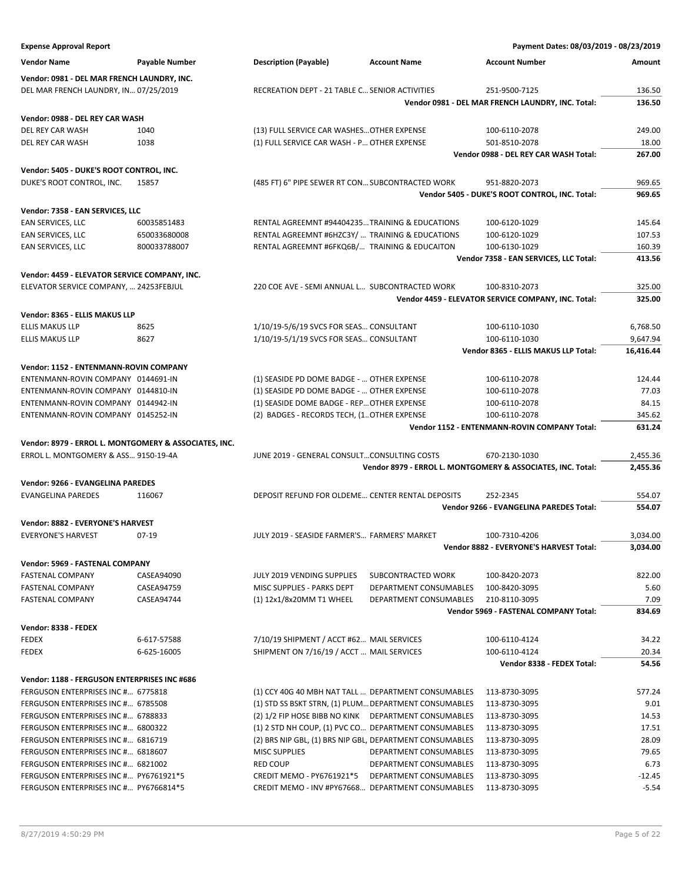| <b>Expense Approval Report</b>                                                     |                       |                                                          |                                                  | Payment Dates: 08/03/2019 - 08/23/2019                               |                  |
|------------------------------------------------------------------------------------|-----------------------|----------------------------------------------------------|--------------------------------------------------|----------------------------------------------------------------------|------------------|
| <b>Vendor Name</b>                                                                 | <b>Payable Number</b> | <b>Description (Payable)</b>                             | <b>Account Name</b>                              | <b>Account Number</b>                                                | Amount           |
| Vendor: 0981 - DEL MAR FRENCH LAUNDRY, INC.                                        |                       |                                                          |                                                  |                                                                      |                  |
| DEL MAR FRENCH LAUNDRY, IN 07/25/2019                                              |                       | RECREATION DEPT - 21 TABLE C SENIOR ACTIVITIES           |                                                  | 251-9500-7125                                                        | 136.50           |
|                                                                                    |                       |                                                          |                                                  | Vendor 0981 - DEL MAR FRENCH LAUNDRY, INC. Total:                    | 136.50           |
| Vendor: 0988 - DEL REY CAR WASH                                                    |                       |                                                          |                                                  |                                                                      |                  |
| DEL REY CAR WASH                                                                   | 1040                  | (13) FULL SERVICE CAR WASHES OTHER EXPENSE               |                                                  | 100-6110-2078                                                        | 249.00           |
| DEL REY CAR WASH                                                                   | 1038                  | (1) FULL SERVICE CAR WASH - P OTHER EXPENSE              |                                                  | 501-8510-2078                                                        | 18.00            |
|                                                                                    |                       |                                                          |                                                  | Vendor 0988 - DEL REY CAR WASH Total:                                | 267.00           |
| Vendor: 5405 - DUKE'S ROOT CONTROL, INC.                                           |                       |                                                          |                                                  |                                                                      |                  |
| DUKE'S ROOT CONTROL, INC.                                                          | 15857                 | (485 FT) 6" PIPE SEWER RT CON SUBCONTRACTED WORK         |                                                  | 951-8820-2073                                                        | 969.65           |
|                                                                                    |                       |                                                          |                                                  | Vendor 5405 - DUKE'S ROOT CONTROL, INC. Total:                       | 969.65           |
|                                                                                    |                       |                                                          |                                                  |                                                                      |                  |
| Vendor: 7358 - EAN SERVICES, LLC<br>EAN SERVICES, LLC                              | 60035851483           | RENTAL AGREEMNT #94404235 TRAINING & EDUCATIONS          |                                                  | 100-6120-1029                                                        | 145.64           |
| EAN SERVICES, LLC                                                                  | 650033680008          | RENTAL AGREEMNT #6HZC3Y/  TRAINING & EDUCATIONS          |                                                  | 100-6120-1029                                                        | 107.53           |
| EAN SERVICES, LLC                                                                  | 800033788007          | RENTAL AGREEMNT #6FKQ6B/ TRAINING & EDUCAITON            |                                                  | 100-6130-1029                                                        | 160.39           |
|                                                                                    |                       |                                                          |                                                  | Vendor 7358 - EAN SERVICES, LLC Total:                               | 413.56           |
|                                                                                    |                       |                                                          |                                                  |                                                                      |                  |
| Vendor: 4459 - ELEVATOR SERVICE COMPANY, INC.                                      |                       |                                                          |                                                  |                                                                      |                  |
| ELEVATOR SERVICE COMPANY,  24253FEBJUL                                             |                       | 220 COE AVE - SEMI ANNUAL L SUBCONTRACTED WORK           |                                                  | 100-8310-2073<br>Vendor 4459 - ELEVATOR SERVICE COMPANY, INC. Total: | 325.00<br>325.00 |
|                                                                                    |                       |                                                          |                                                  |                                                                      |                  |
| Vendor: 8365 - ELLIS MAKUS LLP                                                     |                       |                                                          |                                                  |                                                                      |                  |
| <b>ELLIS MAKUS LLP</b>                                                             | 8625                  | 1/10/19-5/6/19 SVCS FOR SEAS CONSULTANT                  |                                                  | 100-6110-1030                                                        | 6,768.50         |
| <b>ELLIS MAKUS LLP</b>                                                             | 8627                  | 1/10/19-5/1/19 SVCS FOR SEAS CONSULTANT                  |                                                  | 100-6110-1030                                                        | 9,647.94         |
|                                                                                    |                       |                                                          |                                                  | Vendor 8365 - ELLIS MAKUS LLP Total:                                 | 16,416.44        |
| Vendor: 1152 - ENTENMANN-ROVIN COMPANY                                             |                       |                                                          |                                                  |                                                                      |                  |
| ENTENMANN-ROVIN COMPANY 0144691-IN                                                 |                       | (1) SEASIDE PD DOME BADGE -  OTHER EXPENSE               |                                                  | 100-6110-2078                                                        | 124.44           |
| ENTENMANN-ROVIN COMPANY 0144810-IN                                                 |                       | (1) SEASIDE PD DOME BADGE -  OTHER EXPENSE               |                                                  | 100-6110-2078                                                        | 77.03            |
| ENTENMANN-ROVIN COMPANY 0144942-IN                                                 |                       | (1) SEASIDE DOME BADGE - REP OTHER EXPENSE               |                                                  | 100-6110-2078                                                        | 84.15            |
| ENTENMANN-ROVIN COMPANY 0145252-IN                                                 |                       | (2) BADGES - RECORDS TECH, (1OTHER EXPENSE               |                                                  | 100-6110-2078                                                        | 345.62           |
|                                                                                    |                       |                                                          |                                                  | Vendor 1152 - ENTENMANN-ROVIN COMPANY Total:                         | 631.24           |
| Vendor: 8979 - ERROL L. MONTGOMERY & ASSOCIATES, INC.                              |                       |                                                          |                                                  |                                                                      |                  |
| ERROL L. MONTGOMERY & ASS 9150-19-4A                                               |                       | JUNE 2019 - GENERAL CONSULTCONSULTING COSTS              |                                                  | 670-2130-1030                                                        | 2,455.36         |
|                                                                                    |                       |                                                          |                                                  | Vendor 8979 - ERROL L. MONTGOMERY & ASSOCIATES, INC. Total:          | 2,455.36         |
| <b>Vendor: 9266 - EVANGELINA PAREDES</b>                                           |                       |                                                          |                                                  |                                                                      |                  |
| EVANGELINA PAREDES                                                                 | 116067                | DEPOSIT REFUND FOR OLDEME CENTER RENTAL DEPOSITS         |                                                  | 252-2345                                                             | 554.07           |
|                                                                                    |                       |                                                          |                                                  | Vendor 9266 - EVANGELINA PAREDES Total:                              | 554.07           |
| Vendor: 8882 - EVERYONE'S HARVEST                                                  |                       |                                                          |                                                  |                                                                      |                  |
| EVERYONE'S HARVEST                                                                 | 07-19                 | JULY 2019 - SEASIDE FARMER'S FARMERS' MARKET             |                                                  | 100-7310-4206                                                        | 3,034.00         |
|                                                                                    |                       |                                                          |                                                  | Vendor 8882 - EVERYONE'S HARVEST Total:                              | 3,034.00         |
| Vendor: 5969 - FASTENAL COMPANY                                                    |                       |                                                          |                                                  |                                                                      |                  |
| <b>FASTENAL COMPANY</b>                                                            | CASEA94090            | JULY 2019 VENDING SUPPLIES                               | SUBCONTRACTED WORK                               | 100-8420-2073                                                        | 822.00           |
| <b>FASTENAL COMPANY</b>                                                            | CASEA94759            | MISC SUPPLIES - PARKS DEPT                               | DEPARTMENT CONSUMABLES                           | 100-8420-3095                                                        | 5.60             |
| <b>FASTENAL COMPANY</b>                                                            | CASEA94744            | (1) 12x1/8x20MM T1 WHEEL                                 | DEPARTMENT CONSUMABLES                           | 210-8110-3095                                                        | 7.09             |
|                                                                                    |                       |                                                          |                                                  | Vendor 5969 - FASTENAL COMPANY Total:                                | 834.69           |
| Vendor: 8338 - FEDEX                                                               |                       |                                                          |                                                  |                                                                      |                  |
| <b>FEDEX</b>                                                                       | 6-617-57588           | 7/10/19 SHIPMENT / ACCT #62 MAIL SERVICES                |                                                  | 100-6110-4124                                                        | 34.22            |
| <b>FEDEX</b>                                                                       | 6-625-16005           | SHIPMENT ON 7/16/19 / ACCT  MAIL SERVICES                |                                                  | 100-6110-4124                                                        | 20.34            |
|                                                                                    |                       |                                                          |                                                  | Vendor 8338 - FEDEX Total:                                           | 54.56            |
|                                                                                    |                       |                                                          |                                                  |                                                                      |                  |
| Vendor: 1188 - FERGUSON ENTERPRISES INC #686<br>FERGUSON ENTERPRISES INC # 6775818 |                       | (1) CCY 40G 40 MBH NAT TALL  DEPARTMENT CONSUMABLES      |                                                  | 113-8730-3095                                                        | 577.24           |
| FERGUSON ENTERPRISES INC # 6785508                                                 |                       | (1) STD SS BSKT STRN, (1) PLUM DEPARTMENT CONSUMABLES    |                                                  | 113-8730-3095                                                        | 9.01             |
| FERGUSON ENTERPRISES INC # 6788833                                                 |                       | (2) 1/2 FIP HOSE BIBB NO KINK DEPARTMENT CONSUMABLES     |                                                  |                                                                      | 14.53            |
|                                                                                    |                       |                                                          |                                                  | 113-8730-3095                                                        |                  |
| FERGUSON ENTERPRISES INC # 6800322                                                 |                       | (1) 2 STD NH COUP, (1) PVC CO DEPARTMENT CONSUMABLES     |                                                  | 113-8730-3095                                                        | 17.51            |
| FERGUSON ENTERPRISES INC # 6816719                                                 |                       | (2) BRS NIP GBL, (1) BRS NIP GBL, DEPARTMENT CONSUMABLES |                                                  | 113-8730-3095                                                        | 28.09            |
| FERGUSON ENTERPRISES INC # 6818607                                                 |                       | <b>MISC SUPPLIES</b><br><b>RED COUP</b>                  | DEPARTMENT CONSUMABLES                           | 113-8730-3095                                                        | 79.65<br>6.73    |
| FERGUSON ENTERPRISES INC # 6821002<br>FERGUSON ENTERPRISES INC # PY6761921*5       |                       | CREDIT MEMO - PY6761921*5                                | DEPARTMENT CONSUMABLES<br>DEPARTMENT CONSUMABLES | 113-8730-3095<br>113-8730-3095                                       | $-12.45$         |
| FERGUSON ENTERPRISES INC # PY6766814*5                                             |                       | CREDIT MEMO - INV #PY67668 DEPARTMENT CONSUMABLES        |                                                  | 113-8730-3095                                                        | $-5.54$          |
|                                                                                    |                       |                                                          |                                                  |                                                                      |                  |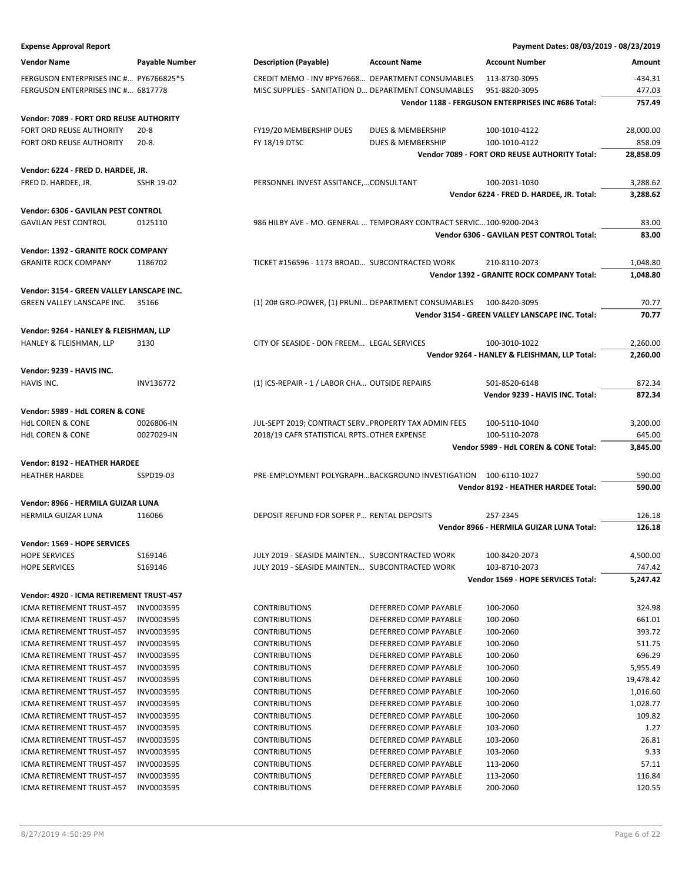| <b>Expense Approval Report</b>                                     |                   |                                                                     |                       | Payment Dates: 08/03/2019 - 08/23/2019             |           |
|--------------------------------------------------------------------|-------------------|---------------------------------------------------------------------|-----------------------|----------------------------------------------------|-----------|
| <b>Vendor Name</b>                                                 | Payable Number    | <b>Description (Payable)</b>                                        | <b>Account Name</b>   | <b>Account Number</b>                              | Amount    |
| FERGUSON ENTERPRISES INC # PY6766825*5                             |                   | CREDIT MEMO - INV #PY67668 DEPARTMENT CONSUMABLES                   |                       | 113-8730-3095                                      | $-434.31$ |
| FERGUSON ENTERPRISES INC # 6817778                                 |                   | MISC SUPPLIES - SANITATION D DEPARTMENT CONSUMABLES                 |                       | 951-8820-3095                                      | 477.03    |
|                                                                    |                   |                                                                     |                       | Vendor 1188 - FERGUSON ENTERPRISES INC #686 Total: | 757.49    |
| Vendor: 7089 - FORT ORD REUSE AUTHORITY                            |                   |                                                                     |                       |                                                    |           |
| FORT ORD REUSE AUTHORITY                                           | $20 - 8$          | FY19/20 MEMBERSHIP DUES                                             | DUES & MEMBERSHIP     | 100-1010-4122                                      | 28,000.00 |
| FORT ORD REUSE AUTHORITY                                           | $20-8.$           | FY 18/19 DTSC                                                       | DUES & MEMBERSHIP     | 100-1010-4122                                      | 858.09    |
|                                                                    |                   |                                                                     |                       | Vendor 7089 - FORT ORD REUSE AUTHORITY Total:      | 28,858.09 |
| Vendor: 6224 - FRED D. HARDEE, JR.                                 |                   |                                                                     |                       |                                                    |           |
| FRED D. HARDEE, JR.                                                | <b>SSHR 19-02</b> | PERSONNEL INVEST ASSITANCE,CONSULTANT                               |                       | 100-2031-1030                                      | 3,288.62  |
|                                                                    |                   |                                                                     |                       | Vendor 6224 - FRED D. HARDEE, JR. Total:           | 3,288.62  |
|                                                                    |                   |                                                                     |                       |                                                    |           |
| Vendor: 6306 - GAVILAN PEST CONTROL<br><b>GAVILAN PEST CONTROL</b> | 0125110           | 986 HILBY AVE - MO. GENERAL  TEMPORARY CONTRACT SERVIC100-9200-2043 |                       |                                                    | 83.00     |
|                                                                    |                   |                                                                     |                       | Vendor 6306 - GAVILAN PEST CONTROL Total:          | 83.00     |
|                                                                    |                   |                                                                     |                       |                                                    |           |
| Vendor: 1392 - GRANITE ROCK COMPANY                                |                   |                                                                     |                       |                                                    |           |
| <b>GRANITE ROCK COMPANY</b>                                        | 1186702           | TICKET #156596 - 1173 BROAD SUBCONTRACTED WORK                      |                       | 210-8110-2073                                      | 1,048.80  |
|                                                                    |                   |                                                                     |                       | Vendor 1392 - GRANITE ROCK COMPANY Total:          | 1,048.80  |
| Vendor: 3154 - GREEN VALLEY LANSCAPE INC.                          |                   |                                                                     |                       |                                                    |           |
| GREEN VALLEY LANSCAPE INC.                                         | 35166             | (1) 20# GRO-POWER, (1) PRUNI DEPARTMENT CONSUMABLES                 |                       | 100-8420-3095                                      | 70.77     |
|                                                                    |                   |                                                                     |                       | Vendor 3154 - GREEN VALLEY LANSCAPE INC. Total:    | 70.77     |
| Vendor: 9264 - HANLEY & FLEISHMAN, LLP                             |                   |                                                                     |                       |                                                    |           |
| HANLEY & FLEISHMAN, LLP                                            | 3130              | CITY OF SEASIDE - DON FREEM LEGAL SERVICES                          |                       | 100-3010-1022                                      | 2,260.00  |
|                                                                    |                   |                                                                     |                       | Vendor 9264 - HANLEY & FLEISHMAN, LLP Total:       | 2,260.00  |
| Vendor: 9239 - HAVIS INC.                                          |                   |                                                                     |                       |                                                    |           |
| HAVIS INC.                                                         | INV136772         | (1) ICS-REPAIR - 1 / LABOR CHA OUTSIDE REPAIRS                      |                       | 501-8520-6148                                      | 872.34    |
|                                                                    |                   |                                                                     |                       | Vendor 9239 - HAVIS INC. Total:                    | 872.34    |
| Vendor: 5989 - HdL COREN & CONE                                    |                   |                                                                     |                       |                                                    |           |
| <b>HdL COREN &amp; CONE</b>                                        | 0026806-IN        | JUL-SEPT 2019; CONTRACT SERV PROPERTY TAX ADMIN FEES                |                       | 100-5110-1040                                      | 3,200.00  |
| <b>HdL COREN &amp; CONE</b>                                        | 0027029-IN        | 2018/19 CAFR STATISTICAL RPTSOTHER EXPENSE                          |                       | 100-5110-2078                                      | 645.00    |
|                                                                    |                   |                                                                     |                       | Vendor 5989 - HdL COREN & CONE Total:              | 3,845.00  |
| Vendor: 8192 - HEATHER HARDEE                                      |                   |                                                                     |                       |                                                    |           |
| <b>HEATHER HARDEE</b>                                              | SSPD19-03         | PRE-EMPLOYMENT POLYGRAPHBACKGROUND INVESTIGATION 100-6110-1027      |                       |                                                    | 590.00    |
|                                                                    |                   |                                                                     |                       | Vendor 8192 - HEATHER HARDEE Total:                | 590.00    |
| Vendor: 8966 - HERMILA GUIZAR LUNA                                 |                   |                                                                     |                       |                                                    |           |
| HERMILA GUIZAR LUNA                                                | 116066            | DEPOSIT REFUND FOR SOPER P RENTAL DEPOSITS                          |                       | 257-2345                                           | 126.18    |
|                                                                    |                   |                                                                     |                       | Vendor 8966 - HERMILA GUIZAR LUNA Total:           | 126.18    |
| Vendor: 1569 - HOPE SERVICES                                       |                   |                                                                     |                       |                                                    |           |
| <b>HOPE SERVICES</b>                                               | S169146           | JULY 2019 - SEASIDE MAINTEN SUBCONTRACTED WORK                      |                       | 100-8420-2073                                      | 4,500.00  |
| <b>HOPE SERVICES</b>                                               | S169146           | JULY 2019 - SEASIDE MAINTEN SUBCONTRACTED WORK                      |                       | 103-8710-2073                                      | 747.42    |
|                                                                    |                   |                                                                     |                       | Vendor 1569 - HOPE SERVICES Total:                 | 5,247.42  |
| Vendor: 4920 - ICMA RETIREMENT TRUST-457                           |                   |                                                                     |                       |                                                    |           |
| ICMA RETIREMENT TRUST-457                                          | INV0003595        | <b>CONTRIBUTIONS</b>                                                | DEFERRED COMP PAYABLE | 100-2060                                           | 324.98    |
| ICMA RETIREMENT TRUST-457                                          | INV0003595        | <b>CONTRIBUTIONS</b>                                                | DEFERRED COMP PAYABLE | 100-2060                                           | 661.01    |
| <b>ICMA RETIREMENT TRUST-457</b>                                   | INV0003595        | <b>CONTRIBUTIONS</b>                                                | DEFERRED COMP PAYABLE | 100-2060                                           | 393.72    |
| ICMA RETIREMENT TRUST-457                                          | INV0003595        | <b>CONTRIBUTIONS</b>                                                | DEFERRED COMP PAYABLE | 100-2060                                           | 511.75    |
| ICMA RETIREMENT TRUST-457                                          | INV0003595        | <b>CONTRIBUTIONS</b>                                                | DEFERRED COMP PAYABLE | 100-2060                                           | 696.29    |
| ICMA RETIREMENT TRUST-457                                          | INV0003595        | <b>CONTRIBUTIONS</b>                                                | DEFERRED COMP PAYABLE | 100-2060                                           | 5,955.49  |
| ICMA RETIREMENT TRUST-457                                          | INV0003595        | <b>CONTRIBUTIONS</b>                                                | DEFERRED COMP PAYABLE | 100-2060                                           | 19,478.42 |
| ICMA RETIREMENT TRUST-457                                          | INV0003595        | <b>CONTRIBUTIONS</b>                                                | DEFERRED COMP PAYABLE | 100-2060                                           | 1,016.60  |
| ICMA RETIREMENT TRUST-457                                          | INV0003595        | <b>CONTRIBUTIONS</b>                                                | DEFERRED COMP PAYABLE | 100-2060                                           | 1,028.77  |
| ICMA RETIREMENT TRUST-457                                          | INV0003595        | <b>CONTRIBUTIONS</b>                                                | DEFERRED COMP PAYABLE | 100-2060                                           | 109.82    |
| ICMA RETIREMENT TRUST-457                                          | INV0003595        | <b>CONTRIBUTIONS</b>                                                | DEFERRED COMP PAYABLE | 103-2060                                           | 1.27      |
| ICMA RETIREMENT TRUST-457                                          | INV0003595        | <b>CONTRIBUTIONS</b>                                                | DEFERRED COMP PAYABLE | 103-2060                                           | 26.81     |
| ICMA RETIREMENT TRUST-457                                          | INV0003595        | <b>CONTRIBUTIONS</b>                                                | DEFERRED COMP PAYABLE | 103-2060                                           | 9.33      |
| ICMA RETIREMENT TRUST-457                                          | INV0003595        | <b>CONTRIBUTIONS</b>                                                | DEFERRED COMP PAYABLE | 113-2060                                           | 57.11     |
| ICMA RETIREMENT TRUST-457                                          | INV0003595        | <b>CONTRIBUTIONS</b>                                                | DEFERRED COMP PAYABLE | 113-2060                                           | 116.84    |
| ICMA RETIREMENT TRUST-457                                          | INV0003595        | <b>CONTRIBUTIONS</b>                                                | DEFERRED COMP PAYABLE | 200-2060                                           | 120.55    |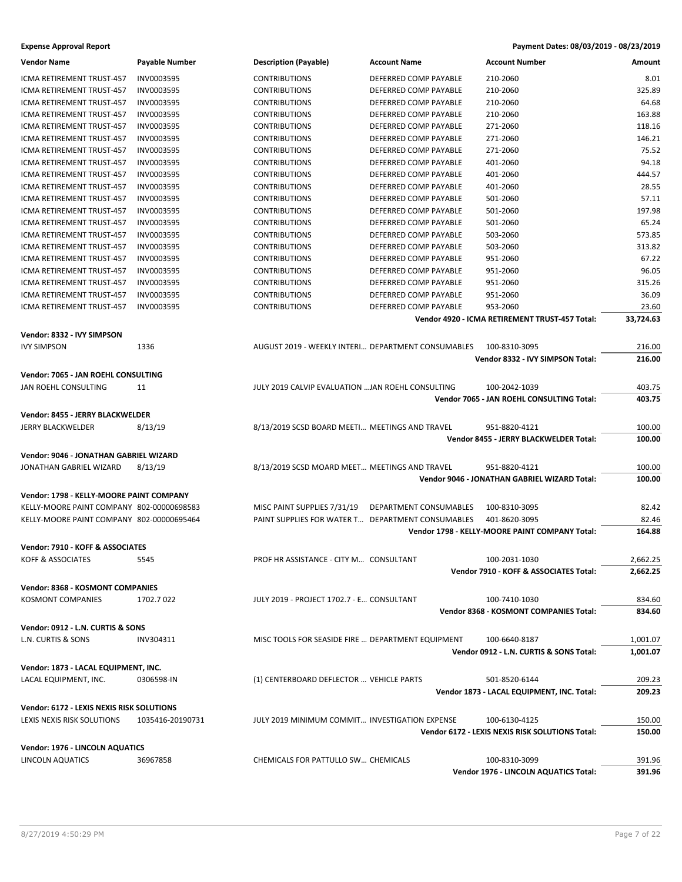| <b>Vendor Name</b>                        | Payable Number   | <b>Description (Payable)</b>                       | <b>Account Name</b>    | <b>Account Number</b>                           | Amount    |
|-------------------------------------------|------------------|----------------------------------------------------|------------------------|-------------------------------------------------|-----------|
| ICMA RETIREMENT TRUST-457                 | INV0003595       | <b>CONTRIBUTIONS</b>                               | DEFERRED COMP PAYABLE  | 210-2060                                        | 8.01      |
| ICMA RETIREMENT TRUST-457                 | INV0003595       | <b>CONTRIBUTIONS</b>                               | DEFERRED COMP PAYABLE  | 210-2060                                        | 325.89    |
| ICMA RETIREMENT TRUST-457                 | INV0003595       | <b>CONTRIBUTIONS</b>                               | DEFERRED COMP PAYABLE  | 210-2060                                        | 64.68     |
| ICMA RETIREMENT TRUST-457                 | INV0003595       | <b>CONTRIBUTIONS</b>                               | DEFERRED COMP PAYABLE  | 210-2060                                        | 163.88    |
| ICMA RETIREMENT TRUST-457                 | INV0003595       | <b>CONTRIBUTIONS</b>                               | DEFERRED COMP PAYABLE  | 271-2060                                        | 118.16    |
| ICMA RETIREMENT TRUST-457                 | INV0003595       | <b>CONTRIBUTIONS</b>                               | DEFERRED COMP PAYABLE  | 271-2060                                        | 146.21    |
| ICMA RETIREMENT TRUST-457                 | INV0003595       | <b>CONTRIBUTIONS</b>                               | DEFERRED COMP PAYABLE  | 271-2060                                        | 75.52     |
| ICMA RETIREMENT TRUST-457                 | INV0003595       | <b>CONTRIBUTIONS</b>                               | DEFERRED COMP PAYABLE  | 401-2060                                        | 94.18     |
| ICMA RETIREMENT TRUST-457                 | INV0003595       | <b>CONTRIBUTIONS</b>                               | DEFERRED COMP PAYABLE  | 401-2060                                        | 444.57    |
| ICMA RETIREMENT TRUST-457                 | INV0003595       | <b>CONTRIBUTIONS</b>                               | DEFERRED COMP PAYABLE  | 401-2060                                        | 28.55     |
| ICMA RETIREMENT TRUST-457                 | INV0003595       | <b>CONTRIBUTIONS</b>                               | DEFERRED COMP PAYABLE  | 501-2060                                        | 57.11     |
| ICMA RETIREMENT TRUST-457                 | INV0003595       | <b>CONTRIBUTIONS</b>                               | DEFERRED COMP PAYABLE  | 501-2060                                        | 197.98    |
| ICMA RETIREMENT TRUST-457                 | INV0003595       | <b>CONTRIBUTIONS</b>                               | DEFERRED COMP PAYABLE  | 501-2060                                        | 65.24     |
| ICMA RETIREMENT TRUST-457                 | INV0003595       | <b>CONTRIBUTIONS</b>                               | DEFERRED COMP PAYABLE  | 503-2060                                        | 573.85    |
| ICMA RETIREMENT TRUST-457                 | INV0003595       | <b>CONTRIBUTIONS</b>                               | DEFERRED COMP PAYABLE  | 503-2060                                        | 313.82    |
| ICMA RETIREMENT TRUST-457                 | INV0003595       | <b>CONTRIBUTIONS</b>                               | DEFERRED COMP PAYABLE  | 951-2060                                        | 67.22     |
| ICMA RETIREMENT TRUST-457                 | INV0003595       | <b>CONTRIBUTIONS</b>                               | DEFERRED COMP PAYABLE  | 951-2060                                        | 96.05     |
| ICMA RETIREMENT TRUST-457                 | INV0003595       | <b>CONTRIBUTIONS</b>                               | DEFERRED COMP PAYABLE  | 951-2060                                        | 315.26    |
| ICMA RETIREMENT TRUST-457                 | INV0003595       | <b>CONTRIBUTIONS</b>                               | DEFERRED COMP PAYABLE  | 951-2060                                        | 36.09     |
| ICMA RETIREMENT TRUST-457                 | INV0003595       | <b>CONTRIBUTIONS</b>                               | DEFERRED COMP PAYABLE  | 953-2060                                        | 23.60     |
|                                           |                  |                                                    |                        | Vendor 4920 - ICMA RETIREMENT TRUST-457 Total:  | 33,724.63 |
| Vendor: 8332 - IVY SIMPSON                |                  |                                                    |                        |                                                 |           |
| <b>IVY SIMPSON</b>                        | 1336             | AUGUST 2019 - WEEKLY INTERI DEPARTMENT CONSUMABLES |                        | 100-8310-3095                                   | 216.00    |
|                                           |                  |                                                    |                        | Vendor 8332 - IVY SIMPSON Total:                | 216.00    |
|                                           |                  |                                                    |                        |                                                 |           |
| Vendor: 7065 - JAN ROEHL CONSULTING       |                  |                                                    |                        |                                                 |           |
| JAN ROEHL CONSULTING                      | 11               | JULY 2019 CALVIP EVALUATION  JAN ROEHL CONSULTING  |                        | 100-2042-1039                                   | 403.75    |
|                                           |                  |                                                    |                        | Vendor 7065 - JAN ROEHL CONSULTING Total:       | 403.75    |
| Vendor: 8455 - JERRY BLACKWELDER          |                  |                                                    |                        |                                                 |           |
| <b>JERRY BLACKWELDER</b>                  | 8/13/19          | 8/13/2019 SCSD BOARD MEETI MEETINGS AND TRAVEL     |                        | 951-8820-4121                                   | 100.00    |
|                                           |                  |                                                    |                        | Vendor 8455 - JERRY BLACKWELDER Total:          | 100.00    |
| Vendor: 9046 - JONATHAN GABRIEL WIZARD    |                  |                                                    |                        |                                                 |           |
| JONATHAN GABRIEL WIZARD                   | 8/13/19          | 8/13/2019 SCSD MOARD MEET MEETINGS AND TRAVEL      |                        | 951-8820-4121                                   | 100.00    |
|                                           |                  |                                                    |                        | Vendor 9046 - JONATHAN GABRIEL WIZARD Total:    | 100.00    |
| Vendor: 1798 - KELLY-MOORE PAINT COMPANY  |                  |                                                    |                        |                                                 |           |
| KELLY-MOORE PAINT COMPANY 802-00000698583 |                  | MISC PAINT SUPPLIES 7/31/19                        | DEPARTMENT CONSUMABLES | 100-8310-3095                                   | 82.42     |
| KELLY-MOORE PAINT COMPANY 802-00000695464 |                  | PAINT SUPPLIES FOR WATER T DEPARTMENT CONSUMABLES  |                        | 401-8620-3095                                   | 82.46     |
|                                           |                  |                                                    |                        | Vendor 1798 - KELLY-MOORE PAINT COMPANY Total:  | 164.88    |
|                                           |                  |                                                    |                        |                                                 |           |
| Vendor: 7910 - KOFF & ASSOCIATES          |                  |                                                    |                        |                                                 |           |
| KOFF & ASSOCIATES                         | 5545             | PROF HR ASSISTANCE - CITY M CONSULTANT             |                        | 100-2031-1030                                   | 2,662.25  |
|                                           |                  |                                                    |                        | Vendor 7910 - KOFF & ASSOCIATES Total:          | 2,662.25  |
| <b>Vendor: 8368 - KOSMONT COMPANIES</b>   |                  |                                                    |                        |                                                 |           |
| KOSMONT COMPANIES                         | 1702.7022        | JULY 2019 - PROJECT 1702.7 - E CONSULTANT          |                        | 100-7410-1030                                   | 834.60    |
|                                           |                  |                                                    |                        | Vendor 8368 - KOSMONT COMPANIES Total:          | 834.60    |
| Vendor: 0912 - L.N. CURTIS & SONS         |                  |                                                    |                        |                                                 |           |
| L.N. CURTIS & SONS                        | INV304311        | MISC TOOLS FOR SEASIDE FIRE  DEPARTMENT EQUIPMENT  |                        | 100-6640-8187                                   | 1,001.07  |
|                                           |                  |                                                    |                        | Vendor 0912 - L.N. CURTIS & SONS Total:         | 1,001.07  |
| Vendor: 1873 - LACAL EQUIPMENT, INC.      |                  |                                                    |                        |                                                 |           |
| LACAL EQUIPMENT, INC.                     | 0306598-IN       | (1) CENTERBOARD DEFLECTOR  VEHICLE PARTS           |                        | 501-8520-6144                                   | 209.23    |
|                                           |                  |                                                    |                        | Vendor 1873 - LACAL EQUIPMENT, INC. Total:      | 209.23    |
|                                           |                  |                                                    |                        |                                                 |           |
| Vendor: 6172 - LEXIS NEXIS RISK SOLUTIONS |                  |                                                    |                        |                                                 |           |
| LEXIS NEXIS RISK SOLUTIONS                | 1035416-20190731 | JULY 2019 MINIMUM COMMIT INVESTIGATION EXPENSE     |                        | 100-6130-4125                                   | 150.00    |
|                                           |                  |                                                    |                        | Vendor 6172 - LEXIS NEXIS RISK SOLUTIONS Total: | 150.00    |
| Vendor: 1976 - LINCOLN AQUATICS           |                  |                                                    |                        |                                                 |           |
| LINCOLN AQUATICS                          | 36967858         | CHEMICALS FOR PATTULLO SW CHEMICALS                |                        | 100-8310-3099                                   | 391.96    |
|                                           |                  |                                                    |                        | Vendor 1976 - LINCOLN AQUATICS Total:           | 391.96    |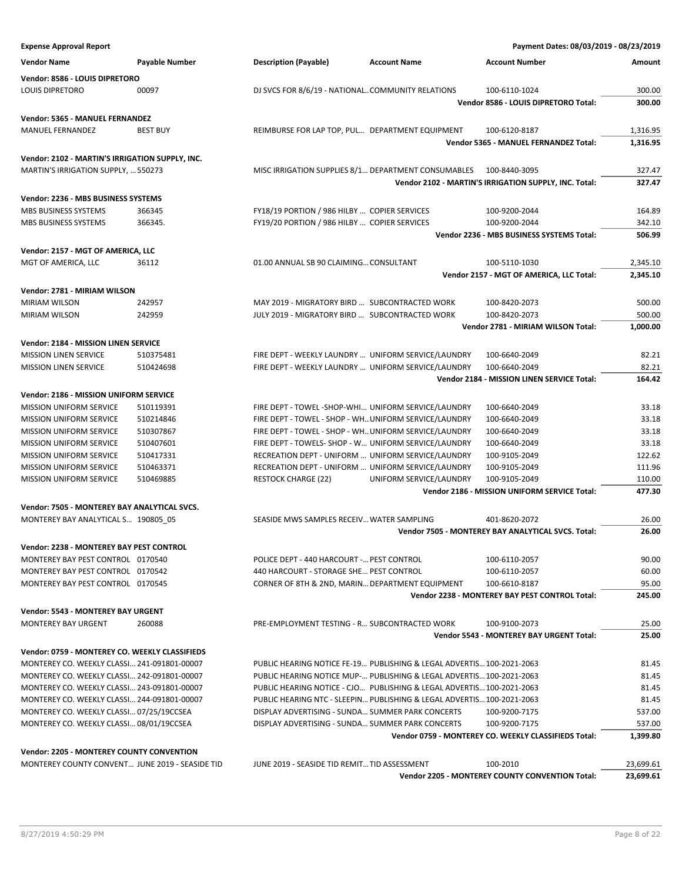| <b>Expense Approval Report</b>                                                      |                        |                                                                                                                |                                                                        | Payment Dates: 08/03/2019 - 08/23/2019                          |                |
|-------------------------------------------------------------------------------------|------------------------|----------------------------------------------------------------------------------------------------------------|------------------------------------------------------------------------|-----------------------------------------------------------------|----------------|
| <b>Vendor Name</b>                                                                  | <b>Payable Number</b>  | <b>Description (Payable)</b>                                                                                   | <b>Account Name</b>                                                    | <b>Account Number</b>                                           | Amount         |
| Vendor: 8586 - LOUIS DIPRETORO                                                      |                        |                                                                                                                |                                                                        |                                                                 |                |
| <b>LOUIS DIPRETORO</b>                                                              | 00097                  | DJ SVCS FOR 8/6/19 - NATIONALCOMMUNITY RELATIONS                                                               |                                                                        | 100-6110-1024                                                   | 300.00         |
|                                                                                     |                        |                                                                                                                |                                                                        | Vendor 8586 - LOUIS DIPRETORO Total:                            | 300.00         |
| Vendor: 5365 - MANUEL FERNANDEZ                                                     |                        |                                                                                                                |                                                                        |                                                                 |                |
| MANUEL FERNANDEZ                                                                    | <b>BEST BUY</b>        | REIMBURSE FOR LAP TOP, PUL DEPARTMENT EQUIPMENT                                                                |                                                                        | 100-6120-8187                                                   | 1,316.95       |
|                                                                                     |                        |                                                                                                                |                                                                        | Vendor 5365 - MANUEL FERNANDEZ Total:                           | 1,316.95       |
| Vendor: 2102 - MARTIN'S IRRIGATION SUPPLY, INC.                                     |                        |                                                                                                                |                                                                        |                                                                 |                |
| MARTIN'S IRRIGATION SUPPLY,  550273                                                 |                        | MISC IRRIGATION SUPPLIES 8/1 DEPARTMENT CONSUMABLES                                                            |                                                                        | 100-8440-3095                                                   | 327.47         |
|                                                                                     |                        |                                                                                                                |                                                                        | Vendor 2102 - MARTIN'S IRRIGATION SUPPLY, INC. Total:           | 327.47         |
| Vendor: 2236 - MBS BUSINESS SYSTEMS                                                 |                        |                                                                                                                |                                                                        |                                                                 |                |
| MBS BUSINESS SYSTEMS                                                                | 366345                 | FY18/19 PORTION / 986 HILBY  COPIER SERVICES                                                                   |                                                                        | 100-9200-2044                                                   | 164.89         |
| MBS BUSINESS SYSTEMS                                                                | 366345.                | FY19/20 PORTION / 986 HILBY  COPIER SERVICES                                                                   |                                                                        | 100-9200-2044                                                   | 342.10         |
|                                                                                     |                        |                                                                                                                |                                                                        | Vendor 2236 - MBS BUSINESS SYSTEMS Total:                       | 506.99         |
| Vendor: 2157 - MGT OF AMERICA, LLC                                                  |                        |                                                                                                                |                                                                        |                                                                 |                |
| MGT OF AMERICA, LLC                                                                 | 36112                  | 01.00 ANNUAL SB 90 CLAIMING CONSULTANT                                                                         |                                                                        | 100-5110-1030                                                   | 2,345.10       |
|                                                                                     |                        |                                                                                                                |                                                                        | Vendor 2157 - MGT OF AMERICA, LLC Total:                        | 2,345.10       |
| Vendor: 2781 - MIRIAM WILSON                                                        |                        |                                                                                                                |                                                                        |                                                                 |                |
| MIRIAM WILSON                                                                       | 242957                 | MAY 2019 - MIGRATORY BIRD  SUBCONTRACTED WORK                                                                  |                                                                        | 100-8420-2073                                                   | 500.00         |
| <b>MIRIAM WILSON</b>                                                                | 242959                 | JULY 2019 - MIGRATORY BIRD  SUBCONTRACTED WORK                                                                 |                                                                        | 100-8420-2073                                                   | 500.00         |
|                                                                                     |                        |                                                                                                                |                                                                        | Vendor 2781 - MIRIAM WILSON Total:                              | 1,000.00       |
|                                                                                     |                        |                                                                                                                |                                                                        |                                                                 |                |
| Vendor: 2184 - MISSION LINEN SERVICE                                                |                        | FIRE DEPT - WEEKLY LAUNDRY  UNIFORM SERVICE/LAUNDRY                                                            |                                                                        |                                                                 |                |
| <b>MISSION LINEN SERVICE</b><br><b>MISSION LINEN SERVICE</b>                        | 510375481<br>510424698 | FIRE DEPT - WEEKLY LAUNDRY  UNIFORM SERVICE/LAUNDRY                                                            |                                                                        | 100-6640-2049<br>100-6640-2049                                  | 82.21<br>82.21 |
|                                                                                     |                        |                                                                                                                |                                                                        | Vendor 2184 - MISSION LINEN SERVICE Total:                      | 164.42         |
|                                                                                     |                        |                                                                                                                |                                                                        |                                                                 |                |
| Vendor: 2186 - MISSION UNIFORM SERVICE                                              |                        |                                                                                                                |                                                                        |                                                                 |                |
| <b>MISSION UNIFORM SERVICE</b>                                                      | 510119391              | FIRE DEPT - TOWEL -SHOP-WHI UNIFORM SERVICE/LAUNDRY                                                            |                                                                        | 100-6640-2049                                                   | 33.18          |
| <b>MISSION UNIFORM SERVICE</b>                                                      | 510214846<br>510307867 | FIRE DEPT - TOWEL - SHOP - WH UNIFORM SERVICE/LAUNDRY<br>FIRE DEPT - TOWEL - SHOP - WH UNIFORM SERVICE/LAUNDRY |                                                                        | 100-6640-2049                                                   | 33.18<br>33.18 |
| <b>MISSION UNIFORM SERVICE</b><br><b>MISSION UNIFORM SERVICE</b>                    | 510407601              | FIRE DEPT - TOWELS- SHOP - W UNIFORM SERVICE/LAUNDRY                                                           |                                                                        | 100-6640-2049<br>100-6640-2049                                  | 33.18          |
| <b>MISSION UNIFORM SERVICE</b>                                                      | 510417331              | RECREATION DEPT - UNIFORM  UNIFORM SERVICE/LAUNDRY                                                             |                                                                        | 100-9105-2049                                                   | 122.62         |
| MISSION UNIFORM SERVICE                                                             | 510463371              | RECREATION DEPT - UNIFORM  UNIFORM SERVICE/LAUNDRY                                                             |                                                                        | 100-9105-2049                                                   | 111.96         |
| <b>MISSION UNIFORM SERVICE</b>                                                      | 510469885              | <b>RESTOCK CHARGE (22)</b>                                                                                     | UNIFORM SERVICE/LAUNDRY                                                | 100-9105-2049                                                   | 110.00         |
|                                                                                     |                        |                                                                                                                |                                                                        | Vendor 2186 - MISSION UNIFORM SERVICE Total:                    | 477.30         |
|                                                                                     |                        |                                                                                                                |                                                                        |                                                                 |                |
| Vendor: 7505 - MONTEREY BAY ANALYTICAL SVCS.<br>MONTEREY BAY ANALYTICAL S 190805 05 |                        | SEASIDE MWS SAMPLES RECEIV WATER SAMPLING                                                                      |                                                                        | 401-8620-2072                                                   | 26.00          |
|                                                                                     |                        |                                                                                                                |                                                                        | Vendor 7505 - MONTEREY BAY ANALYTICAL SVCS. Total:              | 26.00          |
|                                                                                     |                        |                                                                                                                |                                                                        |                                                                 |                |
| <b>Vendor: 2238 - MONTEREY BAY PEST CONTROL</b>                                     |                        |                                                                                                                |                                                                        |                                                                 |                |
| MONTEREY BAY PEST CONTROL 0170540                                                   |                        | POLICE DEPT - 440 HARCOURT - PEST CONTROL                                                                      |                                                                        | 100-6110-2057                                                   | 90.00          |
| MONTEREY BAY PEST CONTROL 0170542<br>MONTEREY BAY PEST CONTROL 0170545              |                        | 440 HARCOURT - STORAGE SHE PEST CONTROL<br>CORNER OF 8TH & 2ND. MARIN DEPARTMENT EQUIPMENT                     |                                                                        | 100-6110-2057                                                   | 60.00<br>95.00 |
|                                                                                     |                        |                                                                                                                |                                                                        | 100-6610-8187<br>Vendor 2238 - MONTEREY BAY PEST CONTROL Total: | 245.00         |
|                                                                                     |                        |                                                                                                                |                                                                        |                                                                 |                |
| <b>Vendor: 5543 - MONTEREY BAY URGENT</b>                                           |                        |                                                                                                                |                                                                        |                                                                 |                |
| <b>MONTEREY BAY URGENT</b>                                                          | 260088                 | PRE-EMPLOYMENT TESTING - R SUBCONTRACTED WORK                                                                  |                                                                        | 100-9100-2073                                                   | 25.00          |
|                                                                                     |                        |                                                                                                                |                                                                        | <b>Vendor 5543 - MONTEREY BAY URGENT Total:</b>                 | 25.00          |
| Vendor: 0759 - MONTEREY CO. WEEKLY CLASSIFIEDS                                      |                        |                                                                                                                |                                                                        |                                                                 |                |
| MONTEREY CO. WEEKLY CLASSI 241-091801-00007                                         |                        |                                                                                                                | PUBLIC HEARING NOTICE FE-19 PUBLISHING & LEGAL ADVERTIS 100-2021-2063  |                                                                 | 81.45          |
| MONTEREY CO. WEEKLY CLASSI 242-091801-00007                                         |                        |                                                                                                                | PUBLIC HEARING NOTICE MUP- PUBLISHING & LEGAL ADVERTIS 100-2021-2063   |                                                                 | 81.45          |
| MONTEREY CO. WEEKLY CLASSI 243-091801-00007                                         |                        |                                                                                                                | PUBLIC HEARING NOTICE - CJO PUBLISHING & LEGAL ADVERTIS 100-2021-2063  |                                                                 | 81.45          |
| MONTEREY CO. WEEKLY CLASSI 244-091801-00007                                         |                        |                                                                                                                | PUBLIC HEARING NTC - SLEEPIN PUBLISHING & LEGAL ADVERTIS 100-2021-2063 |                                                                 | 81.45          |
| MONTEREY CO. WEEKLY CLASSI 07/25/19CCSEA                                            |                        | DISPLAY ADVERTISING - SUNDA SUMMER PARK CONCERTS                                                               |                                                                        | 100-9200-7175                                                   | 537.00         |
| MONTEREY CO. WEEKLY CLASSI 08/01/19CCSEA                                            |                        | DISPLAY ADVERTISING - SUNDA SUMMER PARK CONCERTS                                                               |                                                                        | 100-9200-7175                                                   | 537.00         |
|                                                                                     |                        |                                                                                                                |                                                                        | Vendor 0759 - MONTEREY CO. WEEKLY CLASSIFIEDS Total:            | 1,399.80       |
| <b>Vendor: 2205 - MONTEREY COUNTY CONVENTION</b>                                    |                        |                                                                                                                |                                                                        |                                                                 |                |
| MONTEREY COUNTY CONVENT JUNE 2019 - SEASIDE TID                                     |                        | JUNE 2019 - SEASIDE TID REMIT TID ASSESSMENT                                                                   |                                                                        | 100-2010                                                        | 23,699.61      |
|                                                                                     |                        |                                                                                                                |                                                                        | Vendor 2205 - MONTEREY COUNTY CONVENTION Total:                 | 23,699.61      |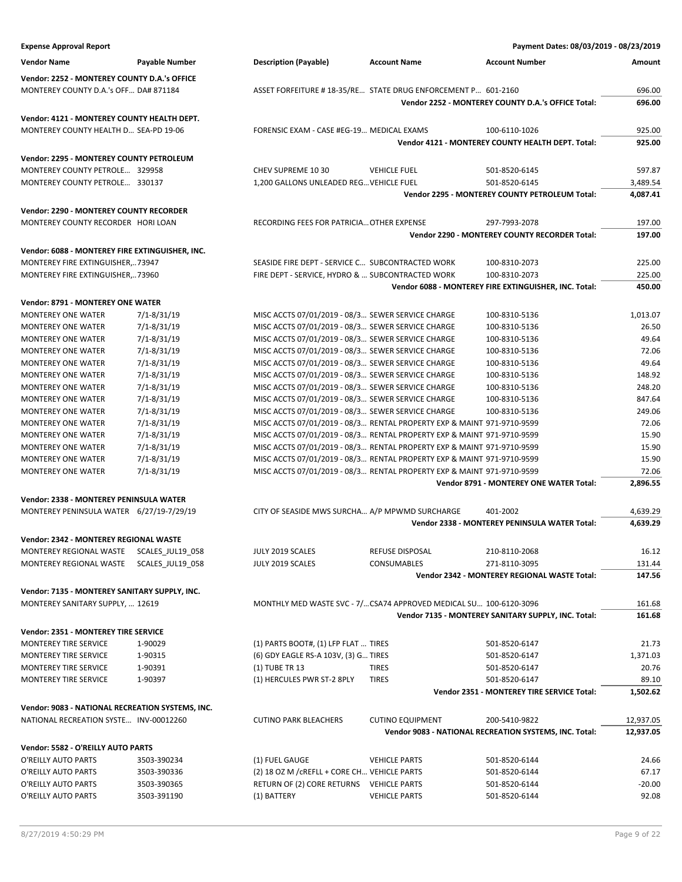| <b>Expense Approval Report</b>                   |                  |                                                                        |                         | Payment Dates: 08/03/2019 - 08/23/2019                 |           |
|--------------------------------------------------|------------------|------------------------------------------------------------------------|-------------------------|--------------------------------------------------------|-----------|
| <b>Vendor Name</b>                               | Payable Number   | <b>Description (Payable)</b>                                           | <b>Account Name</b>     | <b>Account Number</b>                                  | Amount    |
|                                                  |                  |                                                                        |                         |                                                        |           |
| Vendor: 2252 - MONTEREY COUNTY D.A.'s OFFICE     |                  |                                                                        |                         |                                                        |           |
| MONTEREY COUNTY D.A.'s OFF DA# 871184            |                  | ASSET FORFEITURE # 18-35/RE STATE DRUG ENFORCEMENT P 601-2160          |                         |                                                        | 696.00    |
|                                                  |                  |                                                                        |                         | Vendor 2252 - MONTEREY COUNTY D.A.'s OFFICE Total:     | 696.00    |
| Vendor: 4121 - MONTEREY COUNTY HEALTH DEPT.      |                  |                                                                        |                         |                                                        |           |
| MONTEREY COUNTY HEALTH D SEA-PD 19-06            |                  | FORENSIC EXAM - CASE #EG-19 MEDICAL EXAMS                              |                         | 100-6110-1026                                          | 925.00    |
|                                                  |                  |                                                                        |                         | Vendor 4121 - MONTEREY COUNTY HEALTH DEPT. Total:      | 925.00    |
| Vendor: 2295 - MONTEREY COUNTY PETROLEUM         |                  |                                                                        |                         |                                                        |           |
| MONTEREY COUNTY PETROLE 329958                   |                  | CHEV SUPREME 10 30                                                     | <b>VEHICLE FUEL</b>     | 501-8520-6145                                          | 597.87    |
| MONTEREY COUNTY PETROLE 330137                   |                  | 1,200 GALLONS UNLEADED REG VEHICLE FUEL                                |                         | 501-8520-6145                                          | 3,489.54  |
|                                                  |                  |                                                                        |                         | <b>Vendor 2295 - MONTEREY COUNTY PETROLEUM Total:</b>  | 4,087.41  |
|                                                  |                  |                                                                        |                         |                                                        |           |
| Vendor: 2290 - MONTEREY COUNTY RECORDER          |                  |                                                                        |                         |                                                        |           |
| MONTEREY COUNTY RECORDER HORI LOAN               |                  | RECORDING FEES FOR PATRICIA OTHER EXPENSE                              |                         | 297-7993-2078                                          | 197.00    |
|                                                  |                  |                                                                        |                         | Vendor 2290 - MONTEREY COUNTY RECORDER Total:          | 197.00    |
| Vendor: 6088 - MONTEREY FIRE EXTINGUISHER, INC.  |                  |                                                                        |                         |                                                        |           |
| MONTEREY FIRE EXTINGUISHER,73947                 |                  | SEASIDE FIRE DEPT - SERVICE C SUBCONTRACTED WORK                       |                         | 100-8310-2073                                          | 225.00    |
| MONTEREY FIRE EXTINGUISHER,73960                 |                  | FIRE DEPT - SERVICE, HYDRO &  SUBCONTRACTED WORK                       |                         | 100-8310-2073                                          | 225.00    |
|                                                  |                  |                                                                        |                         | Vendor 6088 - MONTEREY FIRE EXTINGUISHER, INC. Total:  | 450.00    |
| <b>Vendor: 8791 - MONTEREY ONE WATER</b>         |                  |                                                                        |                         |                                                        |           |
|                                                  |                  | MISC ACCTS 07/01/2019 - 08/3 SEWER SERVICE CHARGE                      |                         |                                                        |           |
| <b>MONTEREY ONE WATER</b>                        | $7/1 - 8/31/19$  |                                                                        |                         | 100-8310-5136                                          | 1,013.07  |
| <b>MONTEREY ONE WATER</b>                        | $7/1 - 8/31/19$  | MISC ACCTS 07/01/2019 - 08/3 SEWER SERVICE CHARGE                      |                         | 100-8310-5136                                          | 26.50     |
| <b>MONTEREY ONE WATER</b>                        | $7/1 - 8/31/19$  | MISC ACCTS 07/01/2019 - 08/3 SEWER SERVICE CHARGE                      |                         | 100-8310-5136                                          | 49.64     |
| MONTEREY ONE WATER                               | $7/1 - 8/31/19$  | MISC ACCTS 07/01/2019 - 08/3 SEWER SERVICE CHARGE                      |                         | 100-8310-5136                                          | 72.06     |
| <b>MONTEREY ONE WATER</b>                        | 7/1-8/31/19      | MISC ACCTS 07/01/2019 - 08/3 SEWER SERVICE CHARGE                      |                         | 100-8310-5136                                          | 49.64     |
| <b>MONTEREY ONE WATER</b>                        | $7/1 - 8/31/19$  | MISC ACCTS 07/01/2019 - 08/3 SEWER SERVICE CHARGE                      |                         | 100-8310-5136                                          | 148.92    |
| <b>MONTEREY ONE WATER</b>                        | $7/1 - 8/31/19$  | MISC ACCTS 07/01/2019 - 08/3 SEWER SERVICE CHARGE                      |                         | 100-8310-5136                                          | 248.20    |
| <b>MONTEREY ONE WATER</b>                        | 7/1-8/31/19      | MISC ACCTS 07/01/2019 - 08/3 SEWER SERVICE CHARGE                      |                         | 100-8310-5136                                          | 847.64    |
| <b>MONTEREY ONE WATER</b>                        | 7/1-8/31/19      | MISC ACCTS 07/01/2019 - 08/3 SEWER SERVICE CHARGE                      |                         | 100-8310-5136                                          | 249.06    |
| <b>MONTEREY ONE WATER</b>                        | 7/1-8/31/19      | MISC ACCTS 07/01/2019 - 08/3 RENTAL PROPERTY EXP & MAINT 971-9710-9599 |                         |                                                        | 72.06     |
| <b>MONTEREY ONE WATER</b>                        | $7/1 - 8/31/19$  | MISC ACCTS 07/01/2019 - 08/3 RENTAL PROPERTY EXP & MAINT 971-9710-9599 |                         |                                                        | 15.90     |
| <b>MONTEREY ONE WATER</b>                        | $7/1 - 8/31/19$  | MISC ACCTS 07/01/2019 - 08/3 RENTAL PROPERTY EXP & MAINT 971-9710-9599 |                         |                                                        | 15.90     |
| <b>MONTEREY ONE WATER</b>                        | 7/1-8/31/19      | MISC ACCTS 07/01/2019 - 08/3 RENTAL PROPERTY EXP & MAINT 971-9710-9599 |                         |                                                        | 15.90     |
| <b>MONTEREY ONE WATER</b>                        | 7/1-8/31/19      | MISC ACCTS 07/01/2019 - 08/3 RENTAL PROPERTY EXP & MAINT 971-9710-9599 |                         |                                                        | 72.06     |
|                                                  |                  |                                                                        |                         | Vendor 8791 - MONTEREY ONE WATER Total:                | 2,896.55  |
| Vendor: 2338 - MONTEREY PENINSULA WATER          |                  |                                                                        |                         |                                                        |           |
| MONTEREY PENINSULA WATER 6/27/19-7/29/19         |                  | CITY OF SEASIDE MWS SURCHA A/P MPWMD SURCHARGE                         |                         | 401-2002                                               | 4,639.29  |
|                                                  |                  |                                                                        |                         | <b>Vendor 2338 - MONTEREY PENINSULA WATER Total:</b>   | 4,639.29  |
| Vendor: 2342 - MONTEREY REGIONAL WASTE           |                  |                                                                        |                         |                                                        |           |
| MONTEREY REGIONAL WASTE                          | SCALES_JUL19_058 | JULY 2019 SCALES                                                       | REFUSE DISPOSAL         | 210-8110-2068                                          | 16.12     |
| MONTEREY REGIONAL WASTE                          | SCALES_JUL19_058 | JULY 2019 SCALES                                                       | CONSUMABLES             | 271-8110-3095                                          | 131.44    |
|                                                  |                  |                                                                        |                         | Vendor 2342 - MONTEREY REGIONAL WASTE Total:           | 147.56    |
|                                                  |                  |                                                                        |                         |                                                        |           |
| Vendor: 7135 - MONTEREY SANITARY SUPPLY, INC.    |                  |                                                                        |                         |                                                        |           |
| MONTEREY SANITARY SUPPLY,  12619                 |                  | MONTHLY MED WASTE SVC - 7/CSA74 APPROVED MEDICAL SU 100-6120-3096      |                         |                                                        | 161.68    |
|                                                  |                  |                                                                        |                         | Vendor 7135 - MONTEREY SANITARY SUPPLY, INC. Total:    | 161.68    |
| Vendor: 2351 - MONTEREY TIRE SERVICE             |                  |                                                                        |                         |                                                        |           |
| <b>MONTEREY TIRE SERVICE</b>                     | 1-90029          | (1) PARTS BOOT#, (1) LFP FLAT  TIRES                                   |                         | 501-8520-6147                                          | 21.73     |
| MONTEREY TIRE SERVICE                            | 1-90315          | (6) GDY EAGLE RS-A 103V, (3) G TIRES                                   |                         | 501-8520-6147                                          | 1,371.03  |
| MONTEREY TIRE SERVICE                            | 1-90391          | (1) TUBE TR 13                                                         | <b>TIRES</b>            | 501-8520-6147                                          | 20.76     |
| MONTEREY TIRE SERVICE                            | 1-90397          | (1) HERCULES PWR ST-2 8PLY                                             | <b>TIRES</b>            | 501-8520-6147                                          | 89.10     |
|                                                  |                  |                                                                        |                         | Vendor 2351 - MONTEREY TIRE SERVICE Total:             | 1,502.62  |
|                                                  |                  |                                                                        |                         |                                                        |           |
| Vendor: 9083 - NATIONAL RECREATION SYSTEMS, INC. |                  |                                                                        |                         |                                                        |           |
| NATIONAL RECREATION SYSTE INV-00012260           |                  | <b>CUTINO PARK BLEACHERS</b>                                           | <b>CUTINO EQUIPMENT</b> | 200-5410-9822                                          | 12,937.05 |
|                                                  |                  |                                                                        |                         | Vendor 9083 - NATIONAL RECREATION SYSTEMS, INC. Total: | 12,937.05 |
| Vendor: 5582 - O'REILLY AUTO PARTS               |                  |                                                                        |                         |                                                        |           |
| O'REILLY AUTO PARTS                              | 3503-390234      | (1) FUEL GAUGE                                                         | <b>VEHICLE PARTS</b>    | 501-8520-6144                                          | 24.66     |
| O'REILLY AUTO PARTS                              | 3503-390336      | (2) 18 OZ M / CREFLL + CORE CH VEHICLE PARTS                           |                         | 501-8520-6144                                          | 67.17     |
| O'REILLY AUTO PARTS                              | 3503-390365      | RETURN OF (2) CORE RETURNS VEHICLE PARTS                               |                         | 501-8520-6144                                          | $-20.00$  |
| O'REILLY AUTO PARTS                              | 3503-391190      | (1) BATTERY                                                            | <b>VEHICLE PARTS</b>    | 501-8520-6144                                          | 92.08     |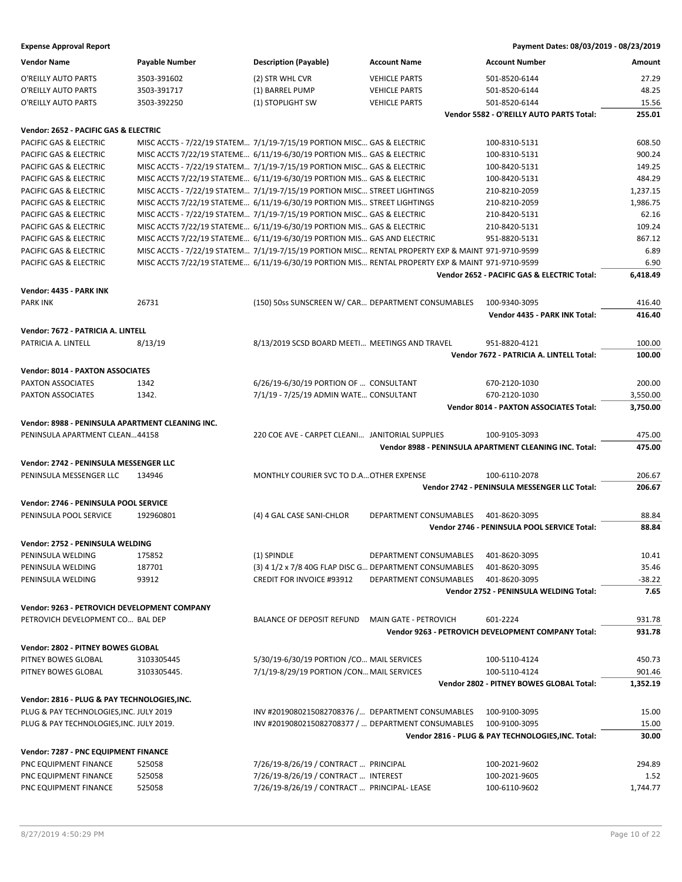| <b>Vendor Name</b>                               | <b>Payable Number</b> | <b>Description (Payable)</b>                                                                      | <b>Account Name</b>    | <b>Account Number</b>                                  | Amount   |
|--------------------------------------------------|-----------------------|---------------------------------------------------------------------------------------------------|------------------------|--------------------------------------------------------|----------|
| O'REILLY AUTO PARTS                              | 3503-391602           | (2) STR WHL CVR                                                                                   | <b>VEHICLE PARTS</b>   | 501-8520-6144                                          | 27.29    |
| O'REILLY AUTO PARTS                              | 3503-391717           | (1) BARREL PUMP                                                                                   | <b>VEHICLE PARTS</b>   | 501-8520-6144                                          | 48.25    |
| O'REILLY AUTO PARTS                              | 3503-392250           | (1) STOPLIGHT SW                                                                                  | <b>VEHICLE PARTS</b>   | 501-8520-6144                                          | 15.56    |
|                                                  |                       |                                                                                                   |                        | Vendor 5582 - O'REILLY AUTO PARTS Total:               | 255.01   |
|                                                  |                       |                                                                                                   |                        |                                                        |          |
| Vendor: 2652 - PACIFIC GAS & ELECTRIC            |                       |                                                                                                   |                        |                                                        |          |
| PACIFIC GAS & ELECTRIC                           |                       | MISC ACCTS - 7/22/19 STATEM 7/1/19-7/15/19 PORTION MISC GAS & ELECTRIC                            |                        | 100-8310-5131                                          | 608.50   |
| PACIFIC GAS & ELECTRIC                           |                       | MISC ACCTS 7/22/19 STATEME 6/11/19-6/30/19 PORTION MIS GAS & ELECTRIC                             |                        | 100-8310-5131                                          | 900.24   |
| PACIFIC GAS & ELECTRIC                           |                       | MISC ACCTS - 7/22/19 STATEM 7/1/19-7/15/19 PORTION MISC GAS & ELECTRIC                            |                        | 100-8420-5131                                          | 149.25   |
| PACIFIC GAS & ELECTRIC                           |                       | MISC ACCTS 7/22/19 STATEME 6/11/19-6/30/19 PORTION MIS GAS & ELECTRIC                             |                        | 100-8420-5131                                          | 484.29   |
| PACIFIC GAS & ELECTRIC                           |                       | MISC ACCTS - 7/22/19 STATEM 7/1/19-7/15/19 PORTION MISC STREET LIGHTINGS                          |                        | 210-8210-2059                                          | 1,237.15 |
| PACIFIC GAS & ELECTRIC                           |                       | MISC ACCTS 7/22/19 STATEME 6/11/19-6/30/19 PORTION MIS STREET LIGHTINGS                           |                        | 210-8210-2059                                          | 1,986.75 |
| PACIFIC GAS & ELECTRIC                           |                       | MISC ACCTS - 7/22/19 STATEM 7/1/19-7/15/19 PORTION MISC GAS & ELECTRIC                            |                        | 210-8420-5131                                          | 62.16    |
| PACIFIC GAS & ELECTRIC                           |                       | MISC ACCTS 7/22/19 STATEME 6/11/19-6/30/19 PORTION MIS GAS & ELECTRIC                             |                        | 210-8420-5131                                          | 109.24   |
| PACIFIC GAS & ELECTRIC                           |                       | MISC ACCTS 7/22/19 STATEME 6/11/19-6/30/19 PORTION MIS GAS AND ELECTRIC                           |                        | 951-8820-5131                                          | 867.12   |
| PACIFIC GAS & ELECTRIC                           |                       | MISC ACCTS - 7/22/19 STATEM 7/1/19-7/15/19 PORTION MISC RENTAL PROPERTY EXP & MAINT 971-9710-9599 |                        |                                                        | 6.89     |
| PACIFIC GAS & ELECTRIC                           |                       | MISC ACCTS 7/22/19 STATEME 6/11/19-6/30/19 PORTION MIS RENTAL PROPERTY EXP & MAINT 971-9710-9599  |                        |                                                        | 6.90     |
|                                                  |                       |                                                                                                   |                        | Vendor 2652 - PACIFIC GAS & ELECTRIC Total:            | 6,418.49 |
| Vendor: 4435 - PARK INK                          |                       |                                                                                                   |                        |                                                        |          |
| <b>PARK INK</b>                                  | 26731                 | (150) 50ss SUNSCREEN W/ CAR DEPARTMENT CONSUMABLES                                                |                        | 100-9340-3095                                          | 416.40   |
|                                                  |                       |                                                                                                   |                        | Vendor 4435 - PARK INK Total:                          | 416.40   |
|                                                  |                       |                                                                                                   |                        |                                                        |          |
| Vendor: 7672 - PATRICIA A. LINTELL               |                       |                                                                                                   |                        |                                                        |          |
| PATRICIA A. LINTELL                              | 8/13/19               | 8/13/2019 SCSD BOARD MEETI MEETINGS AND TRAVEL                                                    |                        | 951-8820-4121                                          | 100.00   |
|                                                  |                       |                                                                                                   |                        | Vendor 7672 - PATRICIA A. LINTELL Total:               | 100.00   |
| <b>Vendor: 8014 - PAXTON ASSOCIATES</b>          |                       |                                                                                                   |                        |                                                        |          |
| PAXTON ASSOCIATES                                | 1342                  | 6/26/19-6/30/19 PORTION OF  CONSULTANT                                                            |                        | 670-2120-1030                                          | 200.00   |
| PAXTON ASSOCIATES                                | 1342.                 | 7/1/19 - 7/25/19 ADMIN WATE CONSULTANT                                                            |                        | 670-2120-1030                                          | 3,550.00 |
|                                                  |                       |                                                                                                   |                        | <b>Vendor 8014 - PAXTON ASSOCIATES Total:</b>          | 3,750.00 |
| Vendor: 8988 - PENINSULA APARTMENT CLEANING INC. |                       |                                                                                                   |                        |                                                        |          |
| PENINSULA APARTMENT CLEAN44158                   |                       | 220 COE AVE - CARPET CLEANI JANITORIAL SUPPLIES                                                   |                        | 100-9105-3093                                          | 475.00   |
|                                                  |                       |                                                                                                   |                        | Vendor 8988 - PENINSULA APARTMENT CLEANING INC. Total: | 475.00   |
|                                                  |                       |                                                                                                   |                        |                                                        |          |
| Vendor: 2742 - PENINSULA MESSENGER LLC           |                       |                                                                                                   |                        |                                                        |          |
| PENINSULA MESSENGER LLC                          | 134946                | MONTHLY COURIER SVC TO D.A OTHER EXPENSE                                                          |                        | 100-6110-2078                                          | 206.67   |
|                                                  |                       |                                                                                                   |                        | Vendor 2742 - PENINSULA MESSENGER LLC Total:           | 206.67   |
| Vendor: 2746 - PENINSULA POOL SERVICE            |                       |                                                                                                   |                        |                                                        |          |
| PENINSULA POOL SERVICE                           | 192960801             | (4) 4 GAL CASE SANI-CHLOR                                                                         | DEPARTMENT CONSUMABLES | 401-8620-3095                                          | 88.84    |
|                                                  |                       |                                                                                                   |                        | Vendor 2746 - PENINSULA POOL SERVICE Total:            | 88.84    |
| Vendor: 2752 - PENINSULA WELDING                 |                       |                                                                                                   |                        |                                                        |          |
| PENINSULA WELDING                                | 175852                | (1) SPINDLE                                                                                       | DEPARTMENT CONSUMABLES | 401-8620-3095                                          | 10.41    |
| PENINSULA WELDING                                | 187701                | (3) 4 1/2 x 7/8 40G FLAP DISC G DEPARTMENT CONSUMABLES                                            |                        | 401-8620-3095                                          | 35.46    |
| PENINSULA WELDING                                | 93912                 | <b>CREDIT FOR INVOICE #93912</b>                                                                  | DEPARTMENT CONSUMABLES | 401-8620-3095                                          | $-38.22$ |
|                                                  |                       |                                                                                                   |                        | Vendor 2752 - PENINSULA WELDING Total:                 | 7.65     |
|                                                  |                       |                                                                                                   |                        |                                                        |          |
| Vendor: 9263 - PETROVICH DEVELOPMENT COMPANY     |                       |                                                                                                   |                        |                                                        |          |
| PETROVICH DEVELOPMENT CO BAL DEP                 |                       | BALANCE OF DEPOSIT REFUND                                                                         | MAIN GATE - PETROVICH  | 601-2224                                               | 931.78   |
|                                                  |                       |                                                                                                   |                        | Vendor 9263 - PETROVICH DEVELOPMENT COMPANY Total:     | 931.78   |
| Vendor: 2802 - PITNEY BOWES GLOBAL               |                       |                                                                                                   |                        |                                                        |          |
| PITNEY BOWES GLOBAL                              | 3103305445            | 5/30/19-6/30/19 PORTION / CO MAIL SERVICES                                                        |                        | 100-5110-4124                                          | 450.73   |
| PITNEY BOWES GLOBAL                              | 3103305445.           | 7/1/19-8/29/19 PORTION / CON MAIL SERVICES                                                        |                        | 100-5110-4124                                          | 901.46   |
|                                                  |                       |                                                                                                   |                        | Vendor 2802 - PITNEY BOWES GLOBAL Total:               | 1,352.19 |
| Vendor: 2816 - PLUG & PAY TECHNOLOGIES, INC.     |                       |                                                                                                   |                        |                                                        |          |
| PLUG & PAY TECHNOLOGIES, INC. JULY 2019          |                       | INV #2019080215082708376 / DEPARTMENT CONSUMABLES                                                 |                        | 100-9100-3095                                          | 15.00    |
|                                                  |                       |                                                                                                   |                        |                                                        |          |
| PLUG & PAY TECHNOLOGIES, INC. JULY 2019.         |                       | INV #2019080215082708377 /  DEPARTMENT CONSUMABLES                                                |                        | 100-9100-3095                                          | 15.00    |
|                                                  |                       |                                                                                                   |                        | Vendor 2816 - PLUG & PAY TECHNOLOGIES, INC. Total:     | 30.00    |
| Vendor: 7287 - PNC EQUIPMENT FINANCE             |                       |                                                                                                   |                        |                                                        |          |
| PNC EQUIPMENT FINANCE                            | 525058                | 7/26/19-8/26/19 / CONTRACT  PRINCIPAL                                                             |                        | 100-2021-9602                                          | 294.89   |
| PNC EQUIPMENT FINANCE                            | 525058                | 7/26/19-8/26/19 / CONTRACT  INTEREST                                                              |                        | 100-2021-9605                                          | 1.52     |
| PNC EQUIPMENT FINANCE                            | 525058                | 7/26/19-8/26/19 / CONTRACT  PRINCIPAL-LEASE                                                       |                        | 100-6110-9602                                          | 1,744.77 |
|                                                  |                       |                                                                                                   |                        |                                                        |          |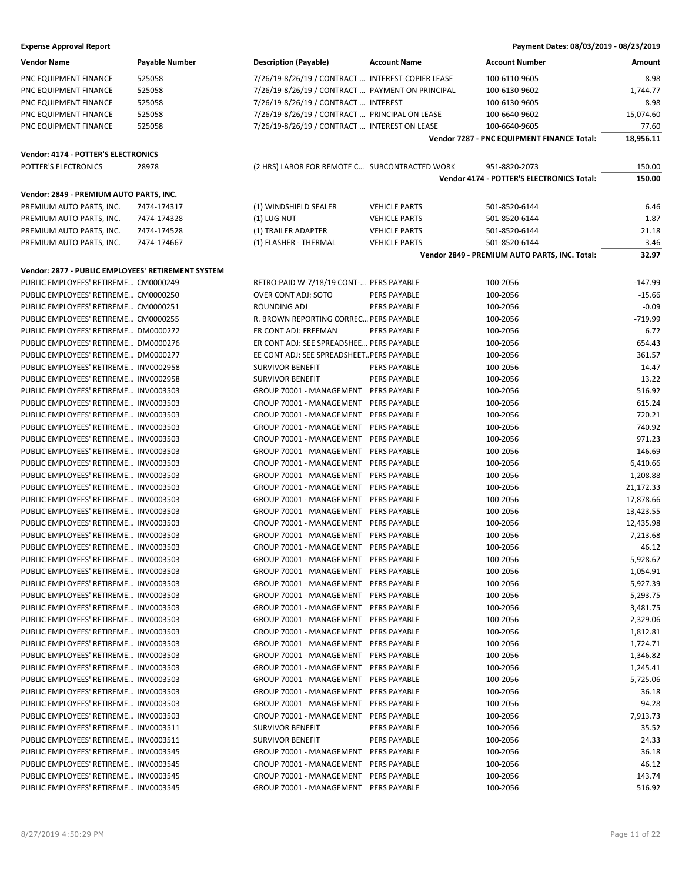| <b>Vendor Name</b>                                 | <b>Payable Number</b> | <b>Description (Payable)</b>                      | <b>Account Name</b>  | <b>Account Number</b>                         | Amount    |
|----------------------------------------------------|-----------------------|---------------------------------------------------|----------------------|-----------------------------------------------|-----------|
| PNC EQUIPMENT FINANCE                              | 525058                | 7/26/19-8/26/19 / CONTRACT  INTEREST-COPIER LEASE |                      | 100-6110-9605                                 | 8.98      |
| PNC EQUIPMENT FINANCE                              | 525058                | 7/26/19-8/26/19 / CONTRACT  PAYMENT ON PRINCIPAL  |                      | 100-6130-9602                                 | 1,744.77  |
| PNC EQUIPMENT FINANCE                              | 525058                | 7/26/19-8/26/19 / CONTRACT  INTEREST              |                      | 100-6130-9605                                 | 8.98      |
| PNC EQUIPMENT FINANCE                              | 525058                | 7/26/19-8/26/19 / CONTRACT  PRINCIPAL ON LEASE    |                      | 100-6640-9602                                 | 15,074.60 |
| PNC EQUIPMENT FINANCE                              | 525058                | 7/26/19-8/26/19 / CONTRACT  INTEREST ON LEASE     |                      | 100-6640-9605                                 | 77.60     |
|                                                    |                       |                                                   |                      | Vendor 7287 - PNC EQUIPMENT FINANCE Total:    | 18,956.11 |
|                                                    |                       |                                                   |                      |                                               |           |
| Vendor: 4174 - POTTER'S ELECTRONICS                |                       |                                                   |                      |                                               |           |
| POTTER'S ELECTRONICS                               | 28978                 | (2 HRS) LABOR FOR REMOTE C SUBCONTRACTED WORK     |                      | 951-8820-2073                                 | 150.00    |
|                                                    |                       |                                                   |                      | Vendor 4174 - POTTER'S ELECTRONICS Total:     | 150.00    |
| Vendor: 2849 - PREMIUM AUTO PARTS, INC.            |                       |                                                   |                      |                                               |           |
| PREMIUM AUTO PARTS. INC.                           | 7474-174317           | (1) WINDSHIELD SEALER                             | <b>VEHICLE PARTS</b> | 501-8520-6144                                 | 6.46      |
| PREMIUM AUTO PARTS, INC.                           | 7474-174328           | (1) LUG NUT                                       | <b>VEHICLE PARTS</b> | 501-8520-6144                                 | 1.87      |
| PREMIUM AUTO PARTS, INC.                           | 7474-174528           | (1) TRAILER ADAPTER                               | <b>VEHICLE PARTS</b> | 501-8520-6144                                 | 21.18     |
| PREMIUM AUTO PARTS, INC.                           | 7474-174667           | (1) FLASHER - THERMAL                             | <b>VEHICLE PARTS</b> | 501-8520-6144                                 | 3.46      |
|                                                    |                       |                                                   |                      | Vendor 2849 - PREMIUM AUTO PARTS, INC. Total: | 32.97     |
| Vendor: 2877 - PUBLIC EMPLOYEES' RETIREMENT SYSTEM |                       |                                                   |                      |                                               |           |
|                                                    |                       |                                                   |                      |                                               |           |
| PUBLIC EMPLOYEES' RETIREME CM0000249               |                       | RETRO:PAID W-7/18/19 CONT- PERS PAYABLE           |                      | 100-2056                                      | $-147.99$ |
| PUBLIC EMPLOYEES' RETIREME CM0000250               |                       | OVER CONT ADJ: SOTO                               | <b>PERS PAYABLE</b>  | 100-2056                                      | $-15.66$  |
| PUBLIC EMPLOYEES' RETIREME CM0000251               |                       | ROUNDING ADJ                                      | PERS PAYABLE         | 100-2056                                      | $-0.09$   |
| PUBLIC EMPLOYEES' RETIREME CM0000255               |                       | R. BROWN REPORTING CORREC PERS PAYABLE            |                      | 100-2056                                      | $-719.99$ |
| PUBLIC EMPLOYEES' RETIREME DM0000272               |                       | ER CONT ADJ: FREEMAN                              | <b>PERS PAYABLE</b>  | 100-2056                                      | 6.72      |
| PUBLIC EMPLOYEES' RETIREME DM0000276               |                       | ER CONT ADJ: SEE SPREADSHEE PERS PAYABLE          |                      | 100-2056                                      | 654.43    |
| PUBLIC EMPLOYEES' RETIREME DM0000277               |                       | EE CONT ADJ: SEE SPREADSHEET PERS PAYABLE         |                      | 100-2056                                      | 361.57    |
| PUBLIC EMPLOYEES' RETIREME INV0002958              |                       | <b>SURVIVOR BENEFIT</b>                           | <b>PERS PAYABLE</b>  | 100-2056                                      | 14.47     |
| PUBLIC EMPLOYEES' RETIREME INV0002958              |                       | <b>SURVIVOR BENEFIT</b>                           | PERS PAYABLE         | 100-2056                                      | 13.22     |
| PUBLIC EMPLOYEES' RETIREME INV0003503              |                       | GROUP 70001 - MANAGEMENT PERS PAYABLE             |                      | 100-2056                                      | 516.92    |
| PUBLIC EMPLOYEES' RETIREME INV0003503              |                       | GROUP 70001 - MANAGEMENT PERS PAYABLE             |                      | 100-2056                                      | 615.24    |
| PUBLIC EMPLOYEES' RETIREME INV0003503              |                       | GROUP 70001 - MANAGEMENT                          | PERS PAYABLE         | 100-2056                                      | 720.21    |
| PUBLIC EMPLOYEES' RETIREME INV0003503              |                       | GROUP 70001 - MANAGEMENT                          | <b>PERS PAYABLE</b>  | 100-2056                                      | 740.92    |
| PUBLIC EMPLOYEES' RETIREME INV0003503              |                       | GROUP 70001 - MANAGEMENT                          | PERS PAYABLE         | 100-2056                                      | 971.23    |
| PUBLIC EMPLOYEES' RETIREME INV0003503              |                       | GROUP 70001 - MANAGEMENT                          | PERS PAYABLE         | 100-2056                                      | 146.69    |
| PUBLIC EMPLOYEES' RETIREME INV0003503              |                       | GROUP 70001 - MANAGEMENT                          | PERS PAYABLE         | 100-2056                                      | 6,410.66  |
| PUBLIC EMPLOYEES' RETIREME INV0003503              |                       | GROUP 70001 - MANAGEMENT                          | <b>PERS PAYABLE</b>  | 100-2056                                      | 1,208.88  |
| PUBLIC EMPLOYEES' RETIREME INV0003503              |                       | GROUP 70001 - MANAGEMENT                          | <b>PERS PAYABLE</b>  | 100-2056                                      | 21,172.33 |
| PUBLIC EMPLOYEES' RETIREME INV0003503              |                       | GROUP 70001 - MANAGEMENT                          | PERS PAYABLE         | 100-2056                                      | 17,878.66 |
| PUBLIC EMPLOYEES' RETIREME INV0003503              |                       | GROUP 70001 - MANAGEMENT                          | PERS PAYABLE         | 100-2056                                      | 13,423.55 |
| PUBLIC EMPLOYEES' RETIREME INV0003503              |                       | GROUP 70001 - MANAGEMENT                          | PERS PAYABLE         | 100-2056                                      | 12,435.98 |
| PUBLIC EMPLOYEES' RETIREME INV0003503              |                       | GROUP 70001 - MANAGEMENT                          | PERS PAYABLE         | 100-2056                                      | 7,213.68  |
| PUBLIC EMPLOYEES' RETIREME INV0003503              |                       | GROUP 70001 - MANAGEMENT                          | <b>PERS PAYABLE</b>  | 100-2056                                      | 46.12     |
| PUBLIC EMPLOYEES' RETIREME INV0003503              |                       | GROUP 70001 - MANAGEMENT PERS PAYABLE             |                      | 100-2056                                      | 5,928.67  |
| PUBLIC EMPLOYEES' RETIREME INV0003503              |                       | GROUP 70001 - MANAGEMENT                          | PERS PAYABLE         | 100-2056                                      | 1,054.91  |
| PUBLIC EMPLOYEES' RETIREME INV0003503              |                       | GROUP 70001 - MANAGEMENT                          | PERS PAYABLE         | 100-2056                                      | 5,927.39  |
| PUBLIC EMPLOYEES' RETIREME INV0003503              |                       | GROUP 70001 - MANAGEMENT                          | PERS PAYABLE         | 100-2056                                      | 5,293.75  |
| PUBLIC EMPLOYEES' RETIREME INV0003503              |                       | GROUP 70001 - MANAGEMENT                          | PERS PAYABLE         | 100-2056                                      | 3,481.75  |
| PUBLIC EMPLOYEES' RETIREME INV0003503              |                       | GROUP 70001 - MANAGEMENT                          | PERS PAYABLE         | 100-2056                                      | 2,329.06  |
| PUBLIC EMPLOYEES' RETIREME INV0003503              |                       | GROUP 70001 - MANAGEMENT                          | PERS PAYABLE         | 100-2056                                      | 1,812.81  |
| PUBLIC EMPLOYEES' RETIREME INV0003503              |                       | GROUP 70001 - MANAGEMENT                          | PERS PAYABLE         | 100-2056                                      | 1,724.71  |
| PUBLIC EMPLOYEES' RETIREME INV0003503              |                       | GROUP 70001 - MANAGEMENT                          | PERS PAYABLE         | 100-2056                                      | 1,346.82  |
| PUBLIC EMPLOYEES' RETIREME INV0003503              |                       | GROUP 70001 - MANAGEMENT                          | PERS PAYABLE         | 100-2056                                      | 1,245.41  |
| PUBLIC EMPLOYEES' RETIREME INV0003503              |                       | GROUP 70001 - MANAGEMENT                          | <b>PERS PAYABLE</b>  | 100-2056                                      | 5,725.06  |
| PUBLIC EMPLOYEES' RETIREME INV0003503              |                       | GROUP 70001 - MANAGEMENT                          | PERS PAYABLE         | 100-2056                                      | 36.18     |
| PUBLIC EMPLOYEES' RETIREME INV0003503              |                       | GROUP 70001 - MANAGEMENT                          | PERS PAYABLE         | 100-2056                                      | 94.28     |
| PUBLIC EMPLOYEES' RETIREME INV0003503              |                       | GROUP 70001 - MANAGEMENT                          | PERS PAYABLE         | 100-2056                                      | 7,913.73  |
| PUBLIC EMPLOYEES' RETIREME INV0003511              |                       | <b>SURVIVOR BENEFIT</b>                           | <b>PERS PAYABLE</b>  | 100-2056                                      | 35.52     |
| PUBLIC EMPLOYEES' RETIREME INV0003511              |                       | <b>SURVIVOR BENEFIT</b>                           | PERS PAYABLE         | 100-2056                                      | 24.33     |
| PUBLIC EMPLOYEES' RETIREME INV0003545              |                       | GROUP 70001 - MANAGEMENT                          | PERS PAYABLE         | 100-2056                                      | 36.18     |
| PUBLIC EMPLOYEES' RETIREME INV0003545              |                       | GROUP 70001 - MANAGEMENT                          | PERS PAYABLE         | 100-2056                                      | 46.12     |
| PUBLIC EMPLOYEES' RETIREME INV0003545              |                       | GROUP 70001 - MANAGEMENT                          | PERS PAYABLE         | 100-2056                                      | 143.74    |
| PUBLIC EMPLOYEES' RETIREME INV0003545              |                       |                                                   |                      |                                               | 516.92    |
|                                                    |                       | GROUP 70001 - MANAGEMENT PERS PAYABLE             |                      | 100-2056                                      |           |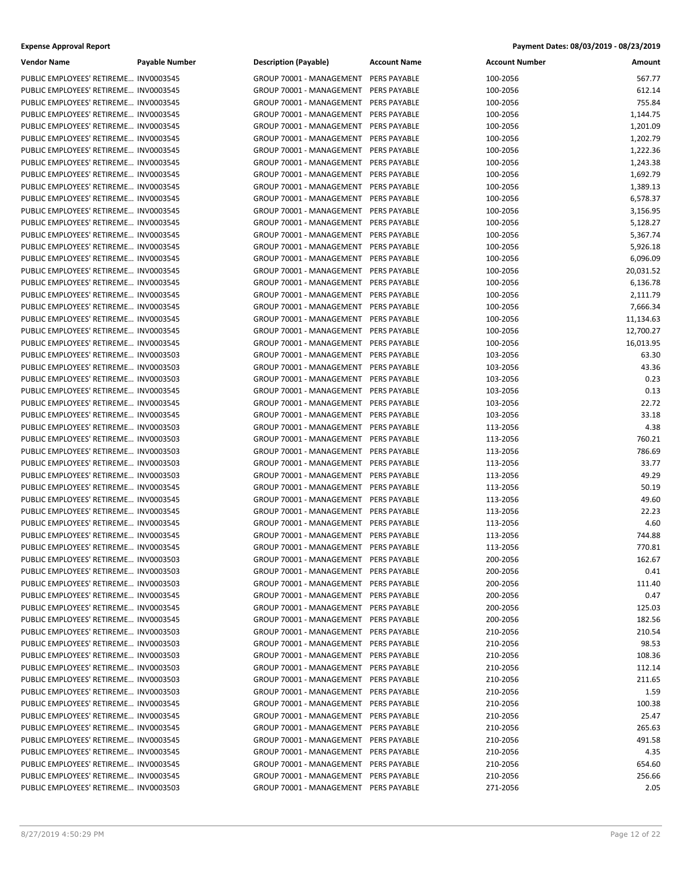| <b>Vendor Name</b>                    | <b>Payable Number</b> | <b>Description (Payable)</b>          | <b>Account Name</b> | <b>Account Number</b> | Amount    |
|---------------------------------------|-----------------------|---------------------------------------|---------------------|-----------------------|-----------|
| PUBLIC EMPLOYEES' RETIREME INV0003545 |                       | GROUP 70001 - MANAGEMENT              | PERS PAYABLE        | 100-2056              | 567.77    |
| PUBLIC EMPLOYEES' RETIREME INV0003545 |                       | GROUP 70001 - MANAGEMENT              | PERS PAYABLE        | 100-2056              | 612.14    |
| PUBLIC EMPLOYEES' RETIREME INV0003545 |                       | GROUP 70001 - MANAGEMENT              | PERS PAYABLE        | 100-2056              | 755.84    |
| PUBLIC EMPLOYEES' RETIREME INV0003545 |                       | GROUP 70001 - MANAGEMENT              | PERS PAYABLE        | 100-2056              | 1,144.75  |
| PUBLIC EMPLOYEES' RETIREME INV0003545 |                       | GROUP 70001 - MANAGEMENT              | <b>PERS PAYABLE</b> | 100-2056              | 1,201.09  |
| PUBLIC EMPLOYEES' RETIREME INV0003545 |                       | GROUP 70001 - MANAGEMENT              | PERS PAYABLE        | 100-2056              | 1,202.79  |
| PUBLIC EMPLOYEES' RETIREME INV0003545 |                       | GROUP 70001 - MANAGEMENT              | PERS PAYABLE        | 100-2056              | 1,222.36  |
| PUBLIC EMPLOYEES' RETIREME INV0003545 |                       | GROUP 70001 - MANAGEMENT              | PERS PAYABLE        | 100-2056              | 1,243.38  |
| PUBLIC EMPLOYEES' RETIREME INV0003545 |                       | GROUP 70001 - MANAGEMENT              | PERS PAYABLE        | 100-2056              | 1,692.79  |
| PUBLIC EMPLOYEES' RETIREME INV0003545 |                       | GROUP 70001 - MANAGEMENT              | <b>PERS PAYABLE</b> | 100-2056              | 1,389.13  |
| PUBLIC EMPLOYEES' RETIREME INV0003545 |                       | GROUP 70001 - MANAGEMENT              | PERS PAYABLE        | 100-2056              | 6,578.37  |
| PUBLIC EMPLOYEES' RETIREME INV0003545 |                       | GROUP 70001 - MANAGEMENT              | PERS PAYABLE        | 100-2056              | 3,156.95  |
| PUBLIC EMPLOYEES' RETIREME INV0003545 |                       | GROUP 70001 - MANAGEMENT              | PERS PAYABLE        | 100-2056              | 5,128.27  |
| PUBLIC EMPLOYEES' RETIREME INV0003545 |                       | GROUP 70001 - MANAGEMENT              | PERS PAYABLE        | 100-2056              | 5,367.74  |
| PUBLIC EMPLOYEES' RETIREME INV0003545 |                       | GROUP 70001 - MANAGEMENT              | <b>PERS PAYABLE</b> | 100-2056              | 5,926.18  |
| PUBLIC EMPLOYEES' RETIREME INV0003545 |                       | GROUP 70001 - MANAGEMENT              | PERS PAYABLE        | 100-2056              | 6,096.09  |
| PUBLIC EMPLOYEES' RETIREME INV0003545 |                       | GROUP 70001 - MANAGEMENT              | PERS PAYABLE        | 100-2056              | 20,031.52 |
| PUBLIC EMPLOYEES' RETIREME INV0003545 |                       | GROUP 70001 - MANAGEMENT              | <b>PERS PAYABLE</b> | 100-2056              | 6,136.78  |
| PUBLIC EMPLOYEES' RETIREME INV0003545 |                       | GROUP 70001 - MANAGEMENT              | PERS PAYABLE        | 100-2056              | 2,111.79  |
| PUBLIC EMPLOYEES' RETIREME INV0003545 |                       | GROUP 70001 - MANAGEMENT              | PERS PAYABLE        | 100-2056              | 7,666.34  |
| PUBLIC EMPLOYEES' RETIREME INV0003545 |                       | GROUP 70001 - MANAGEMENT              | PERS PAYABLE        | 100-2056              | 11,134.63 |
| PUBLIC EMPLOYEES' RETIREME INV0003545 |                       | GROUP 70001 - MANAGEMENT              | PERS PAYABLE        | 100-2056              | 12,700.27 |
| PUBLIC EMPLOYEES' RETIREME INV0003545 |                       | GROUP 70001 - MANAGEMENT              | PERS PAYABLE        | 100-2056              | 16,013.95 |
| PUBLIC EMPLOYEES' RETIREME INV0003503 |                       | GROUP 70001 - MANAGEMENT              | PERS PAYABLE        | 103-2056              | 63.30     |
| PUBLIC EMPLOYEES' RETIREME INV0003503 |                       | GROUP 70001 - MANAGEMENT              | <b>PERS PAYABLE</b> | 103-2056              | 43.36     |
| PUBLIC EMPLOYEES' RETIREME INV0003503 |                       | GROUP 70001 - MANAGEMENT              | PERS PAYABLE        | 103-2056              | 0.23      |
| PUBLIC EMPLOYEES' RETIREME INV0003545 |                       | GROUP 70001 - MANAGEMENT              | PERS PAYABLE        | 103-2056              | 0.13      |
| PUBLIC EMPLOYEES' RETIREME INV0003545 |                       | GROUP 70001 - MANAGEMENT              | PERS PAYABLE        | 103-2056              | 22.72     |
| PUBLIC EMPLOYEES' RETIREME INV0003545 |                       | GROUP 70001 - MANAGEMENT              | PERS PAYABLE        | 103-2056              | 33.18     |
| PUBLIC EMPLOYEES' RETIREME INV0003503 |                       | GROUP 70001 - MANAGEMENT              | <b>PERS PAYABLE</b> | 113-2056              | 4.38      |
| PUBLIC EMPLOYEES' RETIREME INV0003503 |                       | GROUP 70001 - MANAGEMENT              | PERS PAYABLE        | 113-2056              | 760.21    |
| PUBLIC EMPLOYEES' RETIREME INV0003503 |                       | GROUP 70001 - MANAGEMENT              | PERS PAYABLE        | 113-2056              | 786.69    |
| PUBLIC EMPLOYEES' RETIREME INV0003503 |                       | GROUP 70001 - MANAGEMENT              | PERS PAYABLE        | 113-2056              | 33.77     |
| PUBLIC EMPLOYEES' RETIREME INV0003503 |                       | GROUP 70001 - MANAGEMENT              | PERS PAYABLE        | 113-2056              | 49.29     |
| PUBLIC EMPLOYEES' RETIREME INV0003545 |                       | GROUP 70001 - MANAGEMENT              | <b>PERS PAYABLE</b> | 113-2056              | 50.19     |
| PUBLIC EMPLOYEES' RETIREME INV0003545 |                       | GROUP 70001 - MANAGEMENT              | PERS PAYABLE        | 113-2056              | 49.60     |
| PUBLIC EMPLOYEES' RETIREME INV0003545 |                       | GROUP 70001 - MANAGEMENT              | PERS PAYABLE        | 113-2056              | 22.23     |
| PUBLIC EMPLOYEES' RETIREME INV0003545 |                       | GROUP 70001 - MANAGEMENT              | PERS PAYABLE        | 113-2056              | 4.60      |
| PUBLIC EMPLOYEES' RETIREME INV0003545 |                       | GROUP 70001 - MANAGEMENT              | PERS PAYABLE        | 113-2056              | 744.88    |
| PUBLIC EMPLOYEES' RETIREME INV0003545 |                       | GROUP 70001 - MANAGEMENT              | PERS PAYABLE        | 113-2056              | 770.81    |
| PUBLIC EMPLOYEES' RETIREME INV0003503 |                       | GROUP 70001 - MANAGEMENT PERS PAYABLE |                     | 200-2056              | 162.67    |
| PUBLIC EMPLOYEES' RETIREME INV0003503 |                       | GROUP 70001 - MANAGEMENT              | PERS PAYABLE        | 200-2056              | 0.41      |
| PUBLIC EMPLOYEES' RETIREME INV0003503 |                       | GROUP 70001 - MANAGEMENT              | PERS PAYABLE        | 200-2056              | 111.40    |
| PUBLIC EMPLOYEES' RETIREME INV0003545 |                       | GROUP 70001 - MANAGEMENT              | PERS PAYABLE        | 200-2056              | 0.47      |
| PUBLIC EMPLOYEES' RETIREME INV0003545 |                       | GROUP 70001 - MANAGEMENT              | PERS PAYABLE        | 200-2056              | 125.03    |
| PUBLIC EMPLOYEES' RETIREME INV0003545 |                       | GROUP 70001 - MANAGEMENT PERS PAYABLE |                     | 200-2056              | 182.56    |
| PUBLIC EMPLOYEES' RETIREME INV0003503 |                       | GROUP 70001 - MANAGEMENT              | PERS PAYABLE        | 210-2056              | 210.54    |
| PUBLIC EMPLOYEES' RETIREME INV0003503 |                       | GROUP 70001 - MANAGEMENT              | PERS PAYABLE        | 210-2056              | 98.53     |
| PUBLIC EMPLOYEES' RETIREME INV0003503 |                       | GROUP 70001 - MANAGEMENT              | PERS PAYABLE        | 210-2056              | 108.36    |
| PUBLIC EMPLOYEES' RETIREME INV0003503 |                       | GROUP 70001 - MANAGEMENT              | PERS PAYABLE        | 210-2056              | 112.14    |
| PUBLIC EMPLOYEES' RETIREME INV0003503 |                       | GROUP 70001 - MANAGEMENT              | PERS PAYABLE        | 210-2056              | 211.65    |
| PUBLIC EMPLOYEES' RETIREME INV0003503 |                       | GROUP 70001 - MANAGEMENT              | PERS PAYABLE        | 210-2056              | 1.59      |
| PUBLIC EMPLOYEES' RETIREME INV0003545 |                       | GROUP 70001 - MANAGEMENT              | PERS PAYABLE        | 210-2056              | 100.38    |
| PUBLIC EMPLOYEES' RETIREME INV0003545 |                       | GROUP 70001 - MANAGEMENT              | PERS PAYABLE        | 210-2056              | 25.47     |
| PUBLIC EMPLOYEES' RETIREME INV0003545 |                       | GROUP 70001 - MANAGEMENT              | PERS PAYABLE        | 210-2056              | 265.63    |
| PUBLIC EMPLOYEES' RETIREME INV0003545 |                       | GROUP 70001 - MANAGEMENT              | PERS PAYABLE        | 210-2056              | 491.58    |
| PUBLIC EMPLOYEES' RETIREME INV0003545 |                       | GROUP 70001 - MANAGEMENT              | PERS PAYABLE        | 210-2056              | 4.35      |
| PUBLIC EMPLOYEES' RETIREME INV0003545 |                       | GROUP 70001 - MANAGEMENT              | PERS PAYABLE        | 210-2056              | 654.60    |
| PUBLIC EMPLOYEES' RETIREME INV0003545 |                       | GROUP 70001 - MANAGEMENT              | PERS PAYABLE        | 210-2056              | 256.66    |
| PUBLIC EMPLOYEES' RETIREME INV0003503 |                       | GROUP 70001 - MANAGEMENT PERS PAYABLE |                     | 271-2056              | 2.05      |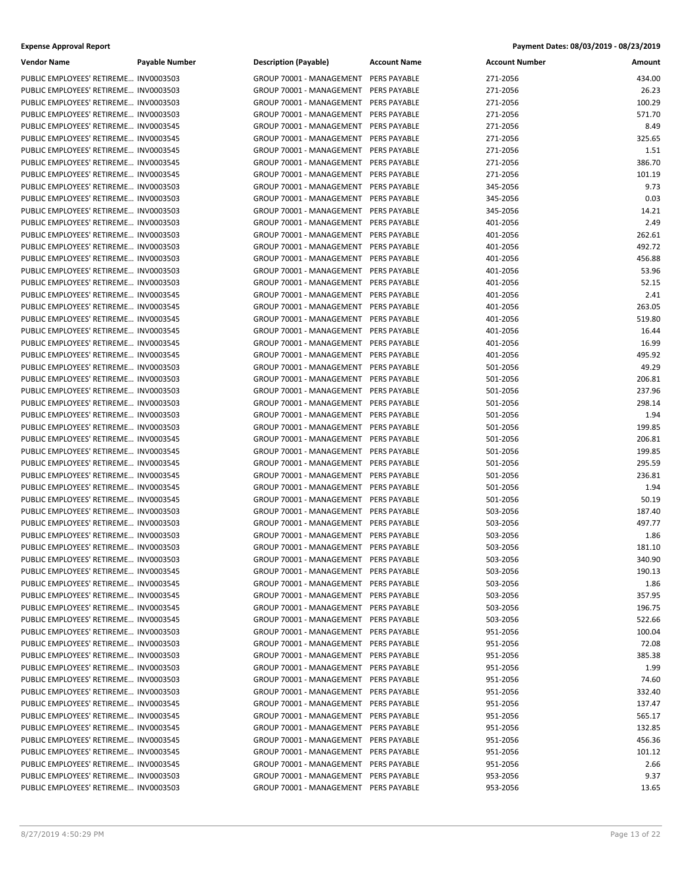| <b>Vendor Name</b>                    | <b>Payable Number</b> | <b>Description (Payable)</b>          | <b>Account Name</b> | <b>Account Number</b> | Amount |
|---------------------------------------|-----------------------|---------------------------------------|---------------------|-----------------------|--------|
| PUBLIC EMPLOYEES' RETIREME INV0003503 |                       | GROUP 70001 - MANAGEMENT              | <b>PERS PAYABLE</b> | 271-2056              | 434.00 |
| PUBLIC EMPLOYEES' RETIREME INV0003503 |                       | GROUP 70001 - MANAGEMENT              | PERS PAYABLE        | 271-2056              | 26.23  |
| PUBLIC EMPLOYEES' RETIREME INV0003503 |                       | GROUP 70001 - MANAGEMENT              | PERS PAYABLE        | 271-2056              | 100.29 |
| PUBLIC EMPLOYEES' RETIREME INV0003503 |                       | GROUP 70001 - MANAGEMENT              | PERS PAYABLE        | 271-2056              | 571.70 |
| PUBLIC EMPLOYEES' RETIREME INV0003545 |                       | GROUP 70001 - MANAGEMENT              | PERS PAYABLE        | 271-2056              | 8.49   |
| PUBLIC EMPLOYEES' RETIREME INV0003545 |                       | GROUP 70001 - MANAGEMENT              | PERS PAYABLE        | 271-2056              | 325.65 |
| PUBLIC EMPLOYEES' RETIREME INV0003545 |                       | GROUP 70001 - MANAGEMENT              | PERS PAYABLE        | 271-2056              | 1.51   |
| PUBLIC EMPLOYEES' RETIREME INV0003545 |                       | GROUP 70001 - MANAGEMENT              | PERS PAYABLE        | 271-2056              | 386.70 |
| PUBLIC EMPLOYEES' RETIREME INV0003545 |                       | GROUP 70001 - MANAGEMENT              | PERS PAYABLE        | 271-2056              | 101.19 |
| PUBLIC EMPLOYEES' RETIREME INV0003503 |                       | GROUP 70001 - MANAGEMENT              | PERS PAYABLE        | 345-2056              | 9.73   |
| PUBLIC EMPLOYEES' RETIREME INV0003503 |                       | GROUP 70001 - MANAGEMENT              | PERS PAYABLE        | 345-2056              | 0.03   |
| PUBLIC EMPLOYEES' RETIREME INV0003503 |                       | GROUP 70001 - MANAGEMENT              | PERS PAYABLE        | 345-2056              | 14.21  |
| PUBLIC EMPLOYEES' RETIREME INV0003503 |                       | GROUP 70001 - MANAGEMENT              | PERS PAYABLE        | 401-2056              | 2.49   |
| PUBLIC EMPLOYEES' RETIREME INV0003503 |                       | GROUP 70001 - MANAGEMENT              | PERS PAYABLE        | 401-2056              | 262.61 |
| PUBLIC EMPLOYEES' RETIREME INV0003503 |                       | GROUP 70001 - MANAGEMENT              | <b>PERS PAYABLE</b> | 401-2056              | 492.72 |
| PUBLIC EMPLOYEES' RETIREME INV0003503 |                       | GROUP 70001 - MANAGEMENT              | PERS PAYABLE        | 401-2056              | 456.88 |
| PUBLIC EMPLOYEES' RETIREME INV0003503 |                       | GROUP 70001 - MANAGEMENT              | PERS PAYABLE        | 401-2056              | 53.96  |
| PUBLIC EMPLOYEES' RETIREME INV0003503 |                       | GROUP 70001 - MANAGEMENT              | PERS PAYABLE        | 401-2056              | 52.15  |
| PUBLIC EMPLOYEES' RETIREME INV0003545 |                       | GROUP 70001 - MANAGEMENT              | PERS PAYABLE        | 401-2056              | 2.41   |
| PUBLIC EMPLOYEES' RETIREME INV0003545 |                       | GROUP 70001 - MANAGEMENT              | PERS PAYABLE        | 401-2056              | 263.05 |
| PUBLIC EMPLOYEES' RETIREME INV0003545 |                       | GROUP 70001 - MANAGEMENT              | PERS PAYABLE        | 401-2056              | 519.80 |
| PUBLIC EMPLOYEES' RETIREME INV0003545 |                       | GROUP 70001 - MANAGEMENT              | PERS PAYABLE        | 401-2056              | 16.44  |
| PUBLIC EMPLOYEES' RETIREME INV0003545 |                       | GROUP 70001 - MANAGEMENT              | PERS PAYABLE        | 401-2056              | 16.99  |
| PUBLIC EMPLOYEES' RETIREME INV0003545 |                       | GROUP 70001 - MANAGEMENT              | PERS PAYABLE        | 401-2056              | 495.92 |
| PUBLIC EMPLOYEES' RETIREME INV0003503 |                       | GROUP 70001 - MANAGEMENT              | PERS PAYABLE        | 501-2056              | 49.29  |
| PUBLIC EMPLOYEES' RETIREME INV0003503 |                       | GROUP 70001 - MANAGEMENT              | PERS PAYABLE        | 501-2056              | 206.81 |
| PUBLIC EMPLOYEES' RETIREME INV0003503 |                       | GROUP 70001 - MANAGEMENT              | PERS PAYABLE        | 501-2056              | 237.96 |
| PUBLIC EMPLOYEES' RETIREME INV0003503 |                       | GROUP 70001 - MANAGEMENT              | PERS PAYABLE        | 501-2056              | 298.14 |
| PUBLIC EMPLOYEES' RETIREME INV0003503 |                       | GROUP 70001 - MANAGEMENT              | PERS PAYABLE        | 501-2056              | 1.94   |
| PUBLIC EMPLOYEES' RETIREME INV0003503 |                       | GROUP 70001 - MANAGEMENT              | PERS PAYABLE        | 501-2056              | 199.85 |
| PUBLIC EMPLOYEES' RETIREME INV0003545 |                       | GROUP 70001 - MANAGEMENT              | PERS PAYABLE        | 501-2056              | 206.81 |
| PUBLIC EMPLOYEES' RETIREME INV0003545 |                       | GROUP 70001 - MANAGEMENT              | PERS PAYABLE        | 501-2056              | 199.85 |
| PUBLIC EMPLOYEES' RETIREME INV0003545 |                       | GROUP 70001 - MANAGEMENT              | PERS PAYABLE        | 501-2056              | 295.59 |
| PUBLIC EMPLOYEES' RETIREME INV0003545 |                       | GROUP 70001 - MANAGEMENT              | PERS PAYABLE        | 501-2056              | 236.81 |
| PUBLIC EMPLOYEES' RETIREME INV0003545 |                       | GROUP 70001 - MANAGEMENT              | PERS PAYABLE        | 501-2056              | 1.94   |
| PUBLIC EMPLOYEES' RETIREME INV0003545 |                       | GROUP 70001 - MANAGEMENT              | PERS PAYABLE        | 501-2056              | 50.19  |
| PUBLIC EMPLOYEES' RETIREME INV0003503 |                       | GROUP 70001 - MANAGEMENT              | PERS PAYABLE        | 503-2056              | 187.40 |
| PUBLIC EMPLOYEES' RETIREME INV0003503 |                       | GROUP 70001 - MANAGEMENT              | PERS PAYABLE        | 503-2056              | 497.77 |
| PUBLIC EMPLOYEES' RETIREME INV0003503 |                       | GROUP 70001 - MANAGEMENT              | PERS PAYABLE        | 503-2056              | 1.86   |
| PUBLIC EMPLOYEES' RETIREME INV0003503 |                       | GROUP 70001 - MANAGEMENT PERS PAYABLE |                     | 503-2056              | 181.10 |
| PUBLIC EMPLOYEES' RETIREME INV0003503 |                       | GROUP 70001 - MANAGEMENT PERS PAYABLE |                     | 503-2056              | 340.90 |
| PUBLIC EMPLOYEES' RETIREME INV0003545 |                       | GROUP 70001 - MANAGEMENT              | PERS PAYABLE        | 503-2056              | 190.13 |
| PUBLIC EMPLOYEES' RETIREME INV0003545 |                       | GROUP 70001 - MANAGEMENT              | <b>PERS PAYABLE</b> | 503-2056              | 1.86   |
| PUBLIC EMPLOYEES' RETIREME INV0003545 |                       | GROUP 70001 - MANAGEMENT PERS PAYABLE |                     | 503-2056              | 357.95 |
| PUBLIC EMPLOYEES' RETIREME INV0003545 |                       | GROUP 70001 - MANAGEMENT PERS PAYABLE |                     | 503-2056              | 196.75 |
| PUBLIC EMPLOYEES' RETIREME INV0003545 |                       | GROUP 70001 - MANAGEMENT PERS PAYABLE |                     | 503-2056              | 522.66 |
| PUBLIC EMPLOYEES' RETIREME INV0003503 |                       | GROUP 70001 - MANAGEMENT              | <b>PERS PAYABLE</b> | 951-2056              | 100.04 |
| PUBLIC EMPLOYEES' RETIREME INV0003503 |                       | GROUP 70001 - MANAGEMENT              | PERS PAYABLE        | 951-2056              | 72.08  |
| PUBLIC EMPLOYEES' RETIREME INV0003503 |                       | GROUP 70001 - MANAGEMENT PERS PAYABLE |                     | 951-2056              | 385.38 |
| PUBLIC EMPLOYEES' RETIREME INV0003503 |                       | GROUP 70001 - MANAGEMENT              | PERS PAYABLE        | 951-2056              | 1.99   |
| PUBLIC EMPLOYEES' RETIREME INV0003503 |                       | GROUP 70001 - MANAGEMENT PERS PAYABLE |                     | 951-2056              | 74.60  |
| PUBLIC EMPLOYEES' RETIREME INV0003503 |                       | GROUP 70001 - MANAGEMENT              | PERS PAYABLE        | 951-2056              | 332.40 |
| PUBLIC EMPLOYEES' RETIREME INV0003545 |                       | GROUP 70001 - MANAGEMENT              | PERS PAYABLE        | 951-2056              | 137.47 |
| PUBLIC EMPLOYEES' RETIREME INV0003545 |                       | GROUP 70001 - MANAGEMENT PERS PAYABLE |                     | 951-2056              | 565.17 |
| PUBLIC EMPLOYEES' RETIREME INV0003545 |                       | GROUP 70001 - MANAGEMENT              | PERS PAYABLE        | 951-2056              | 132.85 |
| PUBLIC EMPLOYEES' RETIREME INV0003545 |                       | GROUP 70001 - MANAGEMENT              | PERS PAYABLE        | 951-2056              | 456.36 |
| PUBLIC EMPLOYEES' RETIREME INV0003545 |                       | GROUP 70001 - MANAGEMENT              | PERS PAYABLE        | 951-2056              | 101.12 |
| PUBLIC EMPLOYEES' RETIREME INV0003545 |                       | GROUP 70001 - MANAGEMENT              | PERS PAYABLE        | 951-2056              | 2.66   |
| PUBLIC EMPLOYEES' RETIREME INV0003503 |                       | GROUP 70001 - MANAGEMENT              | PERS PAYABLE        | 953-2056              | 9.37   |
| PUBLIC EMPLOYEES' RETIREME INV0003503 |                       | GROUP 70001 - MANAGEMENT PERS PAYABLE |                     | 953-2056              | 13.65  |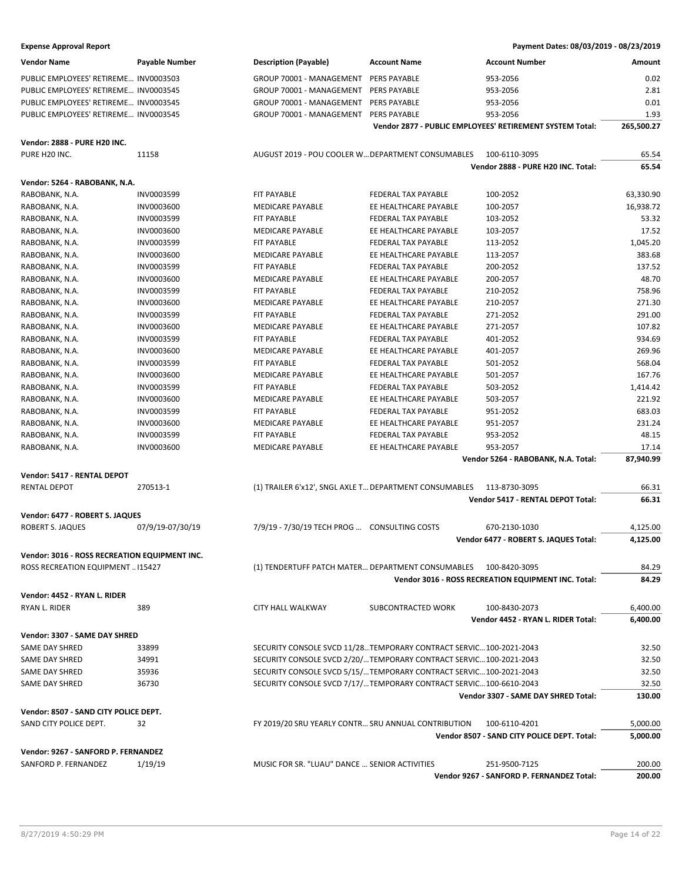| <b>Vendor Name</b>                            | Payable Number    | <b>Description (Payable)</b>                           | <b>Account Name</b>                                                 | <b>Account Number</b>                                    | Amount     |
|-----------------------------------------------|-------------------|--------------------------------------------------------|---------------------------------------------------------------------|----------------------------------------------------------|------------|
| PUBLIC EMPLOYEES' RETIREME INV0003503         |                   | GROUP 70001 - MANAGEMENT                               | <b>PERS PAYABLE</b>                                                 | 953-2056                                                 | 0.02       |
| PUBLIC EMPLOYEES' RETIREME INV0003545         |                   | GROUP 70001 - MANAGEMENT                               | PERS PAYABLE                                                        | 953-2056                                                 | 2.81       |
| PUBLIC EMPLOYEES' RETIREME INV0003545         |                   | GROUP 70001 - MANAGEMENT                               | <b>PERS PAYABLE</b>                                                 | 953-2056                                                 | 0.01       |
| PUBLIC EMPLOYEES' RETIREME INV0003545         |                   | GROUP 70001 - MANAGEMENT                               | <b>PERS PAYABLE</b>                                                 | 953-2056                                                 | 1.93       |
|                                               |                   |                                                        |                                                                     | Vendor 2877 - PUBLIC EMPLOYEES' RETIREMENT SYSTEM Total: | 265,500.27 |
|                                               |                   |                                                        |                                                                     |                                                          |            |
| Vendor: 2888 - PURE H20 INC.                  |                   |                                                        |                                                                     |                                                          |            |
| PURE H20 INC.                                 | 11158             | AUGUST 2019 - POU COOLER W DEPARTMENT CONSUMABLES      |                                                                     | 100-6110-3095                                            | 65.54      |
|                                               |                   |                                                        |                                                                     | Vendor 2888 - PURE H20 INC. Total:                       | 65.54      |
| Vendor: 5264 - RABOBANK, N.A.                 |                   |                                                        |                                                                     |                                                          |            |
| RABOBANK, N.A.                                | INV0003599        | FIT PAYABLE                                            | FEDERAL TAX PAYABLE                                                 | 100-2052                                                 | 63,330.90  |
| RABOBANK, N.A.                                | <b>INV0003600</b> | <b>MEDICARE PAYABLE</b>                                | EE HEALTHCARE PAYABLE                                               | 100-2057                                                 | 16,938.72  |
| RABOBANK, N.A.                                | INV0003599        | <b>FIT PAYABLE</b>                                     | FEDERAL TAX PAYABLE                                                 | 103-2052                                                 | 53.32      |
| RABOBANK, N.A.                                | <b>INV0003600</b> | MEDICARE PAYABLE                                       | EE HEALTHCARE PAYABLE                                               | 103-2057                                                 | 17.52      |
| RABOBANK, N.A.                                | INV0003599        | FIT PAYABLE                                            | FEDERAL TAX PAYABLE                                                 | 113-2052                                                 | 1,045.20   |
| RABOBANK, N.A.                                | INV0003600        | <b>MEDICARE PAYABLE</b>                                | EE HEALTHCARE PAYABLE                                               | 113-2057                                                 | 383.68     |
| RABOBANK, N.A.                                | INV0003599        | FIT PAYABLE                                            | FEDERAL TAX PAYABLE                                                 | 200-2052                                                 | 137.52     |
| RABOBANK, N.A.                                | <b>INV0003600</b> | MEDICARE PAYABLE                                       | EE HEALTHCARE PAYABLE                                               | 200-2057                                                 | 48.70      |
| RABOBANK, N.A.                                | INV0003599        | FIT PAYABLE                                            | FEDERAL TAX PAYABLE                                                 | 210-2052                                                 | 758.96     |
| RABOBANK, N.A.                                | INV0003600        | MEDICARE PAYABLE                                       | EE HEALTHCARE PAYABLE                                               | 210-2057                                                 | 271.30     |
| RABOBANK, N.A.                                | INV0003599        | <b>FIT PAYABLE</b>                                     | <b>FEDERAL TAX PAYABLE</b>                                          | 271-2052                                                 | 291.00     |
| RABOBANK, N.A.                                | <b>INV0003600</b> | MEDICARE PAYABLE                                       | EE HEALTHCARE PAYABLE                                               | 271-2057                                                 | 107.82     |
| RABOBANK, N.A.                                | INV0003599        | <b>FIT PAYABLE</b>                                     | FEDERAL TAX PAYABLE                                                 | 401-2052                                                 | 934.69     |
| RABOBANK, N.A.                                | <b>INV0003600</b> | MEDICARE PAYABLE                                       | EE HEALTHCARE PAYABLE                                               | 401-2057                                                 | 269.96     |
| RABOBANK, N.A.                                | INV0003599        | FIT PAYABLE                                            | FEDERAL TAX PAYABLE                                                 | 501-2052                                                 | 568.04     |
| RABOBANK, N.A.                                | INV0003600        | <b>MEDICARE PAYABLE</b>                                | EE HEALTHCARE PAYABLE                                               | 501-2057                                                 | 167.76     |
| RABOBANK, N.A.                                | INV0003599        | FIT PAYABLE                                            | FEDERAL TAX PAYABLE                                                 | 503-2052                                                 | 1,414.42   |
| RABOBANK, N.A.                                | <b>INV0003600</b> | MEDICARE PAYABLE                                       | EE HEALTHCARE PAYABLE                                               | 503-2057                                                 | 221.92     |
| RABOBANK, N.A.                                | INV0003599        | FIT PAYABLE                                            | FEDERAL TAX PAYABLE                                                 | 951-2052                                                 | 683.03     |
| RABOBANK, N.A.                                | <b>INV0003600</b> | MEDICARE PAYABLE                                       | EE HEALTHCARE PAYABLE                                               | 951-2057                                                 | 231.24     |
| RABOBANK, N.A.                                | INV0003599        | <b>FIT PAYABLE</b>                                     | FEDERAL TAX PAYABLE                                                 | 953-2052                                                 | 48.15      |
| RABOBANK, N.A.                                | <b>INV0003600</b> | MEDICARE PAYABLE                                       | EE HEALTHCARE PAYABLE                                               | 953-2057                                                 | 17.14      |
|                                               |                   |                                                        |                                                                     | Vendor 5264 - RABOBANK, N.A. Total:                      | 87,940.99  |
| Vendor: 5417 - RENTAL DEPOT                   |                   |                                                        |                                                                     |                                                          |            |
| <b>RENTAL DEPOT</b>                           | 270513-1          | (1) TRAILER 6'x12', SNGL AXLE T DEPARTMENT CONSUMABLES |                                                                     | 113-8730-3095                                            | 66.31      |
|                                               |                   |                                                        |                                                                     | <b>Vendor 5417 - RENTAL DEPOT Total:</b>                 | 66.31      |
|                                               |                   |                                                        |                                                                     |                                                          |            |
| Vendor: 6477 - ROBERT S. JAQUES               |                   |                                                        |                                                                     |                                                          |            |
| ROBERT S. JAQUES                              | 07/9/19-07/30/19  | 7/9/19 - 7/30/19 TECH PROG  CONSULTING COSTS           |                                                                     | 670-2130-1030                                            | 4,125.00   |
|                                               |                   |                                                        |                                                                     | Vendor 6477 - ROBERT S. JAQUES Total:                    | 4,125.00   |
| Vendor: 3016 - ROSS RECREATION EQUIPMENT INC. |                   |                                                        |                                                                     |                                                          |            |
| ROSS RECREATION EQUIPMENT  115427             |                   |                                                        | (1) TENDERTUFF PATCH MATER DEPARTMENT CONSUMABLES 100-8420-3095     |                                                          | 84.29      |
|                                               |                   |                                                        |                                                                     | Vendor 3016 - ROSS RECREATION EQUIPMENT INC. Total:      | 84.29      |
| Vendor: 4452 - RYAN L. RIDER                  |                   |                                                        |                                                                     |                                                          |            |
| RYAN L. RIDER                                 | 389               | <b>CITY HALL WALKWAY</b>                               | SUBCONTRACTED WORK                                                  | 100-8430-2073                                            | 6,400.00   |
|                                               |                   |                                                        |                                                                     | Vendor 4452 - RYAN L. RIDER Total:                       | 6,400.00   |
|                                               |                   |                                                        |                                                                     |                                                          |            |
| Vendor: 3307 - SAME DAY SHRED                 |                   |                                                        |                                                                     |                                                          |            |
| SAME DAY SHRED                                | 33899             |                                                        | SECURITY CONSOLE SVCD 11/28TEMPORARY CONTRACT SERVIC100-2021-2043   |                                                          | 32.50      |
| SAME DAY SHRED                                | 34991             |                                                        | SECURITY CONSOLE SVCD 2/20/ TEMPORARY CONTRACT SERVIC 100-2021-2043 |                                                          | 32.50      |
| SAME DAY SHRED                                | 35936             |                                                        | SECURITY CONSOLE SVCD 5/15/ TEMPORARY CONTRACT SERVIC 100-2021-2043 |                                                          | 32.50      |
| SAME DAY SHRED                                | 36730             |                                                        | SECURITY CONSOLE SVCD 7/17/ TEMPORARY CONTRACT SERVIC 100-6610-2043 |                                                          | 32.50      |
|                                               |                   |                                                        |                                                                     | Vendor 3307 - SAME DAY SHRED Total:                      | 130.00     |
| Vendor: 8507 - SAND CITY POLICE DEPT.         |                   |                                                        |                                                                     |                                                          |            |
| SAND CITY POLICE DEPT.                        | 32                | FY 2019/20 SRU YEARLY CONTR SRU ANNUAL CONTRIBUTION    |                                                                     | 100-6110-4201                                            | 5,000.00   |
|                                               |                   |                                                        |                                                                     | Vendor 8507 - SAND CITY POLICE DEPT. Total:              | 5,000.00   |
| Vendor: 9267 - SANFORD P. FERNANDEZ           |                   |                                                        |                                                                     |                                                          |            |
| SANFORD P. FERNANDEZ                          | 1/19/19           | MUSIC FOR SR. "LUAU" DANCE  SENIOR ACTIVITIES          |                                                                     | 251-9500-7125                                            | 200.00     |
|                                               |                   |                                                        |                                                                     | Vendor 9267 - SANFORD P. FERNANDEZ Total:                | 200.00     |
|                                               |                   |                                                        |                                                                     |                                                          |            |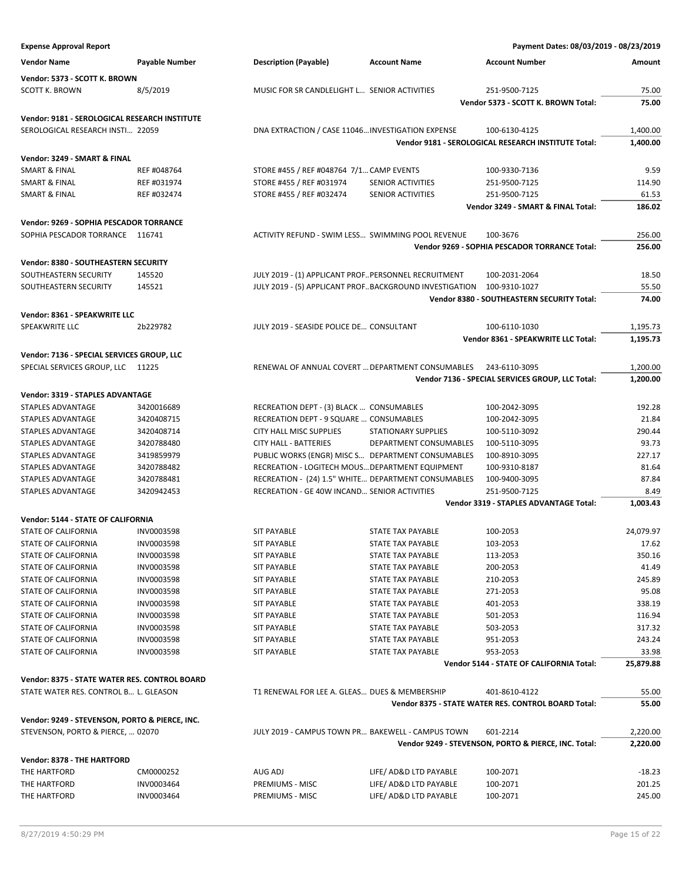| <b>Expense Approval Report</b>                 |                |                                                        |                            | Payment Dates: 08/03/2019 - 08/23/2019               |           |
|------------------------------------------------|----------------|--------------------------------------------------------|----------------------------|------------------------------------------------------|-----------|
| <b>Vendor Name</b>                             | Payable Number | <b>Description (Payable)</b>                           | <b>Account Name</b>        | <b>Account Number</b>                                | Amount    |
| Vendor: 5373 - SCOTT K. BROWN                  |                |                                                        |                            |                                                      |           |
|                                                |                |                                                        |                            |                                                      |           |
| SCOTT K. BROWN                                 | 8/5/2019       | MUSIC FOR SR CANDLELIGHT L SENIOR ACTIVITIES           |                            | 251-9500-7125                                        | 75.00     |
|                                                |                |                                                        |                            | Vendor 5373 - SCOTT K. BROWN Total:                  | 75.00     |
| Vendor: 9181 - SEROLOGICAL RESEARCH INSTITUTE  |                |                                                        |                            |                                                      |           |
| SEROLOGICAL RESEARCH INSTI 22059               |                | DNA EXTRACTION / CASE 11046 INVESTIGATION EXPENSE      |                            | 100-6130-4125                                        | 1,400.00  |
|                                                |                |                                                        |                            | Vendor 9181 - SEROLOGICAL RESEARCH INSTITUTE Total:  | 1,400.00  |
| Vendor: 3249 - SMART & FINAL                   |                |                                                        |                            |                                                      |           |
| SMART & FINAL                                  | REF #048764    | STORE #455 / REF #048764 7/1 CAMP EVENTS               |                            | 100-9330-7136                                        | 9.59      |
| <b>SMART &amp; FINAL</b>                       | REF #031974    | STORE #455 / REF #031974                               | SENIOR ACTIVITIES          | 251-9500-7125                                        | 114.90    |
| <b>SMART &amp; FINAL</b>                       | REF #032474    | STORE #455 / REF #032474                               | SENIOR ACTIVITIES          | 251-9500-7125                                        | 61.53     |
|                                                |                |                                                        |                            | Vendor 3249 - SMART & FINAL Total:                   | 186.02    |
|                                                |                |                                                        |                            |                                                      |           |
| Vendor: 9269 - SOPHIA PESCADOR TORRANCE        |                |                                                        |                            |                                                      |           |
| SOPHIA PESCADOR TORRANCE 116741                |                | ACTIVITY REFUND - SWIM LESS SWIMMING POOL REVENUE      |                            | 100-3676                                             | 256.00    |
|                                                |                |                                                        |                            | Vendor 9269 - SOPHIA PESCADOR TORRANCE Total:        | 256.00    |
| Vendor: 8380 - SOUTHEASTERN SECURITY           |                |                                                        |                            |                                                      |           |
| SOUTHEASTERN SECURITY                          | 145520         | JULY 2019 - (1) APPLICANT PROF PERSONNEL RECRUITMENT   |                            | 100-2031-2064                                        | 18.50     |
| SOUTHEASTERN SECURITY                          | 145521         | JULY 2019 - (5) APPLICANT PROFBACKGROUND INVESTIGATION |                            | 100-9310-1027                                        | 55.50     |
|                                                |                |                                                        |                            | Vendor 8380 - SOUTHEASTERN SECURITY Total:           | 74.00     |
| Vendor: 8361 - SPEAKWRITE LLC                  |                |                                                        |                            |                                                      |           |
| SPEAKWRITE LLC                                 | 2b229782       | JULY 2019 - SEASIDE POLICE DE CONSULTANT               |                            | 100-6110-1030                                        | 1,195.73  |
|                                                |                |                                                        |                            | Vendor 8361 - SPEAKWRITE LLC Total:                  | 1,195.73  |
|                                                |                |                                                        |                            |                                                      |           |
| Vendor: 7136 - SPECIAL SERVICES GROUP, LLC     |                |                                                        |                            |                                                      |           |
| SPECIAL SERVICES GROUP, LLC 11225              |                | RENEWAL OF ANNUAL COVERT  DEPARTMENT CONSUMABLES       |                            | 243-6110-3095                                        | 1,200.00  |
|                                                |                |                                                        |                            | Vendor 7136 - SPECIAL SERVICES GROUP, LLC Total:     | 1,200.00  |
| Vendor: 3319 - STAPLES ADVANTAGE               |                |                                                        |                            |                                                      |           |
| STAPLES ADVANTAGE                              | 3420016689     | RECREATION DEPT - (3) BLACK  CONSUMABLES               |                            | 100-2042-3095                                        | 192.28    |
| STAPLES ADVANTAGE                              | 3420408715     | RECREATION DEPT - 9 SQUARE  CONSUMABLES                |                            | 100-2042-3095                                        | 21.84     |
| STAPLES ADVANTAGE                              | 3420408714     | CITY HALL MISC SUPPLIES                                | <b>STATIONARY SUPPLIES</b> | 100-5110-3092                                        | 290.44    |
| STAPLES ADVANTAGE                              | 3420788480     | <b>CITY HALL - BATTERIES</b>                           | DEPARTMENT CONSUMABLES     | 100-5110-3095                                        | 93.73     |
| STAPLES ADVANTAGE                              | 3419859979     | PUBLIC WORKS (ENGR) MISC S DEPARTMENT CONSUMABLES      |                            | 100-8910-3095                                        | 227.17    |
| STAPLES ADVANTAGE                              | 3420788482     | RECREATION - LOGITECH MOUS DEPARTMENT EQUIPMENT        |                            | 100-9310-8187                                        | 81.64     |
| <b>STAPLES ADVANTAGE</b>                       | 3420788481     | RECREATION - (24) 1.5" WHITE DEPARTMENT CONSUMABLES    |                            | 100-9400-3095                                        | 87.84     |
| STAPLES ADVANTAGE                              | 3420942453     | RECREATION - GE 40W INCAND SENIOR ACTIVITIES           |                            | 251-9500-7125                                        | 8.49      |
|                                                |                |                                                        |                            | Vendor 3319 - STAPLES ADVANTAGE Total:               | 1,003.43  |
|                                                |                |                                                        |                            |                                                      |           |
| Vendor: 5144 - STATE OF CALIFORNIA             |                |                                                        |                            |                                                      |           |
| STATE OF CALIFORNIA                            | INV0003598     | <b>SIT PAYABLE</b>                                     | STATE TAX PAYABLE          | 100-2053                                             | 24,079.97 |
| STATE OF CALIFORNIA                            | INV0003598     | <b>SIT PAYABLE</b>                                     | <b>STATE TAX PAYABLE</b>   | 103-2053                                             | 17.62     |
| STATE OF CALIFORNIA                            | INV0003598     | <b>SIT PAYABLE</b>                                     | STATE TAX PAYABLE          | 113-2053                                             | 350.16    |
| <b>STATE OF CALIFORNIA</b>                     | INV0003598     | <b>SIT PAYABLE</b>                                     | STATE TAX PAYABLE          | 200-2053                                             | 41.49     |
| STATE OF CALIFORNIA                            | INV0003598     | <b>SIT PAYABLE</b>                                     | STATE TAX PAYABLE          | 210-2053                                             | 245.89    |
| STATE OF CALIFORNIA                            | INV0003598     | <b>SIT PAYABLE</b>                                     | STATE TAX PAYABLE          | 271-2053                                             | 95.08     |
| STATE OF CALIFORNIA                            | INV0003598     | <b>SIT PAYABLE</b>                                     | STATE TAX PAYABLE          | 401-2053                                             | 338.19    |
| STATE OF CALIFORNIA                            | INV0003598     | <b>SIT PAYABLE</b>                                     | <b>STATE TAX PAYABLE</b>   | 501-2053                                             | 116.94    |
| STATE OF CALIFORNIA                            | INV0003598     | <b>SIT PAYABLE</b>                                     | STATE TAX PAYABLE          | 503-2053                                             | 317.32    |
| STATE OF CALIFORNIA                            | INV0003598     | <b>SIT PAYABLE</b>                                     | STATE TAX PAYABLE          | 951-2053                                             | 243.24    |
| STATE OF CALIFORNIA                            | INV0003598     | <b>SIT PAYABLE</b>                                     | STATE TAX PAYABLE          | 953-2053                                             | 33.98     |
|                                                |                |                                                        |                            | Vendor 5144 - STATE OF CALIFORNIA Total:             | 25,879.88 |
| Vendor: 8375 - STATE WATER RES. CONTROL BOARD  |                |                                                        |                            |                                                      |           |
| STATE WATER RES. CONTROL B L. GLEASON          |                | T1 RENEWAL FOR LEE A. GLEAS DUES & MEMBERSHIP          |                            | 401-8610-4122                                        | 55.00     |
|                                                |                |                                                        |                            | Vendor 8375 - STATE WATER RES. CONTROL BOARD Total:  | 55.00     |
|                                                |                |                                                        |                            |                                                      |           |
| Vendor: 9249 - STEVENSON, PORTO & PIERCE, INC. |                |                                                        |                            |                                                      |           |
| STEVENSON, PORTO & PIERCE,  02070              |                | JULY 2019 - CAMPUS TOWN PR BAKEWELL - CAMPUS TOWN      |                            | 601-2214                                             | 2,220.00  |
|                                                |                |                                                        |                            | Vendor 9249 - STEVENSON, PORTO & PIERCE, INC. Total: | 2,220.00  |
| Vendor: 8378 - THE HARTFORD                    |                |                                                        |                            |                                                      |           |
| THE HARTFORD                                   | CM0000252      | AUG ADJ                                                | LIFE/ AD&D LTD PAYABLE     | 100-2071                                             | $-18.23$  |
| THE HARTFORD                                   | INV0003464     | PREMIUMS - MISC                                        | LIFE/ AD&D LTD PAYABLE     | 100-2071                                             | 201.25    |
| THE HARTFORD                                   | INV0003464     | PREMIUMS - MISC                                        | LIFE/ AD&D LTD PAYABLE     | 100-2071                                             | 245.00    |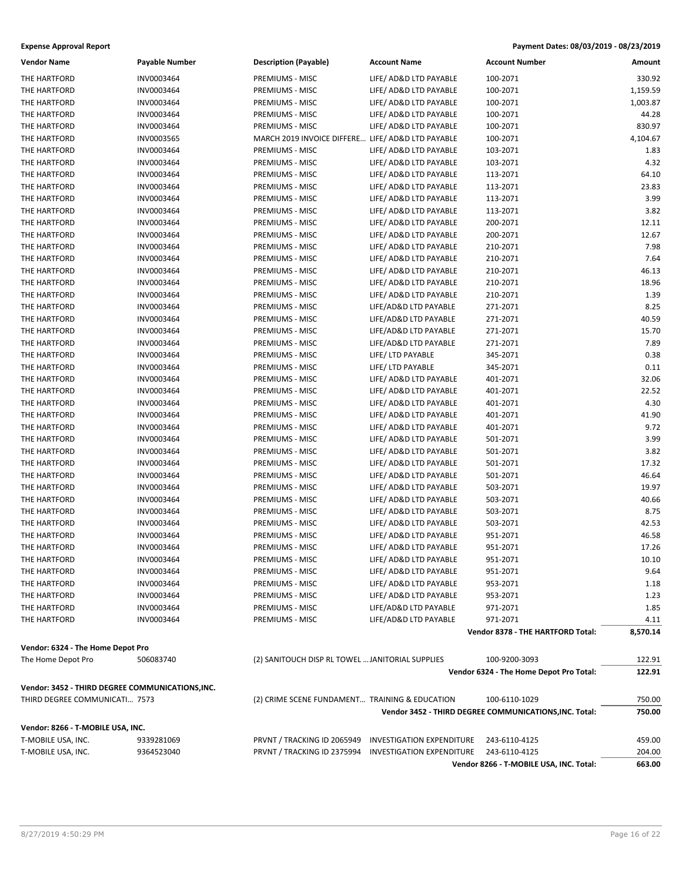| Payment Dates: 08/03/2019 - 08/23/2019<br><b>Expense Approval Report</b> |                       |                                                   |                                  |                                                        |          |
|--------------------------------------------------------------------------|-----------------------|---------------------------------------------------|----------------------------------|--------------------------------------------------------|----------|
| <b>Vendor Name</b>                                                       | <b>Payable Number</b> | <b>Description (Payable)</b>                      | <b>Account Name</b>              | <b>Account Number</b>                                  | Amount   |
| THE HARTFORD                                                             | INV0003464            | PREMIUMS - MISC                                   | LIFE/ AD&D LTD PAYABLE           | 100-2071                                               | 330.92   |
| THE HARTFORD                                                             | INV0003464            | PREMIUMS - MISC                                   | LIFE/ AD&D LTD PAYABLE           | 100-2071                                               | 1,159.59 |
| THE HARTFORD                                                             | INV0003464            | PREMIUMS - MISC                                   | LIFE/ AD&D LTD PAYABLE           | 100-2071                                               | 1,003.87 |
| THE HARTFORD                                                             | INV0003464            | PREMIUMS - MISC                                   | LIFE/ AD&D LTD PAYABLE           | 100-2071                                               | 44.28    |
| THE HARTFORD                                                             | INV0003464            | PREMIUMS - MISC                                   | LIFE/ AD&D LTD PAYABLE           | 100-2071                                               | 830.97   |
| THE HARTFORD                                                             | INV0003565            | MARCH 2019 INVOICE DIFFERE LIFE/ AD&D LTD PAYABLE |                                  | 100-2071                                               | 4,104.67 |
| THE HARTFORD                                                             | INV0003464            | PREMIUMS - MISC                                   | LIFE/ AD&D LTD PAYABLE           | 103-2071                                               | 1.83     |
| THE HARTFORD                                                             | INV0003464            | PREMIUMS - MISC                                   | LIFE/ AD&D LTD PAYABLE           | 103-2071                                               | 4.32     |
| THE HARTFORD                                                             | INV0003464            | PREMIUMS - MISC                                   | LIFE/ AD&D LTD PAYABLE           | 113-2071                                               | 64.10    |
| THE HARTFORD                                                             | INV0003464            | PREMIUMS - MISC                                   | LIFE/ AD&D LTD PAYABLE           | 113-2071                                               | 23.83    |
| THE HARTFORD                                                             | INV0003464            | PREMIUMS - MISC                                   | LIFE/ AD&D LTD PAYABLE           | 113-2071                                               | 3.99     |
| THE HARTFORD                                                             | INV0003464            | PREMIUMS - MISC                                   | LIFE/ AD&D LTD PAYABLE           | 113-2071                                               | 3.82     |
| THE HARTFORD                                                             | INV0003464            | PREMIUMS - MISC                                   | LIFE/ AD&D LTD PAYABLE           | 200-2071                                               | 12.11    |
| THE HARTFORD                                                             | INV0003464            | PREMIUMS - MISC                                   | LIFE/ AD&D LTD PAYABLE           | 200-2071                                               | 12.67    |
| THE HARTFORD                                                             | INV0003464            | PREMIUMS - MISC                                   | LIFE/ AD&D LTD PAYABLE           | 210-2071                                               | 7.98     |
| THE HARTFORD                                                             | INV0003464            | PREMIUMS - MISC                                   | LIFE/ AD&D LTD PAYABLE           | 210-2071                                               | 7.64     |
| THE HARTFORD                                                             | INV0003464            | PREMIUMS - MISC                                   | LIFE/ AD&D LTD PAYABLE           | 210-2071                                               | 46.13    |
| THE HARTFORD                                                             | INV0003464            | PREMIUMS - MISC                                   | LIFE/ AD&D LTD PAYABLE           | 210-2071                                               | 18.96    |
| THE HARTFORD                                                             | INV0003464            | PREMIUMS - MISC                                   | LIFE/ AD&D LTD PAYABLE           | 210-2071                                               | 1.39     |
| THE HARTFORD                                                             | INV0003464            | PREMIUMS - MISC                                   | LIFE/AD&D LTD PAYABLE            | 271-2071                                               | 8.25     |
| THE HARTFORD                                                             | INV0003464            | PREMIUMS - MISC                                   | LIFE/AD&D LTD PAYABLE            | 271-2071                                               | 40.59    |
| THE HARTFORD                                                             | INV0003464            | PREMIUMS - MISC                                   | LIFE/AD&D LTD PAYABLE            | 271-2071                                               | 15.70    |
| THE HARTFORD                                                             | INV0003464            | PREMIUMS - MISC                                   | LIFE/AD&D LTD PAYABLE            | 271-2071                                               | 7.89     |
| THE HARTFORD                                                             | INV0003464            | PREMIUMS - MISC                                   | LIFE/ LTD PAYABLE                | 345-2071                                               | 0.38     |
| THE HARTFORD                                                             | INV0003464            | PREMIUMS - MISC                                   | LIFE/ LTD PAYABLE                | 345-2071                                               | 0.11     |
| THE HARTFORD                                                             | INV0003464            | PREMIUMS - MISC                                   | LIFE/ AD&D LTD PAYABLE           | 401-2071                                               | 32.06    |
| THE HARTFORD                                                             | INV0003464            | PREMIUMS - MISC                                   | LIFE/ AD&D LTD PAYABLE           | 401-2071                                               | 22.52    |
| THE HARTFORD                                                             | INV0003464            | PREMIUMS - MISC                                   | LIFE/ AD&D LTD PAYABLE           | 401-2071                                               | 4.30     |
| THE HARTFORD                                                             | INV0003464            | PREMIUMS - MISC                                   | LIFE/ AD&D LTD PAYABLE           | 401-2071                                               | 41.90    |
| THE HARTFORD                                                             | INV0003464            | PREMIUMS - MISC                                   | LIFE/ AD&D LTD PAYABLE           | 401-2071                                               | 9.72     |
| THE HARTFORD                                                             | INV0003464            | PREMIUMS - MISC                                   | LIFE/ AD&D LTD PAYABLE           | 501-2071                                               | 3.99     |
| THE HARTFORD                                                             | INV0003464            | PREMIUMS - MISC                                   | LIFE/ AD&D LTD PAYABLE           | 501-2071                                               | 3.82     |
| THE HARTFORD                                                             | INV0003464            | PREMIUMS - MISC                                   | LIFE/ AD&D LTD PAYABLE           | 501-2071                                               | 17.32    |
| THE HARTFORD                                                             | INV0003464            | PREMIUMS - MISC                                   | LIFE/ AD&D LTD PAYABLE           | 501-2071                                               | 46.64    |
| THE HARTFORD                                                             | INV0003464            | PREMIUMS - MISC                                   | LIFE/ AD&D LTD PAYABLE           | 503-2071                                               | 19.97    |
| THE HARTFORD                                                             | INV0003464            | PREMIUMS - MISC                                   | LIFE/ AD&D LTD PAYABLE           | 503-2071                                               | 40.66    |
| THE HARTFORD                                                             | INV0003464            | PREMIUMS - MISC                                   | LIFE/ AD&D LTD PAYABLE           | 503-2071                                               | 8.75     |
| THE HARTFORD                                                             | INV0003464            | PREMIUMS - MISC                                   | LIFE/ AD&D LTD PAYABLE           | 503-2071                                               | 42.53    |
| THE HARTFORD                                                             | INV0003464            | PREMIUMS - MISC                                   | LIFE/ AD&D LTD PAYABLE           | 951-2071                                               | 46.58    |
| THE HARTFORD                                                             | INV0003464            | PREMIUMS - MISC                                   | LIFE/ AD&D LTD PAYABLE           | 951-2071                                               | 17.26    |
| THE HARTFORD                                                             | INV0003464            | PREMIUMS - MISC                                   | LIFE/ AD&D LTD PAYABLE           | 951-2071                                               | 10.10    |
| THE HARTFORD                                                             | INV0003464            | PREMIUMS - MISC                                   | LIFE/ AD&D LTD PAYABLE           | 951-2071                                               | 9.64     |
| THE HARTFORD                                                             | INV0003464            | PREMIUMS - MISC                                   | LIFE/ AD&D LTD PAYABLE           | 953-2071                                               | 1.18     |
| THE HARTFORD                                                             | INV0003464            | PREMIUMS - MISC                                   | LIFE/ AD&D LTD PAYABLE           | 953-2071                                               | 1.23     |
| THE HARTFORD                                                             | INV0003464            | PREMIUMS - MISC                                   | LIFE/AD&D LTD PAYABLE            | 971-2071                                               | 1.85     |
| THE HARTFORD                                                             | INV0003464            | PREMIUMS - MISC                                   | LIFE/AD&D LTD PAYABLE            | 971-2071                                               | 4.11     |
|                                                                          |                       |                                                   |                                  | Vendor 8378 - THE HARTFORD Total:                      | 8,570.14 |
| Vendor: 6324 - The Home Depot Pro                                        |                       |                                                   |                                  |                                                        |          |
| The Home Depot Pro                                                       | 506083740             | (2) SANITOUCH DISP RL TOWEL  JANITORIAL SUPPLIES  |                                  | 100-9200-3093                                          | 122.91   |
|                                                                          |                       |                                                   |                                  | Vendor 6324 - The Home Depot Pro Total:                | 122.91   |
| Vendor: 3452 - THIRD DEGREE COMMUNICATIONS, INC.                         |                       |                                                   |                                  |                                                        |          |
| THIRD DEGREE COMMUNICATI 7573                                            |                       | (2) CRIME SCENE FUNDAMENT TRAINING & EDUCATION    |                                  | 100-6110-1029                                          | 750.00   |
|                                                                          |                       |                                                   |                                  | Vendor 3452 - THIRD DEGREE COMMUNICATIONS, INC. Total: | 750.00   |
|                                                                          |                       |                                                   |                                  |                                                        |          |
| Vendor: 8266 - T-MOBILE USA, INC.                                        |                       |                                                   |                                  |                                                        |          |
| T-MOBILE USA, INC.                                                       | 9339281069            | PRVNT / TRACKING ID 2065949                       | <b>INVESTIGATION EXPENDITURE</b> | 243-6110-4125                                          | 459.00   |
| T-MOBILE USA, INC.                                                       | 9364523040            | PRVNT / TRACKING ID 2375994                       | <b>INVESTIGATION EXPENDITURE</b> | 243-6110-4125                                          | 204.00   |
|                                                                          |                       |                                                   |                                  | Vendor 8266 - T-MOBILE USA, INC. Total:                | 663.00   |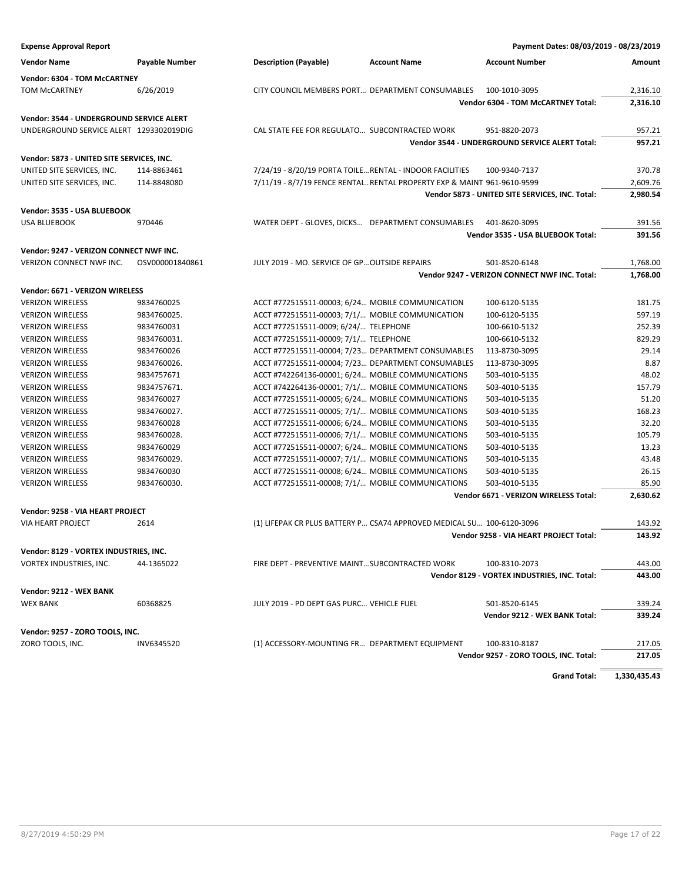| <b>Expense Approval Report</b>                                          |                       |                                                          |                                                                         | Payment Dates: 08/03/2019 - 08/23/2019          |               |
|-------------------------------------------------------------------------|-----------------------|----------------------------------------------------------|-------------------------------------------------------------------------|-------------------------------------------------|---------------|
| <b>Vendor Name</b>                                                      | <b>Payable Number</b> | <b>Description (Payable)</b>                             | <b>Account Name</b>                                                     | <b>Account Number</b>                           | <b>Amount</b> |
| Vendor: 6304 - TOM McCARTNEY                                            |                       |                                                          |                                                                         |                                                 |               |
| <b>TOM MCCARTNEY</b>                                                    | 6/26/2019             |                                                          | CITY COUNCIL MEMBERS PORT DEPARTMENT CONSUMABLES                        | 100-1010-3095                                   | 2,316.10      |
|                                                                         |                       |                                                          |                                                                         | <b>Vendor 6304 - TOM McCARTNEY Total:</b>       | 2,316.10      |
| Vendor: 3544 - UNDERGROUND SERVICE ALERT                                |                       |                                                          |                                                                         |                                                 |               |
| UNDERGROUND SERVICE ALERT 1293302019DIG                                 |                       | CAL STATE FEE FOR REGULATO SUBCONTRACTED WORK            |                                                                         | 951-8820-2073                                   | 957.21        |
|                                                                         |                       |                                                          |                                                                         | Vendor 3544 - UNDERGROUND SERVICE ALERT Total:  | 957.21        |
|                                                                         |                       |                                                          |                                                                         |                                                 |               |
| Vendor: 5873 - UNITED SITE SERVICES, INC.<br>UNITED SITE SERVICES, INC. | 114-8863461           | 7/24/19 - 8/20/19 PORTA TOILE RENTAL - INDOOR FACILITIES |                                                                         | 100-9340-7137                                   | 370.78        |
| UNITED SITE SERVICES, INC.                                              | 114-8848080           |                                                          | 7/11/19 - 8/7/19 FENCE RENTAL RENTAL PROPERTY EXP & MAINT 961-9610-9599 |                                                 | 2,609.76      |
|                                                                         |                       |                                                          |                                                                         | Vendor 5873 - UNITED SITE SERVICES, INC. Total: | 2,980.54      |
|                                                                         |                       |                                                          |                                                                         |                                                 |               |
| Vendor: 3535 - USA BLUEBOOK                                             |                       |                                                          |                                                                         |                                                 |               |
| <b>USA BLUEBOOK</b>                                                     | 970446                |                                                          | WATER DEPT - GLOVES, DICKS DEPARTMENT CONSUMABLES                       | 401-8620-3095                                   | 391.56        |
|                                                                         |                       |                                                          |                                                                         | Vendor 3535 - USA BLUEBOOK Total:               | 391.56        |
| Vendor: 9247 - VERIZON CONNECT NWF INC.                                 |                       |                                                          |                                                                         |                                                 |               |
| VERIZON CONNECT NWF INC.                                                | OSV000001840861       | JULY 2019 - MO. SERVICE OF GP OUTSIDE REPAIRS            |                                                                         | 501-8520-6148                                   | 1,768.00      |
|                                                                         |                       |                                                          |                                                                         | Vendor 9247 - VERIZON CONNECT NWF INC. Total:   | 1,768.00      |
| Vendor: 6671 - VERIZON WIRELESS                                         |                       |                                                          |                                                                         |                                                 |               |
| <b>VERIZON WIRELESS</b>                                                 | 9834760025            | ACCT #772515511-00003; 6/24 MOBILE COMMUNICATION         |                                                                         | 100-6120-5135                                   | 181.75        |
| <b>VERIZON WIRELESS</b>                                                 | 9834760025.           | ACCT #772515511-00003; 7/1/ MOBILE COMMUNICATION         |                                                                         | 100-6120-5135                                   | 597.19        |
| <b>VERIZON WIRELESS</b>                                                 | 9834760031            | ACCT #772515511-0009; 6/24/ TELEPHONE                    |                                                                         | 100-6610-5132                                   | 252.39        |
| <b>VERIZON WIRELESS</b>                                                 | 9834760031.           | ACCT #772515511-00009; 7/1/ TELEPHONE                    |                                                                         | 100-6610-5132                                   | 829.29        |
| <b>VERIZON WIRELESS</b>                                                 | 9834760026            |                                                          | ACCT #772515511-00004; 7/23 DEPARTMENT CONSUMABLES                      | 113-8730-3095                                   | 29.14         |
| <b>VERIZON WIRELESS</b>                                                 | 9834760026.           |                                                          | ACCT #772515511-00004; 7/23 DEPARTMENT CONSUMABLES                      | 113-8730-3095                                   | 8.87          |
| <b>VERIZON WIRELESS</b>                                                 | 9834757671            | ACCT #742264136-00001; 6/24 MOBILE COMMUNICATIONS        |                                                                         | 503-4010-5135                                   | 48.02         |
| <b>VERIZON WIRELESS</b>                                                 | 9834757671.           | ACCT #742264136-00001; 7/1/ MOBILE COMMUNICATIONS        |                                                                         | 503-4010-5135                                   | 157.79        |
| <b>VERIZON WIRELESS</b>                                                 | 9834760027            | ACCT #772515511-00005; 6/24 MOBILE COMMUNICATIONS        |                                                                         | 503-4010-5135                                   | 51.20         |
| <b>VERIZON WIRELESS</b>                                                 | 9834760027.           | ACCT #772515511-00005; 7/1/ MOBILE COMMUNICATIONS        |                                                                         | 503-4010-5135                                   | 168.23        |
| <b>VERIZON WIRELESS</b>                                                 | 9834760028            | ACCT #772515511-00006; 6/24 MOBILE COMMUNICATIONS        |                                                                         | 503-4010-5135                                   | 32.20         |
| <b>VERIZON WIRELESS</b>                                                 | 9834760028.           | ACCT #772515511-00006; 7/1/ MOBILE COMMUNICATIONS        |                                                                         | 503-4010-5135                                   | 105.79        |
| <b>VERIZON WIRELESS</b>                                                 | 9834760029            | ACCT #772515511-00007; 6/24 MOBILE COMMUNICATIONS        |                                                                         | 503-4010-5135                                   | 13.23         |
| <b>VERIZON WIRELESS</b>                                                 | 9834760029.           | ACCT #772515511-00007; 7/1/ MOBILE COMMUNICATIONS        |                                                                         | 503-4010-5135                                   | 43.48         |
| <b>VERIZON WIRELESS</b>                                                 | 9834760030            | ACCT #772515511-00008; 6/24 MOBILE COMMUNICATIONS        |                                                                         | 503-4010-5135                                   | 26.15         |
| <b>VERIZON WIRELESS</b>                                                 | 9834760030.           | ACCT #772515511-00008; 7/1/ MOBILE COMMUNICATIONS        |                                                                         | 503-4010-5135                                   | 85.90         |
|                                                                         |                       |                                                          |                                                                         | Vendor 6671 - VERIZON WIRELESS Total:           | 2,630.62      |
| Vendor: 9258 - VIA HEART PROJECT                                        |                       |                                                          |                                                                         |                                                 |               |
| <b>VIA HEART PROJECT</b>                                                | 2614                  |                                                          | (1) LIFEPAK CR PLUS BATTERY P CSA74 APPROVED MEDICAL SU 100-6120-3096   |                                                 | 143.92        |
|                                                                         |                       |                                                          |                                                                         | Vendor 9258 - VIA HEART PROJECT Total:          | 143.92        |
|                                                                         |                       |                                                          |                                                                         |                                                 |               |
| Vendor: 8129 - VORTEX INDUSTRIES, INC.                                  |                       |                                                          |                                                                         |                                                 |               |
| VORTEX INDUSTRIES, INC.                                                 | 44-1365022            | FIRE DEPT - PREVENTIVE MAINT SUBCONTRACTED WORK          |                                                                         | 100-8310-2073                                   | 443.00        |
|                                                                         |                       |                                                          |                                                                         | Vendor 8129 - VORTEX INDUSTRIES, INC. Total:    | 443.00        |
| Vendor: 9212 - WEX BANK                                                 |                       |                                                          |                                                                         |                                                 |               |
| <b>WEX BANK</b>                                                         | 60368825              | JULY 2019 - PD DEPT GAS PURC VEHICLE FUEL                |                                                                         | 501-8520-6145                                   | 339.24        |
|                                                                         |                       |                                                          |                                                                         | Vendor 9212 - WEX BANK Total:                   | 339.24        |
| Vendor: 9257 - ZORO TOOLS, INC.                                         |                       |                                                          |                                                                         |                                                 |               |
| ZORO TOOLS, INC.                                                        | INV6345520            | (1) ACCESSORY-MOUNTING FR DEPARTMENT EQUIPMENT           |                                                                         | 100-8310-8187                                   | 217.05        |
|                                                                         |                       |                                                          |                                                                         | Vendor 9257 - ZORO TOOLS, INC. Total:           | 217.05        |
|                                                                         |                       |                                                          |                                                                         |                                                 |               |
|                                                                         |                       |                                                          |                                                                         | <b>Grand Total:</b>                             | 1,330,435.43  |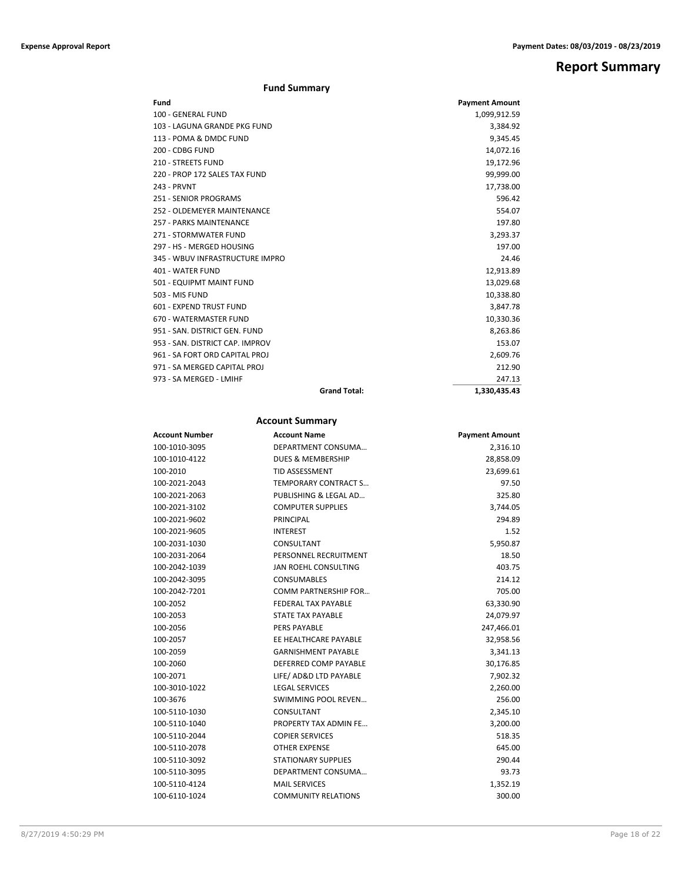## **Report Summary**

### **Fund Summary**

| Fund                            |                     | <b>Payment Amount</b> |
|---------------------------------|---------------------|-----------------------|
| 100 - GENERAL FUND              |                     | 1,099,912.59          |
| 103 - LAGUNA GRANDE PKG FUND    |                     | 3,384.92              |
| 113 - POMA & DMDC FUND          |                     | 9,345.45              |
| 200 - CDBG FUND                 |                     | 14,072.16             |
| 210 - STREETS FUND              |                     | 19,172.96             |
| 220 - PROP 172 SALES TAX FUND   |                     | 99,999.00             |
| <b>243 - PRVNT</b>              |                     | 17,738.00             |
| 251 - SENIOR PROGRAMS           |                     | 596.42                |
| 252 - OLDEMEYER MAINTENANCE     |                     | 554.07                |
| 257 - PARKS MAINTENANCE         |                     | 197.80                |
| 271 - STORMWATER FUND           |                     | 3,293.37              |
| 297 - HS - MERGED HOUSING       |                     | 197.00                |
| 345 - WBUV INFRASTRUCTURE IMPRO |                     | 24.46                 |
| 401 - WATER FUND                |                     | 12,913.89             |
| 501 - EQUIPMT MAINT FUND        |                     | 13,029.68             |
| 503 - MIS FUND                  |                     | 10,338.80             |
| 601 - EXPEND TRUST FUND         |                     | 3,847.78              |
| 670 - WATERMASTER FUND          |                     | 10,330.36             |
| 951 - SAN, DISTRICT GEN, FUND   |                     | 8,263.86              |
| 953 - SAN, DISTRICT CAP, IMPROV |                     | 153.07                |
| 961 - SA FORT ORD CAPITAL PROJ  |                     | 2,609.76              |
| 971 - SA MERGED CAPITAL PROJ    |                     | 212.90                |
| 973 - SA MERGED - LMIHF         |                     | 247.13                |
|                                 | <b>Grand Total:</b> | 1.330.435.43          |

### **Account Summary**

| Account Number | <b>Account Name</b>          | <b>Payment Amount</b> |
|----------------|------------------------------|-----------------------|
| 100-1010-3095  | DEPARTMENT CONSUMA           | 2,316.10              |
| 100-1010-4122  | <b>DUES &amp; MEMBERSHIP</b> | 28,858.09             |
| 100-2010       | <b>TID ASSESSMENT</b>        | 23,699.61             |
| 100-2021-2043  | TEMPORARY CONTRACT S         | 97.50                 |
| 100-2021-2063  | PUBLISHING & LEGAL AD        | 325.80                |
| 100-2021-3102  | <b>COMPUTER SUPPLIES</b>     | 3,744.05              |
| 100-2021-9602  | PRINCIPAL                    | 294.89                |
| 100-2021-9605  | <b>INTEREST</b>              | 1.52                  |
| 100-2031-1030  | CONSULTANT                   | 5,950.87              |
| 100-2031-2064  | PERSONNEL RECRUITMENT        | 18.50                 |
| 100-2042-1039  | JAN ROEHL CONSULTING         | 403.75                |
| 100-2042-3095  | <b>CONSUMABLES</b>           | 214.12                |
| 100-2042-7201  | <b>COMM PARTNERSHIP FOR</b>  | 705.00                |
| 100-2052       | FEDERAL TAX PAYABLE          | 63,330.90             |
| 100-2053       | <b>STATE TAX PAYABLE</b>     | 24,079.97             |
| 100-2056       | <b>PERS PAYABLE</b>          | 247,466.01            |
| 100-2057       | EE HEALTHCARE PAYABLE        | 32,958.56             |
| 100-2059       | <b>GARNISHMENT PAYABLE</b>   | 3,341.13              |
| 100-2060       | DEFERRED COMP PAYABLE        | 30,176.85             |
| 100-2071       | LIFE/ AD&D LTD PAYABLE       | 7,902.32              |
| 100-3010-1022  | <b>LEGAL SERVICES</b>        | 2,260.00              |
| 100-3676       | <b>SWIMMING POOL REVEN</b>   | 256.00                |
| 100-5110-1030  | CONSULTANT                   | 2,345.10              |
| 100-5110-1040  | PROPERTY TAX ADMIN FE        | 3,200.00              |
| 100-5110-2044  | <b>COPIER SERVICES</b>       | 518.35                |
| 100-5110-2078  | <b>OTHER EXPENSE</b>         | 645.00                |
| 100-5110-3092  | <b>STATIONARY SUPPLIES</b>   | 290.44                |
| 100-5110-3095  | DEPARTMENT CONSUMA           | 93.73                 |
| 100-5110-4124  | <b>MAIL SERVICES</b>         | 1,352.19              |
| 100-6110-1024  | <b>COMMUNITY RELATIONS</b>   | 300.00                |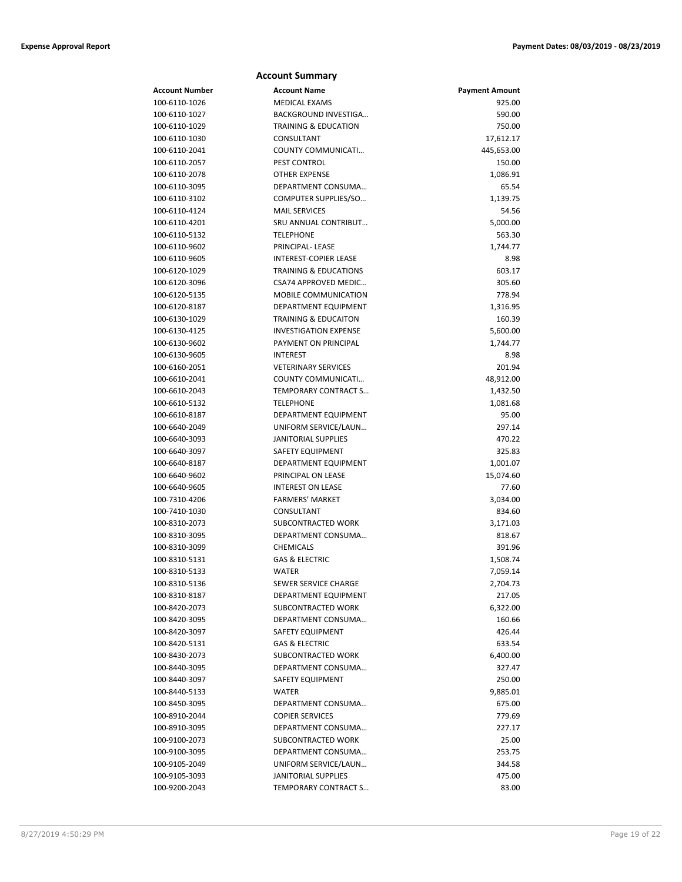|                                | <b>Account Summary</b>                     |                       |
|--------------------------------|--------------------------------------------|-----------------------|
| <b>Account Number</b>          | <b>Account Name</b>                        | <b>Payment Amount</b> |
| 100-6110-1026                  | <b>MEDICAL EXAMS</b>                       | 925.00                |
| 100-6110-1027                  | BACKGROUND INVESTIGA                       | 590.00                |
| 100-6110-1029                  | <b>TRAINING &amp; EDUCATION</b>            | 750.00                |
| 100-6110-1030                  | CONSULTANT                                 | 17,612.17             |
| 100-6110-2041                  | COUNTY COMMUNICATI                         | 445,653.00            |
| 100-6110-2057                  | PEST CONTROL                               | 150.00                |
| 100-6110-2078                  | <b>OTHER EXPENSE</b>                       | 1,086.91              |
| 100-6110-3095                  | DEPARTMENT CONSUMA                         | 65.54                 |
| 100-6110-3102                  | COMPUTER SUPPLIES/SO                       | 1,139.75              |
| 100-6110-4124                  | <b>MAIL SERVICES</b>                       | 54.56                 |
| 100-6110-4201                  | SRU ANNUAL CONTRIBUT                       | 5,000.00              |
| 100-6110-5132                  | <b>TELEPHONE</b>                           | 563.30                |
| 100-6110-9602                  | <b>PRINCIPAL-LEASE</b>                     | 1,744.77              |
| 100-6110-9605                  | <b>INTEREST-COPIER LEASE</b>               | 8.98                  |
| 100-6120-1029                  | <b>TRAINING &amp; EDUCATIONS</b>           | 603.17                |
| 100-6120-3096                  | CSA74 APPROVED MEDIC                       | 305.60                |
| 100-6120-5135                  | <b>MOBILE COMMUNICATION</b>                | 778.94                |
| 100-6120-8187                  | DEPARTMENT EQUIPMENT                       | 1,316.95              |
| 100-6130-1029                  | <b>TRAINING &amp; EDUCAITON</b>            | 160.39                |
| 100-6130-4125                  | <b>INVESTIGATION EXPENSE</b>               | 5,600.00              |
| 100-6130-9602                  | PAYMENT ON PRINCIPAL                       | 1,744.77              |
| 100-6130-9605                  | <b>INTEREST</b>                            | 8.98                  |
| 100-6160-2051                  | <b>VETERINARY SERVICES</b>                 | 201.94                |
| 100-6610-2041<br>100-6610-2043 | COUNTY COMMUNICATI<br>TEMPORARY CONTRACT S | 48,912.00             |
| 100-6610-5132                  | <b>TELEPHONE</b>                           | 1,432.50<br>1,081.68  |
| 100-6610-8187                  | DEPARTMENT EQUIPMENT                       | 95.00                 |
| 100-6640-2049                  | UNIFORM SERVICE/LAUN                       | 297.14                |
| 100-6640-3093                  | <b>JANITORIAL SUPPLIES</b>                 | 470.22                |
| 100-6640-3097                  | SAFETY EQUIPMENT                           | 325.83                |
| 100-6640-8187                  | DEPARTMENT EQUIPMENT                       | 1,001.07              |
| 100-6640-9602                  | PRINCIPAL ON LEASE                         | 15,074.60             |
| 100-6640-9605                  | <b>INTEREST ON LEASE</b>                   | 77.60                 |
| 100-7310-4206                  | <b>FARMERS' MARKET</b>                     | 3,034.00              |
| 100-7410-1030                  | CONSULTANT                                 | 834.60                |
| 100-8310-2073                  | SUBCONTRACTED WORK                         | 3,171.03              |
| 100-8310-3095                  | DEPARTMENT CONSUMA                         | 818.67                |
| 100-8310-3099                  | <b>CHEMICALS</b>                           | 391.96                |
| 100-8310-5131                  | <b>GAS &amp; ELECTRIC</b>                  | 1,508.74              |
| 100-8310-5133                  | WATER                                      | 7,059.14              |
| 100-8310-5136                  | SEWER SERVICE CHARGE                       | 2,704.73              |
| 100-8310-8187                  | DEPARTMENT EQUIPMENT                       | 217.05                |
| 100-8420-2073                  | <b>SUBCONTRACTED WORK</b>                  | 6,322.00              |
| 100-8420-3095                  | DEPARTMENT CONSUMA                         | 160.66                |
| 100-8420-3097                  | SAFETY EQUIPMENT                           | 426.44                |
| 100-8420-5131                  | <b>GAS &amp; ELECTRIC</b>                  | 633.54                |
| 100-8430-2073                  | SUBCONTRACTED WORK                         | 6,400.00              |
| 100-8440-3095                  | DEPARTMENT CONSUMA                         | 327.47                |
| 100-8440-3097                  | SAFETY EQUIPMENT                           | 250.00                |
| 100-8440-5133                  | WATER                                      | 9,885.01              |
| 100-8450-3095                  | DEPARTMENT CONSUMA                         | 675.00                |
| 100-8910-2044                  | <b>COPIER SERVICES</b>                     | 779.69                |
| 100-8910-3095                  | DEPARTMENT CONSUMA                         | 227.17                |
| 100-9100-2073                  | SUBCONTRACTED WORK                         | 25.00                 |
| 100-9100-3095                  | DEPARTMENT CONSUMA                         | 253.75                |
| 100-9105-2049                  | UNIFORM SERVICE/LAUN                       | 344.58                |
| 100-9105-3093                  | <b>JANITORIAL SUPPLIES</b>                 | 475.00                |
| 100-9200-2043                  | TEMPORARY CONTRACT S                       | 83.00                 |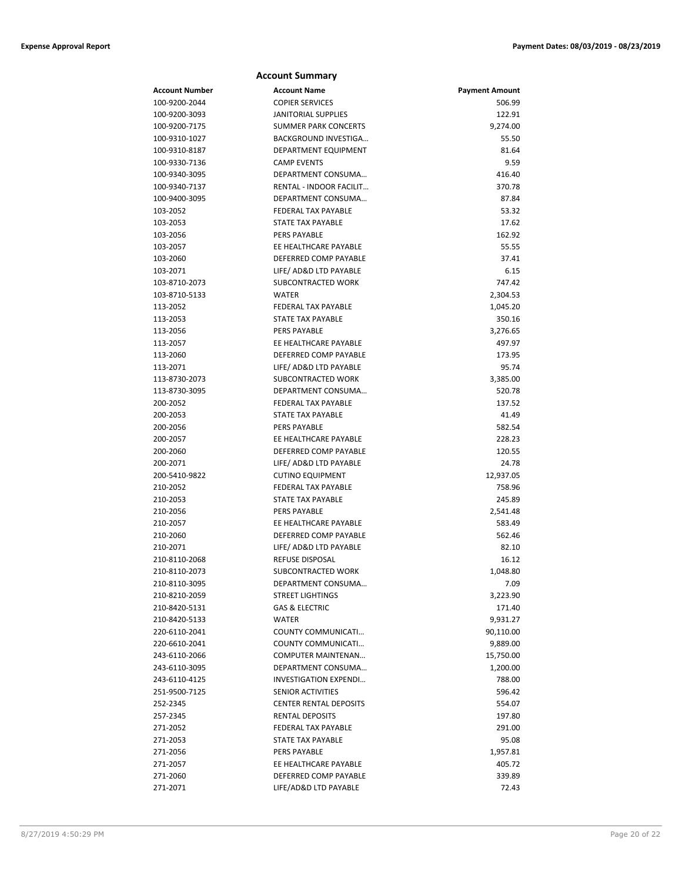#### **Account Summary Account Number Account Name Payment Amount** 100-9200-2044 COPIER SERVICES 506.99 100-9200-3093 JANITORIAL SUPPLIES 122.91 100-9200-7175 SUMMER PARK CONCERTS 9,274.00 100-9310-1027 BACKGROUND INVESTIGA… 55.50 100-9310-8187 DEPARTMENT EQUIPMENT 81.64 100-9330-7136 CAMP EVENTS 9.59 100-9340-3095 DEPARTMENT CONSUMA… 416.40 100-9340-7137 RENTAL - INDOOR FACILIT… 370.78 100-9400-3095 DEPARTMENT CONSUMA… 87.84 103-2052 FEDERAL TAX PAYABLE 53.32 103-2053 STATE TAX PAYABLE 17.62 103-2056 PERS PAYABLE 162.92 103-2057 EE HEALTHCARE PAYABLE 55.55 103-2060 DEFERRED COMP PAYABLE 37.41 103-2071 LIFE/ AD&D LTD PAYABLE 6.15 103-8710-2073 SUBCONTRACTED WORK 747.42 103-8710-5133 WATER 2,304.53 113-2052 FEDERAL TAX PAYABLE 1,045.20 113-2053 STATE TAX PAYABLE 350.16 113-2056 PERS PAYABLE 3,276.65 113-2057 EE HEALTHCARE PAYABLE 497.97 113-2060 DEFERRED COMP PAYABLE 173.95 113-2071 LIFE/ AD&D LTD PAYABLE 95.74 113-8730-2073 SUBCONTRACTED WORK 3,385.00 113-8730-3095 DEPARTMENT CONSUMA… 520.78 200-2052 FEDERAL TAX PAYABLE 137.52 200-2053 STATE TAX PAYABLE 300-2053 41.49 200-2056 PERS PAYABLE 582.54 200-2057 EE HEALTHCARE PAYABLE 228.23 200-2060 DEFERRED COMP PAYABLE 120.55 200-2071 LIFE/ AD&D LTD PAYABLE 24.78 200-5410-9822 CUTINO EQUIPMENT 12,937.05 210-2052 FEDERAL TAX PAYABLE 758.96 210-2053 STATE TAX PAYABLE 245.89 210-2056 PERS PAYABLE 2,541.48 210-2057 EE HEALTHCARE PAYABLE 583.49 210-2060 DEFERRED COMP PAYABLE 562.46 210-2071 LIFE/ AD&D LTD PAYABLE 82.10 210-8110-2068 REFUSE DISPOSAL 16.12 210-8110-2073 SUBCONTRACTED WORK 1,048.80 210-8110-3095 DEPARTMENT CONSUMA… 7.09 210-8210-2059 STREET LIGHTINGS 3,223.90 210-8420-5131 GAS & ELECTRIC 171.40 210-8420-5133 WATER 9,931.27 220-6110-2041 COUNTY COMMUNICATI… 90,110.00 220-6610-2041 COUNTY COMMUNICATI… 9,889.00 243-6110-2066 COMPUTER MAINTENAN… 15,750.00 243-6110-3095 DEPARTMENT CONSUMA… 1,200.00 243-6110-4125 INVESTIGATION EXPENDI… 788.00 251-9500-7125 SENIOR ACTIVITIES 596.42 252-2345 CENTER RENTAL DEPOSITS 554.07 257-2345 RENTAL DEPOSITS 197.80 271-2052 FEDERAL TAX PAYABLE 291.00 271-2053 STATE TAX PAYABLE 95.08 271-2056 **PERS PAYABLE** 271-2056 **PERS PAYABLE** 271-2056 **PERS PAYABLE** 271-2057 EE HEALTHCARE PAYABLE 405.72

271-2060 DEFERRED COMP PAYABLE 339.89 271-2071 LIFE/AD&D LTD PAYABLE 72.43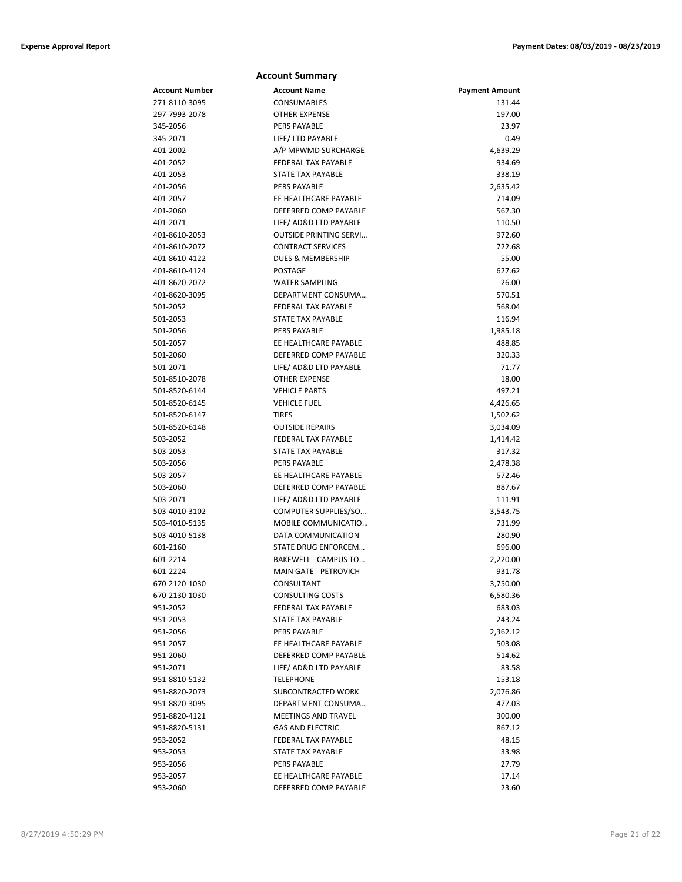|                       | <b>Account Summary</b>        |                       |
|-----------------------|-------------------------------|-----------------------|
| <b>Account Number</b> | <b>Account Name</b>           | <b>Payment Amount</b> |
| 271-8110-3095         | CONSUMABLES                   | 131.44                |
| 297-7993-2078         | <b>OTHER EXPENSE</b>          | 197.00                |
| 345-2056              | PERS PAYABLE                  | 23.97                 |
| 345-2071              | LIFE/ LTD PAYABLE             | 0.49                  |
| 401-2002              | A/P MPWMD SURCHARGE           | 4,639.29              |
| 401-2052              | <b>FEDERAL TAX PAYABLE</b>    | 934.69                |
| 401-2053              | STATE TAX PAYABLE             | 338.19                |
| 401-2056              | PERS PAYABLE                  | 2,635.42              |
| 401-2057              | EE HEALTHCARE PAYABLE         | 714.09                |
| 401-2060              | DEFERRED COMP PAYABLE         | 567.30                |
| 401-2071              | LIFE/ AD&D LTD PAYABLE        | 110.50                |
| 401-8610-2053         | <b>OUTSIDE PRINTING SERVI</b> | 972.60                |
| 401-8610-2072         | <b>CONTRACT SERVICES</b>      | 722.68                |
| 401-8610-4122         | DUES & MEMBERSHIP             | 55.00                 |
| 401-8610-4124         | <b>POSTAGE</b>                | 627.62                |
| 401-8620-2072         | <b>WATER SAMPLING</b>         | 26.00                 |
| 401-8620-3095         | DEPARTMENT CONSUMA            | 570.51                |
| 501-2052              | FEDERAL TAX PAYABLE           | 568.04                |
| 501-2053              | <b>STATE TAX PAYABLE</b>      | 116.94                |
| 501-2056              | <b>PERS PAYABLE</b>           | 1,985.18              |
| 501-2057              | EE HEALTHCARE PAYABLE         | 488.85                |
| 501-2060              | DEFERRED COMP PAYABLE         | 320.33                |
| 501-2071              | LIFE/ AD&D LTD PAYABLE        | 71.77                 |
| 501-8510-2078         | <b>OTHER EXPENSE</b>          | 18.00                 |
| 501-8520-6144         | <b>VEHICLE PARTS</b>          | 497.21                |
| 501-8520-6145         | <b>VEHICLE FUEL</b>           | 4,426.65              |
| 501-8520-6147         | <b>TIRES</b>                  | 1,502.62              |
| 501-8520-6148         | <b>OUTSIDE REPAIRS</b>        | 3,034.09              |
| 503-2052              | FEDERAL TAX PAYABLE           | 1,414.42              |
| 503-2053              | STATE TAX PAYABLE             | 317.32                |
| 503-2056              | <b>PERS PAYABLE</b>           | 2,478.38              |
| 503-2057              | EE HEALTHCARE PAYABLE         | 572.46                |
| 503-2060              | DEFERRED COMP PAYABLE         | 887.67                |
| 503-2071              | LIFE/ AD&D LTD PAYABLE        | 111.91                |
| 503-4010-3102         | COMPUTER SUPPLIES/SO          | 3,543.75              |
| 503-4010-5135         | MOBILE COMMUNICATIO           | 731.99                |
| 503-4010-5138         | DATA COMMUNICATION            | 280.90                |
| 601-2160              | <b>STATE DRUG ENFORCEM</b>    | 696.00                |
| 601-2214              | <b>BAKEWELL - CAMPUS TO</b>   | 2,220.00              |
| 601-2224              | MAIN GATE - PETROVICH         | 931.78                |
| 670-2120-1030         | CONSULTANT                    | 3,750.00              |
| 670-2130-1030         | <b>CONSULTING COSTS</b>       | 6,580.36              |
| 951-2052              | FEDERAL TAX PAYABLE           | 683.03                |
| 951-2053              | STATE TAX PAYABLE             | 243.24                |
| 951-2056              | PERS PAYABLE                  | 2,362.12              |
| 951-2057              | EE HEALTHCARE PAYABLE         | 503.08                |
| 951-2060              | DEFERRED COMP PAYABLE         | 514.62                |
| 951-2071              | LIFE/ AD&D LTD PAYABLE        | 83.58                 |
| 951-8810-5132         | <b>TELEPHONE</b>              | 153.18                |
| 951-8820-2073         | SUBCONTRACTED WORK            | 2,076.86              |
| 951-8820-3095         | DEPARTMENT CONSUMA            | 477.03                |
| 951-8820-4121         | <b>MEETINGS AND TRAVEL</b>    | 300.00                |
| 951-8820-5131         | <b>GAS AND ELECTRIC</b>       | 867.12                |
| 953-2052              | FEDERAL TAX PAYABLE           | 48.15                 |
| 953-2053              | STATE TAX PAYABLE             | 33.98                 |
| 953-2056              | PERS PAYABLE                  | 27.79                 |
| 953-2057              | EE HEALTHCARE PAYABLE         | 17.14                 |
| 953-2060              | DEFERRED COMP PAYABLE         | 23.60                 |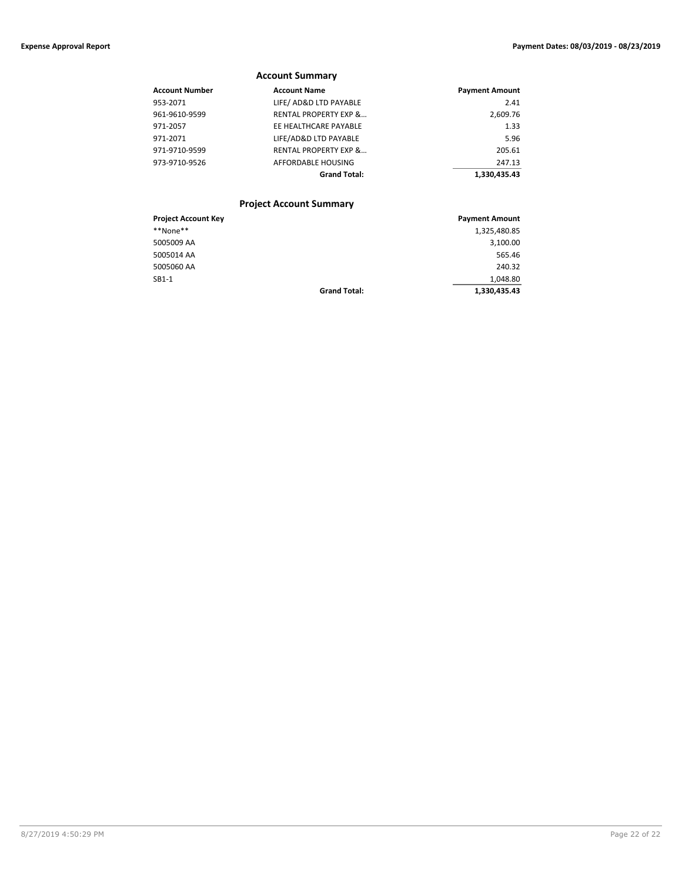### **Account Summary**

| Account Number | <b>Account Name</b>              | <b>Payment Amount</b> |
|----------------|----------------------------------|-----------------------|
| 953-2071       | LIFE/ AD&D LTD PAYABLE           | 2.41                  |
| 961-9610-9599  | <b>RENTAL PROPERTY EXP &amp;</b> | 2,609.76              |
| 971-2057       | EE HEALTHCARE PAYABLE            | 1.33                  |
| 971-2071       | LIFE/AD&D LTD PAYABLE            | 5.96                  |
| 971-9710-9599  | <b>RENTAL PROPERTY EXP &amp;</b> | 205.61                |
| 973-9710-9526  | AFFORDABLE HOUSING               | 247.13                |
|                | <b>Grand Total:</b>              | 1.330.435.43          |
|                |                                  |                       |

### **Project Account Summary**

| <b>Project Account Key</b> |                     | <b>Payment Amount</b> |
|----------------------------|---------------------|-----------------------|
| **None**                   |                     | 1,325,480.85          |
| 5005009 AA                 |                     | 3,100.00              |
| 5005014 AA                 |                     | 565.46                |
| 5005060 AA                 |                     | 240.32                |
| $SB1-1$                    |                     | 1,048.80              |
|                            | <b>Grand Total:</b> | 1,330,435.43          |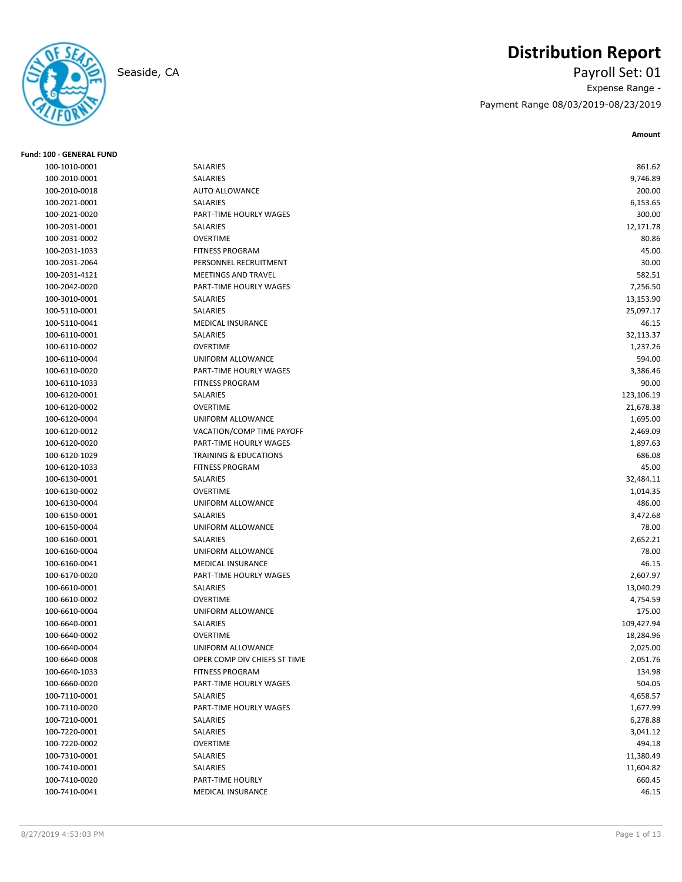

# **Distribution Report**

Seaside, CA Payroll Set: 01 Expense Range - Payment Range 08/03/2019-08/23/2019

| <b>Fund: 100 - GENERAL FUND</b> |                                  |            |
|---------------------------------|----------------------------------|------------|
| 100-1010-0001                   | SALARIES                         | 861.62     |
| 100-2010-0001                   | SALARIES                         | 9,746.89   |
| 100-2010-0018                   | AUTO ALLOWANCE                   | 200.00     |
| 100-2021-0001                   | SALARIES                         | 6,153.65   |
| 100-2021-0020                   | PART-TIME HOURLY WAGES           | 300.00     |
| 100-2031-0001                   | SALARIES                         | 12,171.78  |
| 100-2031-0002                   | <b>OVERTIME</b>                  | 80.86      |
| 100-2031-1033                   | <b>FITNESS PROGRAM</b>           | 45.00      |
| 100-2031-2064                   | PERSONNEL RECRUITMENT            | 30.00      |
| 100-2031-4121                   | MEETINGS AND TRAVEL              | 582.51     |
| 100-2042-0020                   | PART-TIME HOURLY WAGES           | 7,256.50   |
| 100-3010-0001                   | SALARIES                         | 13,153.90  |
| 100-5110-0001                   | SALARIES                         | 25,097.17  |
| 100-5110-0041                   | <b>MEDICAL INSURANCE</b>         | 46.15      |
| 100-6110-0001                   | SALARIES                         | 32,113.37  |
| 100-6110-0002                   | <b>OVERTIME</b>                  | 1,237.26   |
| 100-6110-0004                   | UNIFORM ALLOWANCE                | 594.00     |
| 100-6110-0020                   | PART-TIME HOURLY WAGES           | 3,386.46   |
| 100-6110-1033                   | <b>FITNESS PROGRAM</b>           | 90.00      |
| 100-6120-0001                   | SALARIES                         | 123,106.19 |
| 100-6120-0002                   | <b>OVERTIME</b>                  | 21,678.38  |
| 100-6120-0004                   | UNIFORM ALLOWANCE                | 1,695.00   |
| 100-6120-0012                   | VACATION/COMP TIME PAYOFF        | 2,469.09   |
| 100-6120-0020                   | PART-TIME HOURLY WAGES           | 1,897.63   |
| 100-6120-1029                   | <b>TRAINING &amp; EDUCATIONS</b> | 686.08     |
| 100-6120-1033                   | <b>FITNESS PROGRAM</b>           | 45.00      |
| 100-6130-0001                   | SALARIES                         | 32,484.11  |
| 100-6130-0002                   | <b>OVERTIME</b>                  | 1,014.35   |
| 100-6130-0004                   | UNIFORM ALLOWANCE                | 486.00     |
| 100-6150-0001                   | SALARIES                         | 3,472.68   |
| 100-6150-0004                   | UNIFORM ALLOWANCE                | 78.00      |
| 100-6160-0001                   | <b>SALARIES</b>                  | 2,652.21   |
| 100-6160-0004                   | UNIFORM ALLOWANCE                | 78.00      |
| 100-6160-0041                   | MEDICAL INSURANCE                | 46.15      |
| 100-6170-0020                   | PART-TIME HOURLY WAGES           | 2,607.97   |
| 100-6610-0001                   | SALARIES                         | 13,040.29  |
| 100-6610-0002                   | <b>OVERTIME</b>                  | 4,754.59   |
| 100-6610-0004                   | UNIFORM ALLOWANCE                | 175.00     |
| 100-6640-0001                   | SALARIES                         | 109,427.94 |
| 100-6640-0002                   | <b>OVERTIME</b>                  | 18,284.96  |
| 100-6640-0004                   | UNIFORM ALLOWANCE                | 2,025.00   |
| 100-6640-0008                   | OPER COMP DIV CHIEFS ST TIME     | 2,051.76   |
| 100-6640-1033                   | <b>FITNESS PROGRAM</b>           | 134.98     |
| 100-6660-0020                   | PART-TIME HOURLY WAGES           | 504.05     |
| 100-7110-0001                   | SALARIES                         | 4,658.57   |
| 100-7110-0020                   | PART-TIME HOURLY WAGES           | 1,677.99   |
| 100-7210-0001                   | SALARIES                         | 6,278.88   |
| 100-7220-0001                   | SALARIES                         | 3,041.12   |
| 100-7220-0002                   | <b>OVERTIME</b>                  | 494.18     |
| 100-7310-0001                   | SALARIES                         | 11,380.49  |
| 100-7410-0001                   | SALARIES                         | 11,604.82  |
| 100-7410-0020                   | PART-TIME HOURLY                 | 660.45     |
| 100-7410-0041                   | MEDICAL INSURANCE                | 46.15      |
|                                 |                                  |            |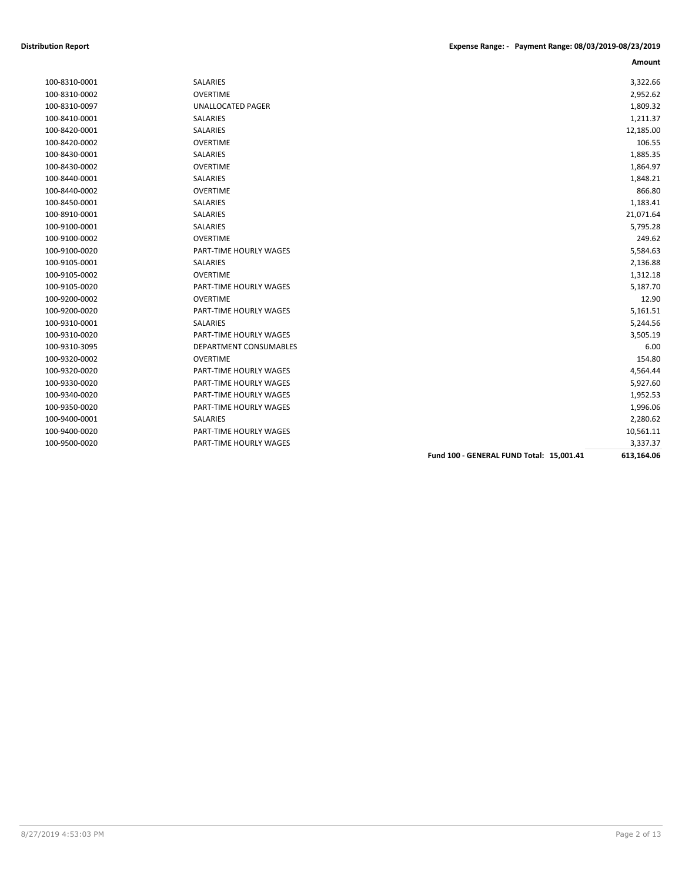| 100-9310-0001 |
|---------------|
| 100-8310-0002 |
| 100-8310-0097 |
| 100-8410-0001 |
| 100-8420-0001 |
| 100-8420-0002 |
| 100-8430-0001 |
| 100-8430-0002 |
| 100-8440-0001 |
| 100-8440-0002 |
| 100-8450-0001 |
| 100-8910-0001 |
| 100-9100-0001 |
| 100-9100-0002 |
| 100-9100-0020 |
| 100-9105-0001 |
| 100-9105-0002 |
| 100-9105-0020 |
| 100-9200-0002 |
| 100-9200-0020 |
| 100-9310-0001 |
| 100-9310-0020 |
| 100-9310-3095 |
| 100-9320-0002 |
| 100-9320-0020 |
| 100-9330-0020 |
| 100-9340-0020 |
| 100-9350-0020 |
| 100-9400-0001 |
| 100-9400-0020 |
| 100.0500.0020 |

| <b>SALARIES</b>               |
|-------------------------------|
| OVERTIME                      |
| <b>UNALLOCATED PAGER</b>      |
| <b>SALARIES</b>               |
| SALARIES                      |
| <b>OVERTIME</b>               |
| SAI ARIFS                     |
| OVERTIME                      |
| <b>SALARIES</b>               |
| <b>OVERTIME</b>               |
| <b>SALARIES</b>               |
| <b>SALARIES</b>               |
| <b>SALARIES</b>               |
| OVERTIME                      |
| <b>PART-TIME HOURLY WAGES</b> |
| <b>SALARIES</b>               |
| <b>OVERTIME</b>               |
| <b>PART-TIME HOURLY WAGES</b> |
| OVERTIME                      |
| <b>PART-TIME HOURLY WAGES</b> |
| SAI ARIFS                     |
| <b>PART-TIME HOURLY WAGES</b> |
| DEPARTMENT CONSUMABLES        |
| OVERTIME                      |
| PART-TIME HOURLY WAGES        |
| <b>PART-TIME HOURLY WAGES</b> |
| <b>PART-TIME HOURLY WAGES</b> |
| <b>PART-TIME HOURLY WAGES</b> |
| <b>SALARIES</b>               |
| PART-TIME HOURLY WAGES        |
| <b>PART-TIME HOURLY WAGES</b> |
|                               |

|               |                               |                                          | Amount     |
|---------------|-------------------------------|------------------------------------------|------------|
| 100-8310-0001 | <b>SALARIES</b>               |                                          | 3,322.66   |
| 100-8310-0002 | <b>OVERTIME</b>               |                                          | 2,952.62   |
| 100-8310-0097 | <b>UNALLOCATED PAGER</b>      |                                          | 1,809.32   |
| 100-8410-0001 | SALARIES                      |                                          | 1,211.37   |
| 100-8420-0001 | <b>SALARIES</b>               |                                          | 12,185.00  |
| 100-8420-0002 | <b>OVERTIME</b>               |                                          | 106.55     |
| 100-8430-0001 | SALARIES                      |                                          | 1,885.35   |
| 100-8430-0002 | <b>OVERTIME</b>               |                                          | 1,864.97   |
| 100-8440-0001 | SALARIES                      |                                          | 1,848.21   |
| 100-8440-0002 | <b>OVERTIME</b>               |                                          | 866.80     |
| 100-8450-0001 | <b>SALARIES</b>               |                                          | 1,183.41   |
| 100-8910-0001 | SALARIES                      |                                          | 21,071.64  |
| 100-9100-0001 | <b>SALARIES</b>               |                                          | 5,795.28   |
| 100-9100-0002 | <b>OVERTIME</b>               |                                          | 249.62     |
| 100-9100-0020 | PART-TIME HOURLY WAGES        |                                          | 5,584.63   |
| 100-9105-0001 | <b>SALARIES</b>               |                                          | 2,136.88   |
| 100-9105-0002 | <b>OVERTIME</b>               |                                          | 1,312.18   |
| 100-9105-0020 | PART-TIME HOURLY WAGES        |                                          | 5,187.70   |
| 100-9200-0002 | <b>OVERTIME</b>               |                                          | 12.90      |
| 100-9200-0020 | <b>PART-TIME HOURLY WAGES</b> |                                          | 5,161.51   |
| 100-9310-0001 | SALARIES                      |                                          | 5,244.56   |
| 100-9310-0020 | <b>PART-TIME HOURLY WAGES</b> |                                          | 3,505.19   |
| 100-9310-3095 | DEPARTMENT CONSUMABLES        |                                          | 6.00       |
| 100-9320-0002 | <b>OVERTIME</b>               |                                          | 154.80     |
| 100-9320-0020 | <b>PART-TIME HOURLY WAGES</b> |                                          | 4,564.44   |
| 100-9330-0020 | <b>PART-TIME HOURLY WAGES</b> |                                          | 5,927.60   |
| 100-9340-0020 | <b>PART-TIME HOURLY WAGES</b> |                                          | 1,952.53   |
| 100-9350-0020 | <b>PART-TIME HOURLY WAGES</b> |                                          | 1,996.06   |
| 100-9400-0001 | <b>SALARIES</b>               |                                          | 2,280.62   |
| 100-9400-0020 | PART-TIME HOURLY WAGES        |                                          | 10,561.11  |
| 100-9500-0020 | <b>PART-TIME HOURLY WAGES</b> |                                          | 3,337.37   |
|               |                               | Fund 100 - GENERAL FUND Total: 15,001.41 | 613,164.06 |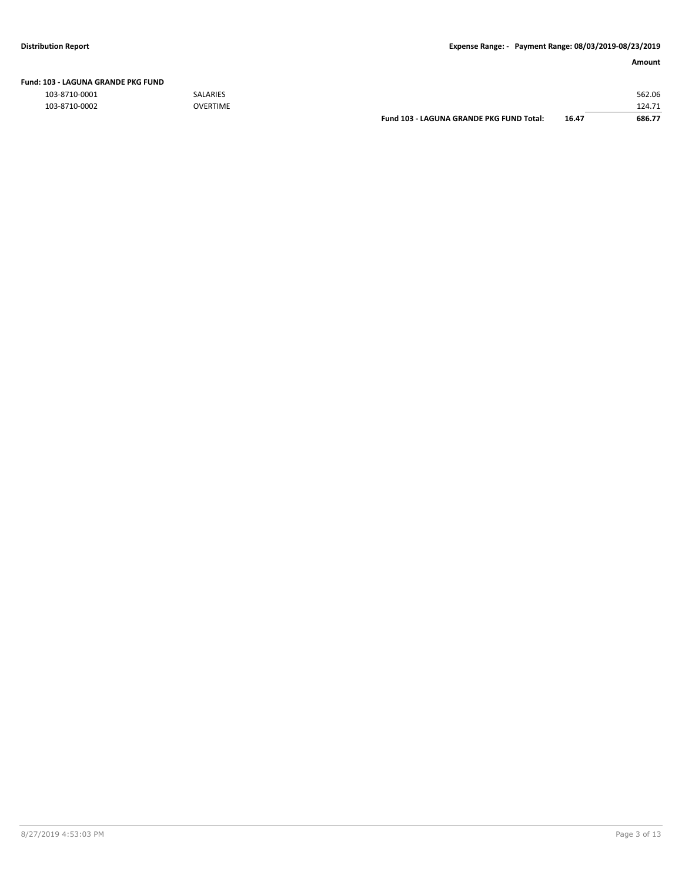103-8710-0001 SALARIES 562.06

| 103-8710-0002 | <b>OVERTIME</b> |                                          |       | 124.71 |
|---------------|-----------------|------------------------------------------|-------|--------|
|               |                 | Fund 103 - LAGUNA GRANDE PKG FUND Total: | 16.47 | 686.77 |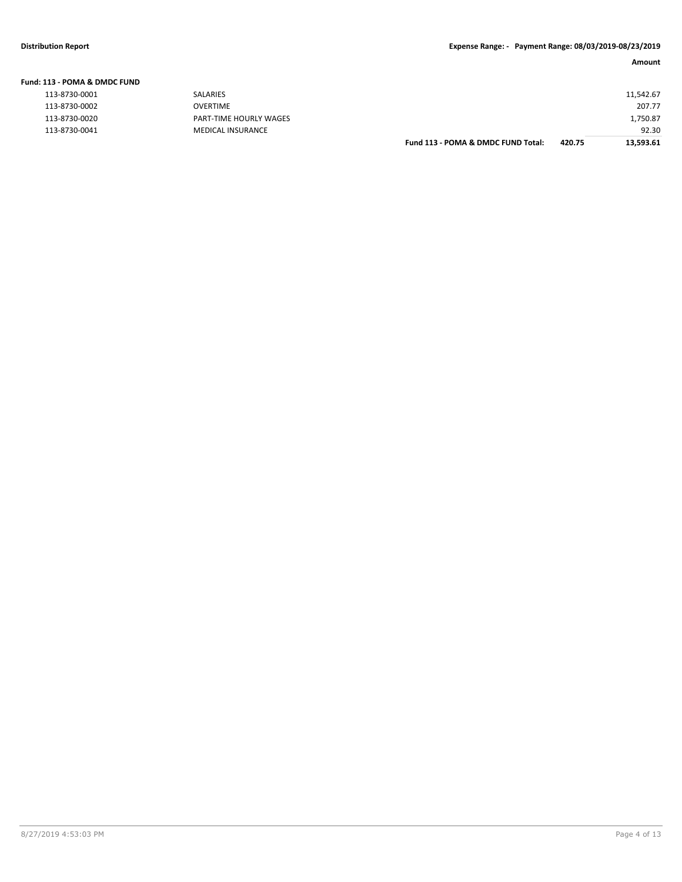**Fund: 113 - POMA & DMDC FUND**

| l13 - POMA & DMDC FUND |                          |                                    |        |           |
|------------------------|--------------------------|------------------------------------|--------|-----------|
| 113-8730-0001          | SALARIES                 |                                    |        | 11,542.67 |
| 113-8730-0002          | <b>OVERTIME</b>          |                                    |        | 207.77    |
| 113-8730-0020          | PART-TIME HOURLY WAGES   |                                    |        | 1,750.87  |
| 113-8730-0041          | <b>MEDICAL INSURANCE</b> |                                    |        | 92.30     |
|                        |                          | Fund 113 - POMA & DMDC FUND Total: | 420.75 | 13,593.61 |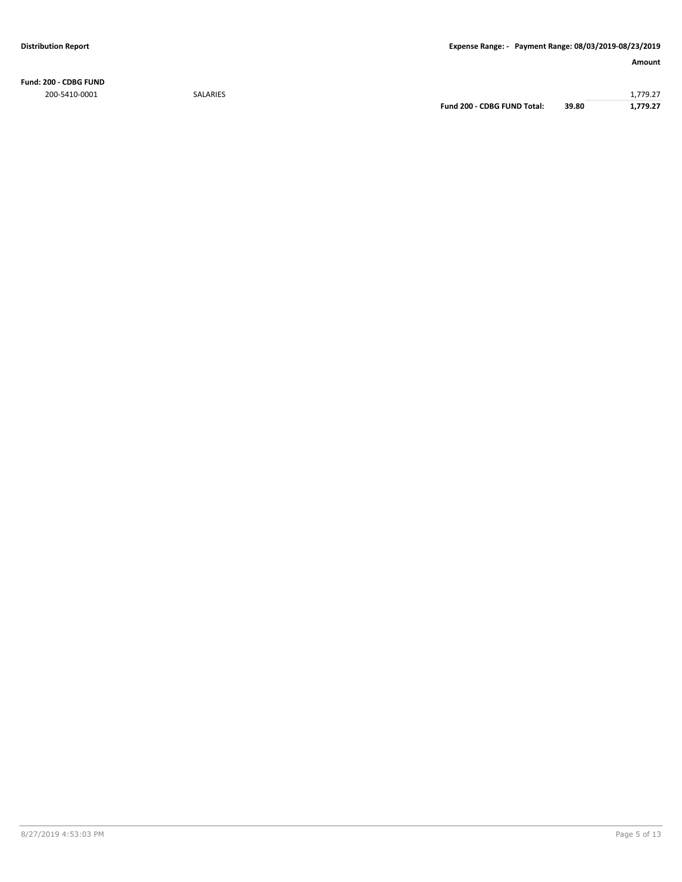**Fund: 200 - CDBG FUND**

200-5410-0001 SALARIES 1,779.27 **Fund 200 - CDBG FUND Total: 39.80 1,779.27**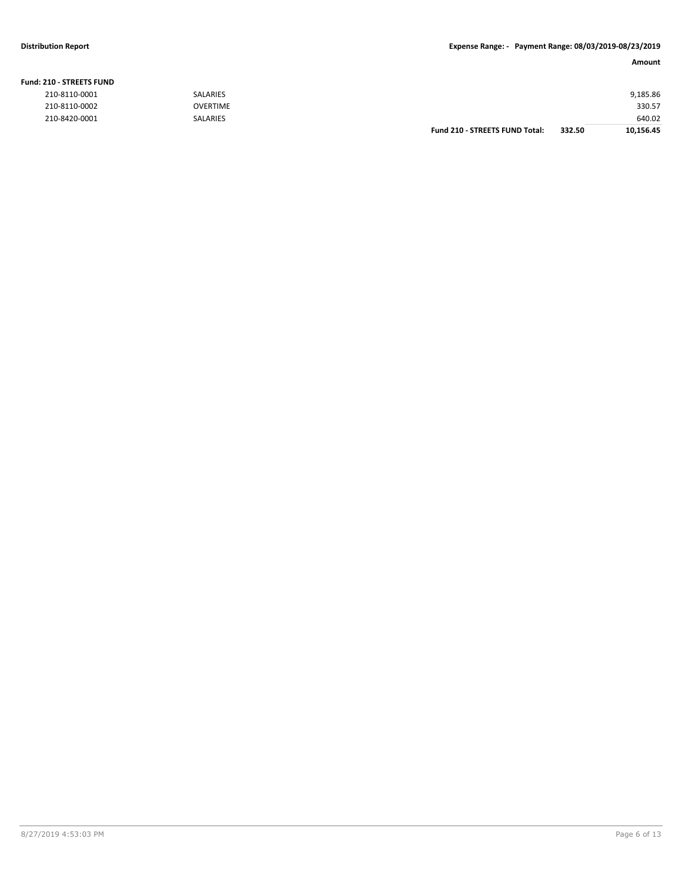#### **Fund: 210 - STREETS FUND**

| 210-8110-0001 | SALARIES        |                                       |        | 9,185.86  |
|---------------|-----------------|---------------------------------------|--------|-----------|
| 210-8110-0002 | <b>OVERTIME</b> |                                       |        | 330.57    |
| 210-8420-0001 | SALARIES        |                                       |        | 640.02    |
|               |                 | <b>Fund 210 - STREETS FUND Total:</b> | 332.50 | 10,156.45 |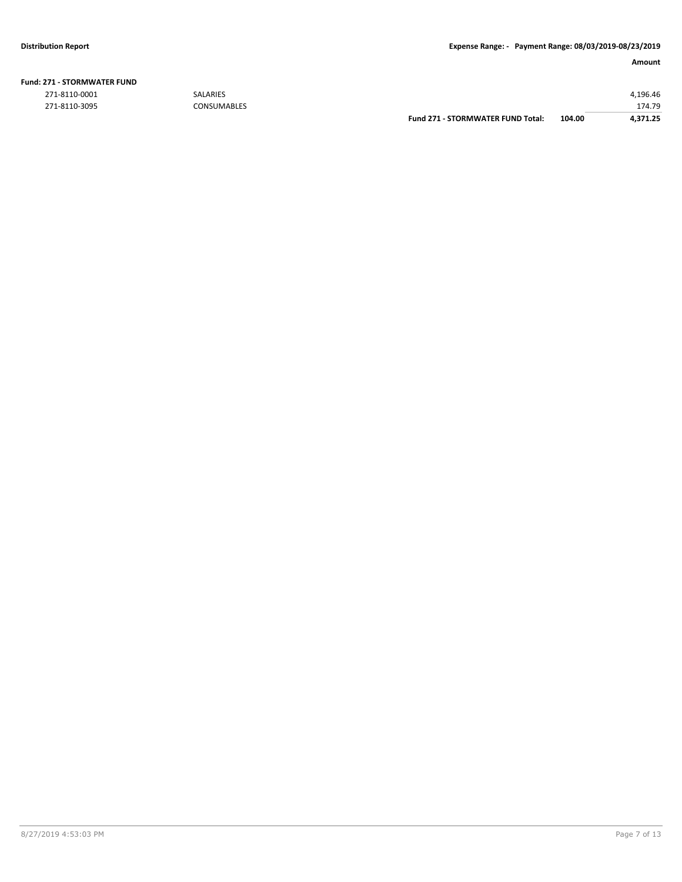| <b>Fund: 271 - STORMWATER FUND</b> |  |
|------------------------------------|--|
|------------------------------------|--|

|               |                    | Fund 271 - STORMWATER FUND Total: | 104.00 | 4.371.25 |
|---------------|--------------------|-----------------------------------|--------|----------|
| 271-8110-3095 | <b>CONSUMABLES</b> |                                   |        | 174.79   |
| 271-8110-0001 | <b>SALARIES</b>    |                                   |        | 4.196.46 |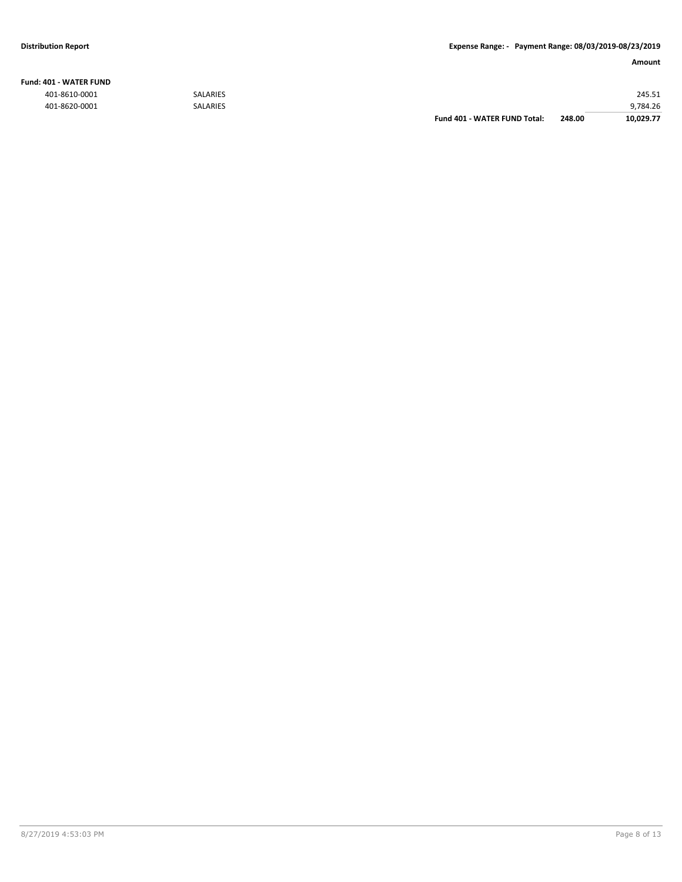### **Fund: 401 - WATER FUND**

|               |                 | Fund 401 - WATER FUND Total: | 248.00 | 10.029.77 |
|---------------|-----------------|------------------------------|--------|-----------|
| 401-8620-0001 | <b>SALARIES</b> |                              |        | 9,784.26  |
| 401-8610-0001 | <b>SALARIES</b> |                              |        | 245.51    |
|               |                 |                              |        |           |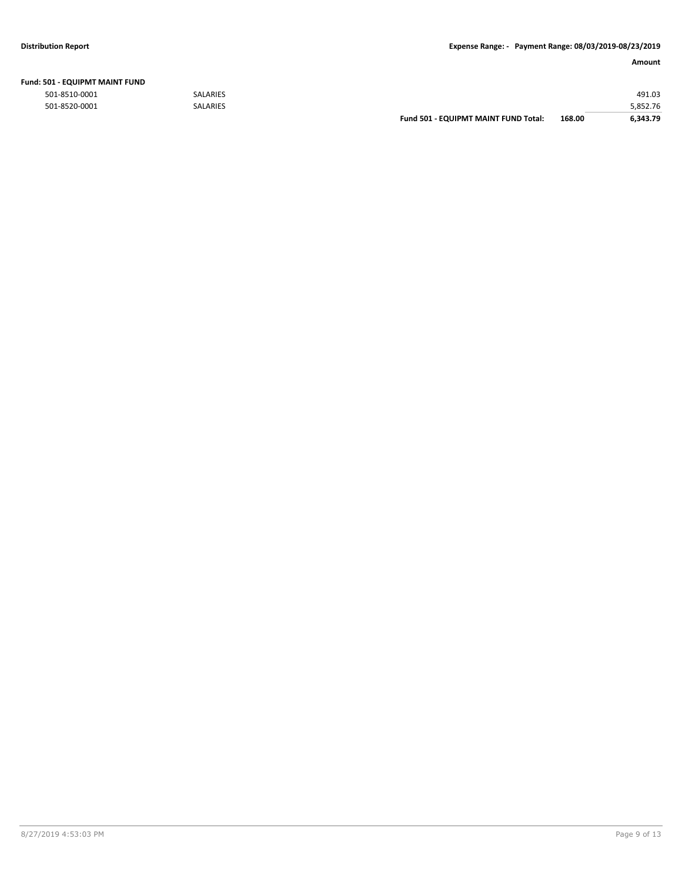| Fund: 501 - EQUIPMT MAINT FUND |  |
|--------------------------------|--|
|--------------------------------|--|

|               |                 | <b>Fund 501 - EQUIPMT MAINT FUND Total:</b> | 168.00 | 6.343.79 |
|---------------|-----------------|---------------------------------------------|--------|----------|
| 501-8520-0001 | <b>SALARIES</b> |                                             |        | 5,852.76 |
| 501-8510-0001 | <b>SALARIES</b> |                                             |        | 491.03   |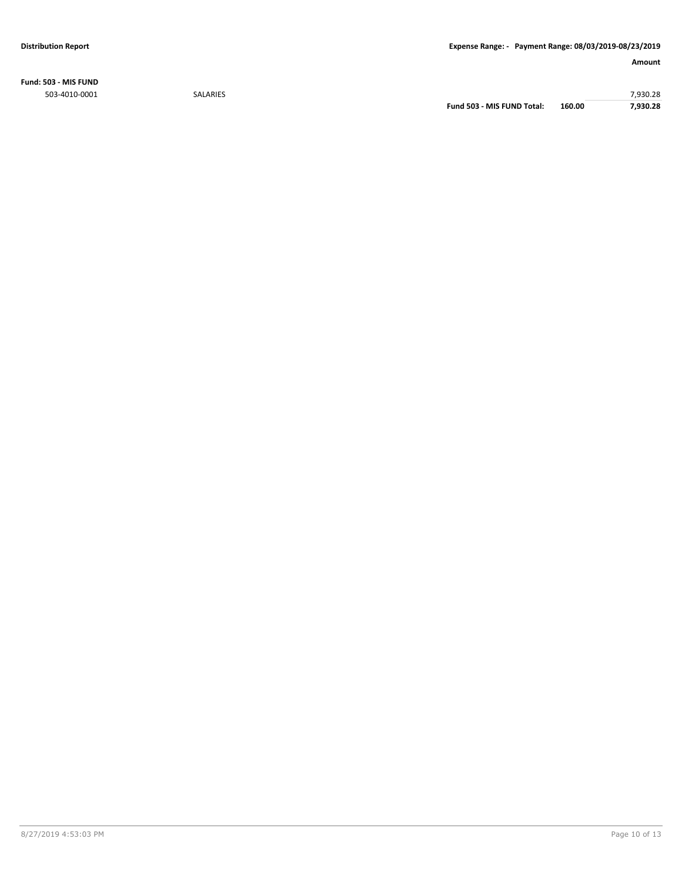**Fund: 503 - MIS FUND** 503-4010-0001 SALARIES 7,930.28

**Fund 503 - MIS FUND Total: 160.00 7,930.28**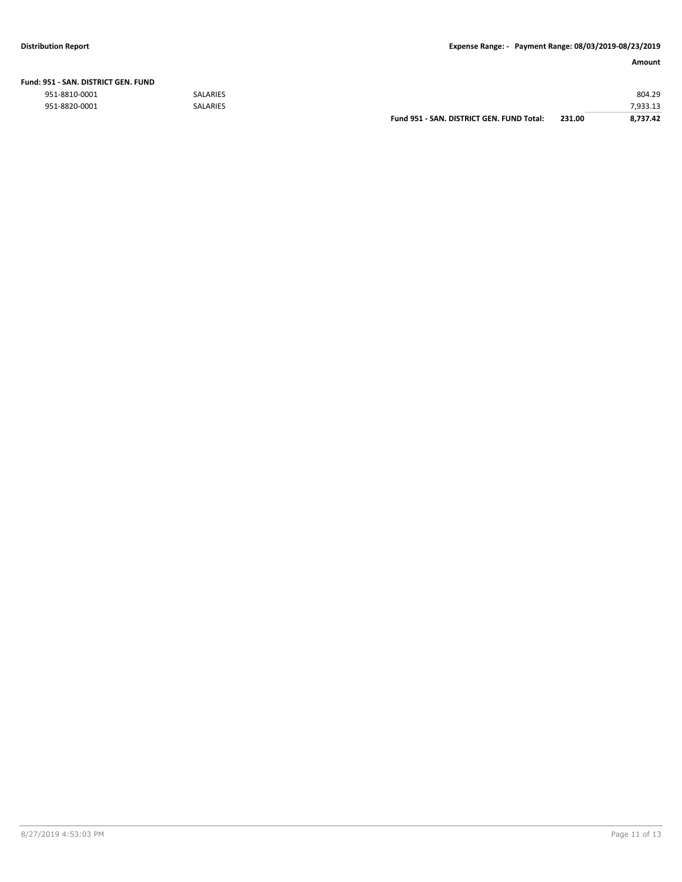|               |                 | Fund 951 - SAN, DISTRICT GEN, FUND Total: | 231.00 | 8.737.42 |
|---------------|-----------------|-------------------------------------------|--------|----------|
| 951-8820-0001 | <b>SALARIES</b> |                                           |        | 7,933.13 |
| 951-8810-0001 | <b>SALARIES</b> |                                           |        | 804.29   |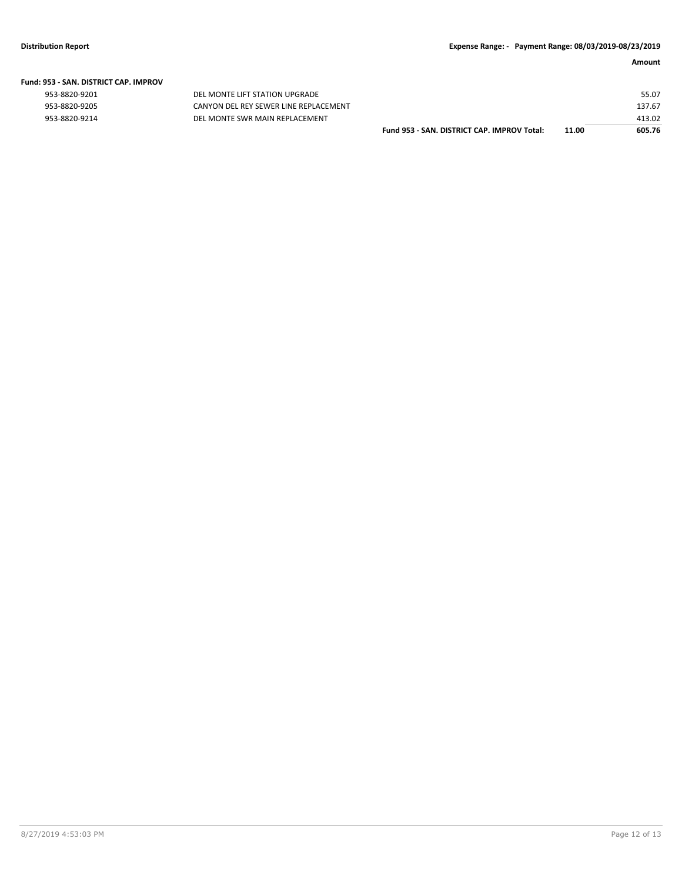|  | Fund: 953 - SAN. DISTRICT CAP. IMPROV |  |
|--|---------------------------------------|--|
|  |                                       |  |

| 953-8820-9201 |  |
|---------------|--|
| 953-8820-9205 |  |
| 953-8820-9214 |  |

DEL MONTE LIFT STATION UPGRADE CANYON DEL REY SEWER LINE REPLACEMENT 953-8820-9214 DEL MONTE SWR MAIN REPLACEMENT

| Fund 953 - SAN. DISTRICT CAP. IMPROV Total: | 11.00 | 605.76 |
|---------------------------------------------|-------|--------|
|                                             |       | 413.02 |
|                                             |       | 137.67 |
|                                             |       | 55.07  |
|                                             |       |        |